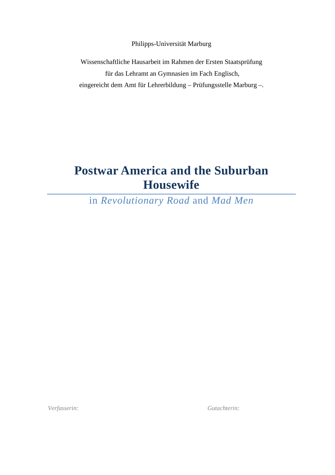Philipps-Universität Marburg

Wissenschaftliche Hausarbeit im Rahmen der Ersten Staatsprüfung für das Lehramt an Gymnasien im Fach Englisch, eingereicht dem Amt für Lehrerbildung – Prüfungsstelle Marburg –.

# **Postwar America and the Suburban Housewife**

in *Revolutionary Road* and *Mad Men* 

*Verfasserin: Gutachterin:*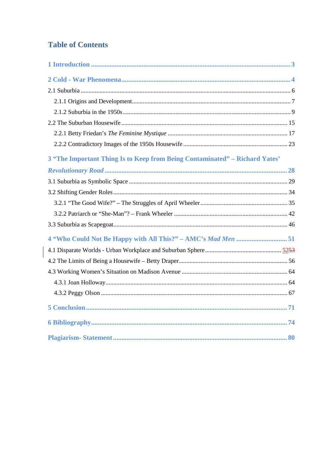# **Table of Contents**

 $\bigg|$ 

| 3 "The Important Thing Is to Keep from Being Contaminated" - Richard Yates' |
|-----------------------------------------------------------------------------|
|                                                                             |
|                                                                             |
|                                                                             |
|                                                                             |
|                                                                             |
|                                                                             |
|                                                                             |
|                                                                             |
|                                                                             |
|                                                                             |
|                                                                             |
|                                                                             |
|                                                                             |
|                                                                             |
|                                                                             |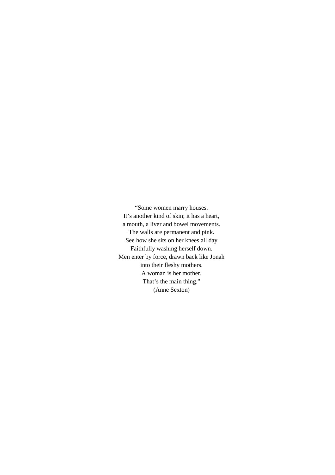"Some women marry houses. It's another kind of skin; it has a heart, a mouth, a liver and bowel movements. The walls are permanent and pink. See how she sits on her knees all day Faithfully washing herself down. Men enter by force, drawn back like Jonah into their fleshy mothers. A woman is her mother. That's the main thing." (Anne Sexton)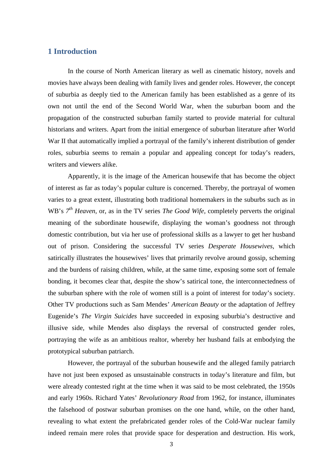## **1 Introduction**

In the course of North American literary as well as cinematic history, novels and movies have always been dealing with family lives and gender roles. However, the concept of suburbia as deeply tied to the American family has been established as a genre of its own not until the end of the Second World War, when the suburban boom and the propagation of the constructed suburban family started to provide material for cultural historians and writers. Apart from the initial emergence of suburban literature after World War II that automatically implied a portrayal of the family's inherent distribution of gender roles, suburbia seems to remain a popular and appealing concept for today's readers, writers and viewers alike.

Apparently, it is the image of the American housewife that has become the object of interest as far as today's popular culture is concerned. Thereby, the portrayal of women varies to a great extent, illustrating both traditional homemakers in the suburbs such as in WB's  $7<sup>th</sup>$  *Heaven*, or, as in the TV series *The Good Wife*, completely perverts the original meaning of the subordinate housewife, displaying the woman's goodness not through domestic contribution, but via her use of professional skills as a lawyer to get her husband out of prison. Considering the successful TV series *Desperate Housewives*, which satirically illustrates the housewives' lives that primarily revolve around gossip, scheming and the burdens of raising children, while, at the same time, exposing some sort of female bonding, it becomes clear that, despite the show's satirical tone, the interconnectedness of the suburban sphere with the role of women still is a point of interest for today's society. Other TV productions such as Sam Mendes' *American Beauty* or the adaptation of Jeffrey Eugenide's *The Virgin Suicides* have succeeded in exposing suburbia's destructive and illusive side, while Mendes also displays the reversal of constructed gender roles, portraying the wife as an ambitious realtor, whereby her husband fails at embodying the prototypical suburban patriarch.

However, the portrayal of the suburban housewife and the alleged family patriarch have not just been exposed as unsustainable constructs in today's literature and film, but were already contested right at the time when it was said to be most celebrated, the 1950s and early 1960s. Richard Yates' *Revolutionary Road* from 1962, for instance, illuminates the falsehood of postwar suburban promises on the one hand, while, on the other hand, revealing to what extent the prefabricated gender roles of the Cold-War nuclear family indeed remain mere roles that provide space for desperation and destruction. His work,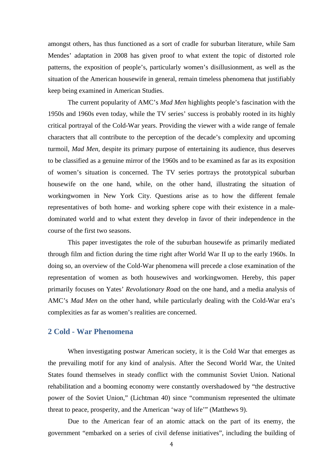amongst others, has thus functioned as a sort of cradle for suburban literature, while Sam Mendes' adaptation in 2008 has given proof to what extent the topic of distorted role patterns, the exposition of people's, particularly women's disillusionment, as well as the situation of the American housewife in general, remain timeless phenomena that justifiably keep being examined in American Studies.

The current popularity of AMC's *Mad Men* highlights people's fascination with the 1950s and 1960s even today, while the TV series' success is probably rooted in its highly critical portrayal of the Cold-War years. Providing the viewer with a wide range of female characters that all contribute to the perception of the decade's complexity and upcoming turmoil, *Mad Men*, despite its primary purpose of entertaining its audience, thus deserves to be classified as a genuine mirror of the 1960s and to be examined as far as its exposition of women's situation is concerned. The TV series portrays the prototypical suburban housewife on the one hand, while, on the other hand, illustrating the situation of workingwomen in New York City. Questions arise as to how the different female representatives of both home- and working sphere cope with their existence in a maledominated world and to what extent they develop in favor of their independence in the course of the first two seasons.

This paper investigates the role of the suburban housewife as primarily mediated through film and fiction during the time right after World War II up to the early 1960s. In doing so, an overview of the Cold-War phenomena will precede a close examination of the representation of women as both housewives and workingwomen. Hereby, this paper primarily focuses on Yates' *Revolutionary Roa*d on the one hand, and a media analysis of AMC's *Mad Men* on the other hand, while particularly dealing with the Cold-War era's complexities as far as women's realities are concerned.

# **2 Cold - War Phenomena**

When investigating postwar American society, it is the Cold War that emerges as the prevailing motif for any kind of analysis. After the Second World War, the United States found themselves in steady conflict with the communist Soviet Union. National rehabilitation and a booming economy were constantly overshadowed by "the destructive power of the Soviet Union," (Lichtman 40) since "communism represented the ultimate threat to peace, prosperity, and the American 'way of life'" (Matthews 9).

Due to the American fear of an atomic attack on the part of its enemy, the government "embarked on a series of civil defense initiatives", including the building of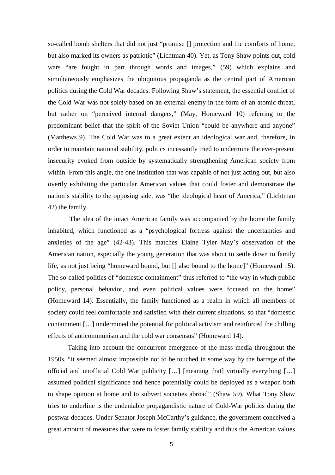so-called bomb shelters that did not just "promise [] protection and the comforts of home, but also marked its owners as patriotic" (Lichtman 40). Yet, as Tony Shaw points out, cold wars "are fought in part through words and images," (59) which explains and simultaneously emphasizes the ubiquitous propaganda as the central part of American politics during the Cold War decades. Following Shaw's statement, the essential conflict of the Cold War was not solely based on an external enemy in the form of an atomic threat, but rather on "perceived internal dangers," (May, Homeward 10) referring to the predominant belief that the spirit of the Soviet Union "could be anywhere and anyone" (Matthews 9). The Cold War was to a great extent an ideological war and, therefore, in order to maintain national stability, politics incessantly tried to undermine the ever-present insecurity evoked from outside by systematically strengthening American society from within. From this angle, the one institution that was capable of not just acting out, but also overtly exhibiting the particular American values that could foster and demonstrate the nation's stability to the opposing side, was "the ideological heart of America," (Lichtman 42) the family.

 The idea of the intact American family was accompanied by the home the family inhabited, which functioned as a "psychological fortress against the uncertainties and anxieties of the age" (42-43). This matches Elaine Tyler May's observation of the American nation, especially the young generation that was about to settle down to family life, as not just being "homeward bound, but [] also bound to the home]" (Homeward 15). The so-called politics of "domestic containment" thus referred to "the way in which public policy, personal behavior, and even political values were focused on the home" (Homeward 14). Essentially, the family functioned as a realm in which all members of society could feel comfortable and satisfied with their current situations, so that "domestic containment […] undermined the potential for political activism and reinforced the chilling effects of anticommunism and the cold war consensus" (Homeward 14).

Taking into account the concurrent emergence of the mass media throughout the 1950s, "it seemed almost impossible not to be touched in some way by the barrage of the official and unofficial Cold War publicity […] [meaning that] virtually everything […] assumed political significance and hence potentially could be deployed as a weapon both to shape opinion at home and to subvert societies abroad" (Shaw 59). What Tony Shaw tries to underline is the undeniable propagandistic nature of Cold-War politics during the postwar decades. Under Senator Joseph McCarthy's guidance, the government conceived a great amount of measures that were to foster family stability and thus the American values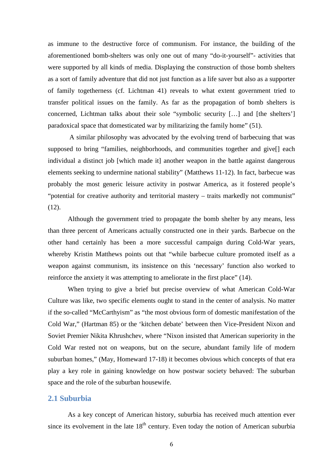as immune to the destructive force of communism. For instance, the building of the aforementioned bomb-shelters was only one out of many "do-it-yourself"- activities that were supported by all kinds of media. Displaying the construction of those bomb shelters as a sort of family adventure that did not just function as a life saver but also as a supporter of family togetherness (cf. Lichtman 41) reveals to what extent government tried to transfer political issues on the family. As far as the propagation of bomb shelters is concerned, Lichtman talks about their sole "symbolic security […] and [the shelters'] paradoxical space that domesticated war by militarizing the family home" (51).

 A similar philosophy was advocated by the evolving trend of barbecuing that was supposed to bring "families, neighborhoods, and communities together and give[] each individual a distinct job [which made it] another weapon in the battle against dangerous elements seeking to undermine national stability" (Matthews 11-12). In fact, barbecue was probably the most generic leisure activity in postwar America, as it fostered people's "potential for creative authority and territorial mastery – traits markedly not communist"  $(12)$ .

Although the government tried to propagate the bomb shelter by any means, less than three percent of Americans actually constructed one in their yards. Barbecue on the other hand certainly has been a more successful campaign during Cold-War years, whereby Kristin Matthews points out that "while barbecue culture promoted itself as a weapon against communism, its insistence on this 'necessary' function also worked to reinforce the anxiety it was attempting to ameliorate in the first place" (14).

When trying to give a brief but precise overview of what American Cold-War Culture was like, two specific elements ought to stand in the center of analysis. No matter if the so-called "McCarthyism" as "the most obvious form of domestic manifestation of the Cold War," (Hartman 85) or the 'kitchen debate' between then Vice-President Nixon and Soviet Premier Nikita Khrushchev, where "Nixon insisted that American superiority in the Cold War rested not on weapons, but on the secure, abundant family life of modern suburban homes," (May, Homeward 17-18) it becomes obvious which concepts of that era play a key role in gaining knowledge on how postwar society behaved: The suburban space and the role of the suburban housewife.

## **2.1 Suburbia**

 As a key concept of American history, suburbia has received much attention ever since its evolvement in the late  $18<sup>th</sup>$  century. Even today the notion of American suburbia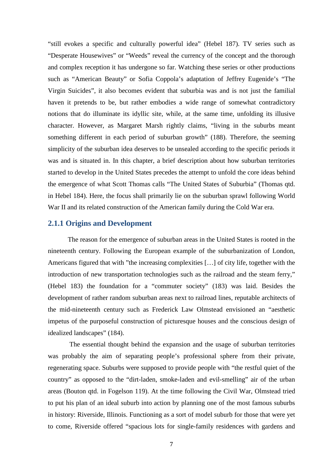"still evokes a specific and culturally powerful idea" (Hebel 187). TV series such as "Desperate Housewives" or "Weeds" reveal the currency of the concept and the thorough and complex reception it has undergone so far. Watching these series or other productions such as "American Beauty" or Sofia Coppola's adaptation of Jeffrey Eugenide's "The Virgin Suicides", it also becomes evident that suburbia was and is not just the familial haven it pretends to be, but rather embodies a wide range of somewhat contradictory notions that do illuminate its idyllic site, while, at the same time, unfolding its illusive character. However, as Margaret Marsh rightly claims, "living in the suburbs meant something different in each period of suburban growth" (188). Therefore, the seeming simplicity of the suburban idea deserves to be unsealed according to the specific periods it was and is situated in. In this chapter, a brief description about how suburban territories started to develop in the United States precedes the attempt to unfold the core ideas behind the emergence of what Scott Thomas calls "The United States of Suburbia" (Thomas qtd. in Hebel 184). Here, the focus shall primarily lie on the suburban sprawl following World War II and its related construction of the American family during the Cold War era.

#### **2.1.1 Origins and Development**

The reason for the emergence of suburban areas in the United States is rooted in the nineteenth century. Following the European example of the suburbanization of London, Americans figured that with "the increasing complexities […] of city life, together with the introduction of new transportation technologies such as the railroad and the steam ferry," (Hebel 183) the foundation for a "commuter society" (183) was laid. Besides the development of rather random suburban areas next to railroad lines, reputable architects of the mid-nineteenth century such as Frederick Law Olmstead envisioned an "aesthetic impetus of the purposeful construction of picturesque houses and the conscious design of idealized landscapes" (184).

 The essential thought behind the expansion and the usage of suburban territories was probably the aim of separating people's professional sphere from their private, regenerating space. Suburbs were supposed to provide people with "the restful quiet of the country" as opposed to the "dirt-laden, smoke-laden and evil-smelling" air of the urban areas (Bouton qtd. in Fogelson 119). At the time following the Civil War, Olmstead tried to put his plan of an ideal suburb into action by planning one of the most famous suburbs in history: Riverside, Illinois. Functioning as a sort of model suburb for those that were yet to come, Riverside offered "spacious lots for single-family residences with gardens and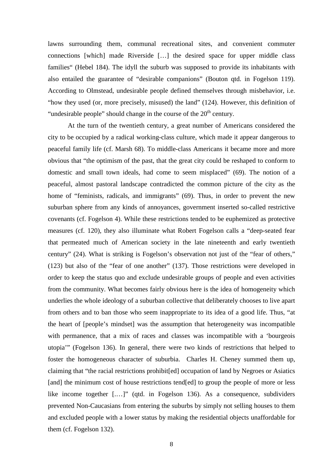lawns surrounding them, communal recreational sites, and convenient commuter connections [which] made Riverside […] the desired space for upper middle class families" (Hebel 184). The idyll the suburb was supposed to provide its inhabitants with also entailed the guarantee of "desirable companions" (Bouton qtd. in Fogelson 119). According to Olmstead, undesirable people defined themselves through misbehavior, i.e. "how they used (or, more precisely, misused) the land" (124). However, this definition of "undesirable people" should change in the course of the  $20<sup>th</sup>$  century.

At the turn of the twentieth century, a great number of Americans considered the city to be occupied by a radical working-class culture, which made it appear dangerous to peaceful family life (cf. Marsh 68). To middle-class Americans it became more and more obvious that "the optimism of the past, that the great city could be reshaped to conform to domestic and small town ideals, had come to seem misplaced" (69). The notion of a peaceful, almost pastoral landscape contradicted the common picture of the city as the home of "feminists, radicals, and immigrants" (69). Thus, in order to prevent the new suburban sphere from any kinds of annoyances, government inserted so-called restrictive covenants (cf. Fogelson 4). While these restrictions tended to be euphemized as protective measures (cf. 120), they also illuminate what Robert Fogelson calls a "deep-seated fear that permeated much of American society in the late nineteenth and early twentieth century" (24). What is striking is Fogelson's observation not just of the "fear of others," (123) but also of the "fear of one another" (137). Those restrictions were developed in order to keep the status quo and exclude undesirable groups of people and even activities from the community. What becomes fairly obvious here is the idea of homogeneity which underlies the whole ideology of a suburban collective that deliberately chooses to live apart from others and to ban those who seem inappropriate to its idea of a good life. Thus, "at the heart of [people's mindset] was the assumption that heterogeneity was incompatible with permanence, that a mix of races and classes was incompatible with a 'bourgeois' utopia'" (Fogelson 136). In general, there were two kinds of restrictions that helped to foster the homogeneous character of suburbia. Charles H. Cheney summed them up, claiming that "the racial restrictions prohibit[ed] occupation of land by Negroes or Asiatics [and] the minimum cost of house restrictions tend[ed] to group the people of more or less like income together [.…]" (qtd. in Fogelson 136). As a consequence, subdividers prevented Non-Caucasians from entering the suburbs by simply not selling houses to them and excluded people with a lower status by making the residential objects unaffordable for them (cf. Fogelson 132).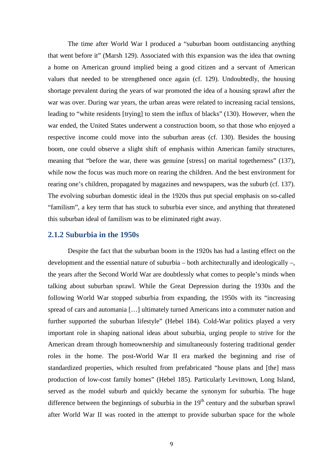The time after World War I produced a "suburban boom outdistancing anything that went before it" (Marsh 129). Associated with this expansion was the idea that owning a home on American ground implied being a good citizen and a servant of American values that needed to be strengthened once again (cf. 129). Undoubtedly, the housing shortage prevalent during the years of war promoted the idea of a housing sprawl after the war was over. During war years, the urban areas were related to increasing racial tensions, leading to "white residents [trying] to stem the influx of blacks" (130). However, when the war ended, the United States underwent a construction boom, so that those who enjoyed a respective income could move into the suburban areas (cf. 130). Besides the housing boom, one could observe a slight shift of emphasis within American family structures, meaning that "before the war, there was genuine [stress] on marital togetherness" (137), while now the focus was much more on rearing the children. And the best environment for rearing one's children, propagated by magazines and newspapers, was the suburb (cf. 137). The evolving suburban domestic ideal in the 1920s thus put special emphasis on so-called "familism", a key term that has stuck to suburbia ever since, and anything that threatened this suburban ideal of familism was to be eliminated right away.

#### **2.1.2 Suburbia in the 1950s**

Despite the fact that the suburban boom in the 1920s has had a lasting effect on the development and the essential nature of suburbia – both architecturally and ideologically –, the years after the Second World War are doubtlessly what comes to people's minds when talking about suburban sprawl. While the Great Depression during the 1930s and the following World War stopped suburbia from expanding, the 1950s with its "increasing spread of cars and automania […] ultimately turned Americans into a commuter nation and further supported the suburban lifestyle" (Hebel 184). Cold-War politics played a very important role in shaping national ideas about suburbia, urging people to strive for the American dream through homeownership and simultaneously fostering traditional gender roles in the home. The post-World War II era marked the beginning and rise of standardized properties, which resulted from prefabricated "house plans and [the] mass production of low-cost family homes" (Hebel 185). Particularly Levittown, Long Island, served as the model suburb and quickly became the synonym for suburbia. The huge difference between the beginnings of suburbia in the  $19<sup>th</sup>$  century and the suburban sprawl after World War II was rooted in the attempt to provide suburban space for the whole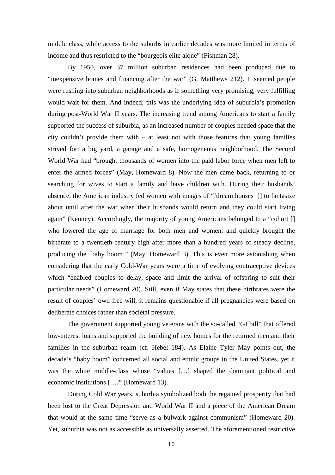middle class, while access to the suburbs in earlier decades was more limited in terms of income and thus restricted to the "bourgeois elite alone" (Fishman 28).

By 1950, over 37 million suburban residences had been produced due to "inexpensive homes and financing after the war" (G. Matthews 212). It seemed people were rushing into suburban neighborhoods as if something very promising, very fulfilling would wait for them. And indeed, this was the underlying idea of suburbia's promotion during post-World War II years. The increasing trend among Americans to start a family supported the success of suburbia, as an increased number of couples needed space that the city couldn't provide them with – at least not with those features that young families strived for: a big yard, a garage and a safe, homogeneous neighborhood. The Second World War had "brought thousands of women into the paid labor force when men left to enter the armed forces" (May, Homeward 8). Now the men came back, returning to or searching for wives to start a family and have children with. During their husbands' absence, the American industry fed women with images of "'dream houses [] to fantasize about until after the war when their husbands would return and they could start living again" (Kenney). Accordingly, the majority of young Americans belonged to a "cohort [] who lowered the age of marriage for both men and women, and quickly brought the birthrate to a twentieth-century high after more than a hundred years of steady decline, producing the 'baby boom'" (May, Homeward 3). This is even more astonishing when considering that the early Cold-War years were a time of evolving contraceptive devices which "enabled couples to delay, space and limit the arrival of offspring to suit their particular needs" (Homeward 20). Still, even if May states that these birthrates were the result of couples' own free will, it remains questionable if all pregnancies were based on deliberate choices rather than societal pressure.

 The government supported young veterans with the so-called "GI bill" that offered low-interest loans and supported the building of new homes for the returned men and their families in the suburban realm (cf. Hebel 184). As Elaine Tyler May points out, the decade's "baby boom" concerned all social and ethnic groups in the United States, yet it was the white middle-class whose "values […] shaped the dominant political and economic institutions […]" (Homeward 13).

During Cold War years, suburbia symbolized both the regained prosperity that had been lost to the Great Depression and World War II and a piece of the American Dream that would at the same time "serve as a bulwark against communism" (Homeward 20). Yet, suburbia was not as accessible as universally asserted. The aforementioned restrictive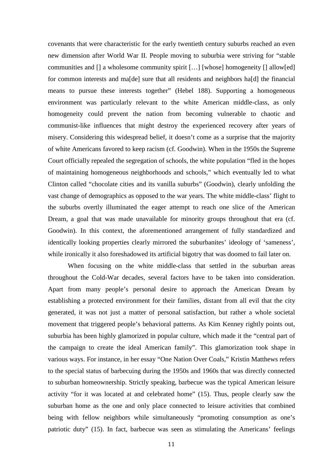covenants that were characteristic for the early twentieth century suburbs reached an even new dimension after World War II. People moving to suburbia were striving for "stable communities and [] a wholesome community spirit […] [whose] homogeneity [] allow[ed] for common interests and ma[de] sure that all residents and neighbors ha[d] the financial means to pursue these interests together" (Hebel 188). Supporting a homogeneous environment was particularly relevant to the white American middle-class, as only homogeneity could prevent the nation from becoming vulnerable to chaotic and communist-like influences that might destroy the experienced recovery after years of misery. Considering this widespread belief, it doesn't come as a surprise that the majority of white Americans favored to keep racism (cf. Goodwin). When in the 1950s the Supreme Court officially repealed the segregation of schools, the white population "fled in the hopes of maintaining homogeneous neighborhoods and schools," which eventually led to what Clinton called "chocolate cities and its vanilla suburbs" (Goodwin), clearly unfolding the vast change of demographics as opposed to the war years. The white middle-class' flight to the suburbs overtly illuminated the eager attempt to reach one slice of the American Dream, a goal that was made unavailable for minority groups throughout that era (cf. Goodwin). In this context, the aforementioned arrangement of fully standardized and identically looking properties clearly mirrored the suburbanites' ideology of 'sameness', while ironically it also foreshadowed its artificial bigotry that was doomed to fail later on.

When focusing on the white middle-class that settled in the suburban areas throughout the Cold-War decades, several factors have to be taken into consideration. Apart from many people's personal desire to approach the American Dream by establishing a protected environment for their families, distant from all evil that the city generated, it was not just a matter of personal satisfaction, but rather a whole societal movement that triggered people's behavioral patterns. As Kim Kenney rightly points out, suburbia has been highly glamorized in popular culture, which made it the "central part of the campaign to create the ideal American family". This glamorization took shape in various ways. For instance, in her essay "One Nation Over Coals," Kristin Matthews refers to the special status of barbecuing during the 1950s and 1960s that was directly connected to suburban homeownership. Strictly speaking, barbecue was the typical American leisure activity "for it was located at and celebrated home" (15). Thus, people clearly saw the suburban home as the one and only place connected to leisure activities that combined being with fellow neighbors while simultaneously "promoting consumption as one's patriotic duty" (15). In fact, barbecue was seen as stimulating the Americans' feelings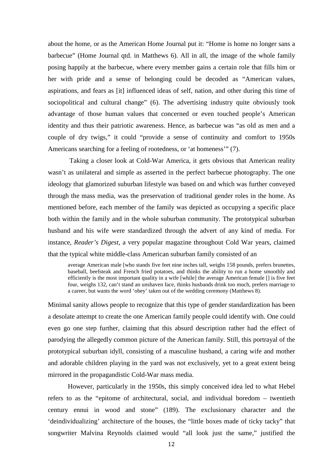about the home, or as the American Home Journal put it: "Home is home no longer sans a barbecue" (Home Journal qtd. in Matthews 6). All in all, the image of the whole family posing happily at the barbecue, where every member gains a certain role that fills him or her with pride and a sense of belonging could be decoded as "American values, aspirations, and fears as [it] influenced ideas of self, nation, and other during this time of sociopolitical and cultural change" (6). The advertising industry quite obviously took advantage of those human values that concerned or even touched people's American identity and thus their patriotic awareness. Hence, as barbecue was "as old as men and a couple of dry twigs," it could "provide a sense of continuity and comfort to 1950s Americans searching for a feeling of rootedness, or 'at homeness'" (7).

 Taking a closer look at Cold-War America, it gets obvious that American reality wasn't as unilateral and simple as asserted in the perfect barbecue photography. The one ideology that glamorized suburban lifestyle was based on and which was further conveyed through the mass media, was the preservation of traditional gender roles in the home. As mentioned before, each member of the family was depicted as occupying a specific place both within the family and in the whole suburban community. The prototypical suburban husband and his wife were standardized through the advert of any kind of media. For instance, *Reader's Digest*, a very popular magazine throughout Cold War years, claimed that the typical white middle-class American suburban family consisted of an

average American male [who stands five feet nine inches tall, weighs 158 pounds, prefers brunettes, baseball, beefsteak and French fried potatoes, and thinks the ability to run a home smoothly and efficiently is the most important quality in a wife [while] the average American female [] is five feet four, weighs 132, can't stand an unshaven face, thinks husbands drink too much, prefers marriage to a career, but wants the word 'obey' taken out of the wedding ceremony (Matthews 8).

Minimal sanity allows people to recognize that this type of gender standardization has been a desolate attempt to create the one American family people could identify with. One could even go one step further, claiming that this absurd description rather had the effect of parodying the allegedly common picture of the American family. Still, this portrayal of the prototypical suburban idyll, consisting of a masculine husband, a caring wife and mother and adorable children playing in the yard was not exclusively, yet to a great extent being mirrored in the propagandistic Cold-War mass media.

 However, particularly in the 1950s, this simply conceived idea led to what Hebel refers to as the "epitome of architectural, social, and individual boredom – twentieth century ennui in wood and stone" (189). The exclusionary character and the 'deindividualizing' architecture of the houses, the "little boxes made of ticky tacky" that songwriter Malvina Reynolds claimed would "all look just the same," justified the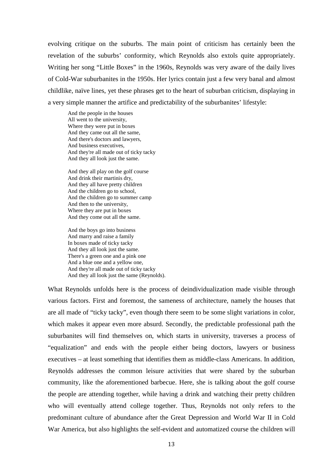evolving critique on the suburbs. The main point of criticism has certainly been the revelation of the suburbs' conformity, which Reynolds also extols quite appropriately. Writing her song "Little Boxes" in the 1960s, Reynolds was very aware of the daily lives of Cold-War suburbanites in the 1950s. Her lyrics contain just a few very banal and almost childlike, naïve lines, yet these phrases get to the heart of suburban criticism, displaying in a very simple manner the artifice and predictability of the suburbanites' lifestyle:

And the people in the houses All went to the university, Where they were put in boxes And they came out all the same, And there's doctors and lawyers, And business executives, And they're all made out of ticky tacky And they all look just the same.

And they all play on the golf course And drink their martinis dry, And they all have pretty children And the children go to school, And the children go to summer camp And then to the university, Where they are put in boxes And they come out all the same.

And the boys go into business And marry and raise a family In boxes made of ticky tacky And they all look just the same. There's a green one and a pink one And a blue one and a yellow one, And they're all made out of ticky tacky And they all look just the same (Reynolds).

What Reynolds unfolds here is the process of deindividualization made visible through various factors. First and foremost, the sameness of architecture, namely the houses that are all made of "ticky tacky", even though there seem to be some slight variations in color, which makes it appear even more absurd. Secondly, the predictable professional path the suburbanites will find themselves on, which starts in university, traverses a process of "equalization" and ends with the people either being doctors, lawyers or business executives – at least something that identifies them as middle-class Americans. In addition, Reynolds addresses the common leisure activities that were shared by the suburban community, like the aforementioned barbecue. Here, she is talking about the golf course the people are attending together, while having a drink and watching their pretty children who will eventually attend college together. Thus, Reynolds not only refers to the predominant culture of abundance after the Great Depression and World War II in Cold War America, but also highlights the self-evident and automatized course the children will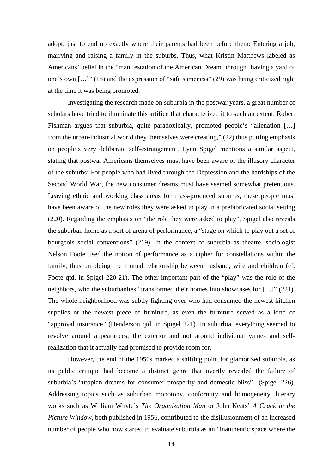adopt, just to end up exactly where their parents had been before them: Entering a job, marrying and raising a family in the suburbs. Thus, what Kristin Matthews labeled as Americans' belief in the "manifestation of the American Dream [through] having a yard of one's own […]" (18) and the expression of "safe sameness" (29) was being criticized right at the time it was being promoted.

 Investigating the research made on suburbia in the postwar years, a great number of scholars have tried to illuminate this artifice that characterized it to such an extent. Robert Fishman argues that suburbia, quite paradoxically, promoted people's "alienation […] from the urban-industrial world they themselves were creating," (22) thus putting emphasis on people's very deliberate self-estrangement. Lynn Spigel mentions a similar aspect, stating that postwar Americans themselves must have been aware of the illusory character of the suburbs: For people who had lived through the Depression and the hardships of the Second World War, the new consumer dreams must have seemed somewhat pretentious. Leaving ethnic and working class areas for mass-produced suburbs, these people must have been aware of the new roles they were asked to play in a prefabricated social setting (220). Regarding the emphasis on "the role they were asked to play", Spigel also reveals the suburban home as a sort of arena of performance, a "stage on which to play out a set of bourgeois social conventions" (219). In the context of suburbia as theatre, sociologist Nelson Foote used the notion of performance as a cipher for constellations within the family, thus unfolding the mutual relationship between husband, wife and children (cf. Foote qtd. in Spigel 220-21). The other important part of the "play" was the role of the neighbors, who the suburbanites "transformed their homes into showcases for […]" (221). The whole neighborhood was subtly fighting over who had consumed the newest kitchen supplies or the newest piece of furniture, as even the furniture served as a kind of "approval insurance" (Henderson qtd. in Spigel 221). In suburbia, everything seemed to revolve around appearances, the exterior and not around individual values and selfrealization that it actually had promised to provide room for.

 However, the end of the 1950s marked a shifting point for glamorized suburbia, as its public critique had become a distinct genre that overtly revealed the failure of suburbia's "utopian dreams for consumer prosperity and domestic bliss" (Spigel 226). Addressing topics such as suburban monotony, conformity and homogeneity, literary works such as William Whyte's *The Organization Man* or John Keats' *A Crack in the Picture Window,* both published in 1956, contributed to the disillusionment of an increased number of people who now started to evaluate suburbia as an "inauthentic space where the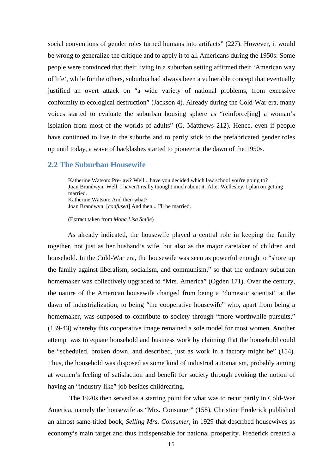social conventions of gender roles turned humans into artifacts" (227). However, it would be wrong to generalize the critique and to apply it to all Americans during the 1950s: Some people were convinced that their living in a suburban setting affirmed their 'American way of life', while for the others, suburbia had always been a vulnerable concept that eventually justified an overt attack on "a wide variety of national problems, from excessive conformity to ecological destruction" (Jackson 4). Already during the Cold-War era, many voices started to evaluate the suburban housing sphere as "reinforce[ing] a woman's isolation from most of the worlds of adults" (G. Matthews 212). Hence, even if people have continued to live in the suburbs and to partly stick to the prefabricated gender roles up until today, a wave of backlashes started to pioneer at the dawn of the 1950s.

## **2.2 The Suburban Housewife**

Katherine Watson: Pre-law? Well... have you decided which law school you're going to? Joan Brandwyn: Well, I haven't really thought much about it. After Wellesley, I plan on getting married. Katherine Watson: And then what?

Joan Brandwyn: [*confused*] And then... I'll be married.

(Extract taken from *Mona Lisa Smile*)

As already indicated, the housewife played a central role in keeping the family together, not just as her husband's wife, but also as the major caretaker of children and household. In the Cold-War era, the housewife was seen as powerful enough to "shore up the family against liberalism, socialism, and communism," so that the ordinary suburban homemaker was collectively upgraded to "Mrs. America" (Ogden 171). Over the century, the nature of the American housewife changed from being a "domestic scientist" at the dawn of industrialization, to being "the cooperative housewife" who, apart from being a homemaker, was supposed to contribute to society through "more worthwhile pursuits," (139-43) whereby this cooperative image remained a sole model for most women. Another attempt was to equate household and business work by claiming that the household could be "scheduled, broken down, and described, just as work in a factory might be" (154). Thus, the household was disposed as some kind of industrial automatism, probably aiming at women's feeling of satisfaction and benefit for society through evoking the notion of having an "industry-like" job besides childrearing.

 The 1920s then served as a starting point for what was to recur partly in Cold-War America, namely the housewife as "Mrs. Consumer" (158). Christine Frederick published an almost same-titled book, *Selling Mrs. Consumer*, in 1929 that described housewives as economy's main target and thus indispensable for national prosperity. Frederick created a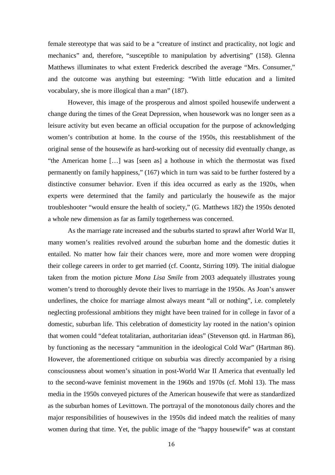female stereotype that was said to be a "creature of instinct and practicality, not logic and mechanics" and, therefore, "susceptible to manipulation by advertising" (158). Glenna Matthews illuminates to what extent Frederick described the average "Mrs. Consumer," and the outcome was anything but esteeming: "With little education and a limited vocabulary, she is more illogical than a man" (187).

However, this image of the prosperous and almost spoiled housewife underwent a change during the times of the Great Depression, when housework was no longer seen as a leisure activity but even became an official occupation for the purpose of acknowledging women's contribution at home. In the course of the 1950s, this reestablishment of the original sense of the housewife as hard-working out of necessity did eventually change, as "the American home […] was [seen as] a hothouse in which the thermostat was fixed permanently on family happiness," (167) which in turn was said to be further fostered by a distinctive consumer behavior. Even if this idea occurred as early as the 1920s, when experts were determined that the family and particularly the housewife as the major troubleshooter "would ensure the health of society," (G. Matthews 182) the 1950s denoted a whole new dimension as far as family togetherness was concerned.

As the marriage rate increased and the suburbs started to sprawl after World War II, many women's realities revolved around the suburban home and the domestic duties it entailed. No matter how fair their chances were, more and more women were dropping their college careers in order to get married (cf. Coontz, Stirring 109). The initial dialogue taken from the motion picture *Mona Lisa Smile* from 2003 adequately illustrates young women's trend to thoroughly devote their lives to marriage in the 1950s. As Joan's answer underlines, the choice for marriage almost always meant "all or nothing", i.e. completely neglecting professional ambitions they might have been trained for in college in favor of a domestic, suburban life. This celebration of domesticity lay rooted in the nation's opinion that women could "defeat totalitarian, authoritarian ideas" (Stevenson qtd. in Hartman 86), by functioning as the necessary "ammunition in the ideological Cold War" (Hartman 86). However, the aforementioned critique on suburbia was directly accompanied by a rising consciousness about women's situation in post-World War II America that eventually led to the second-wave feminist movement in the 1960s and 1970s (cf. Mohl 13). The mass media in the 1950s conveyed pictures of the American housewife that were as standardized as the suburban homes of Levittown. The portrayal of the monotonous daily chores and the major responsibilities of housewives in the 1950s did indeed match the realities of many women during that time. Yet, the public image of the "happy housewife" was at constant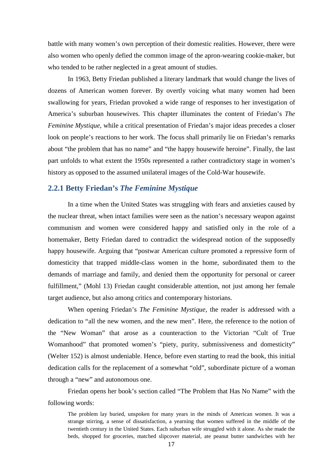battle with many women's own perception of their domestic realities. However, there were also women who openly defied the common image of the apron-wearing cookie-maker, but who tended to be rather neglected in a great amount of studies.

 In 1963, Betty Friedan published a literary landmark that would change the lives of dozens of American women forever. By overtly voicing what many women had been swallowing for years, Friedan provoked a wide range of responses to her investigation of America's suburban housewives. This chapter illuminates the content of Friedan's *The Feminine Mystique*, while a critical presentation of Friedan's major ideas precedes a closer look on people's reactions to her work. The focus shall primarily lie on Friedan's remarks about "the problem that has no name" and "the happy housewife heroine". Finally, the last part unfolds to what extent the 1950s represented a rather contradictory stage in women's history as opposed to the assumed unilateral images of the Cold-War housewife.

#### **2.2.1 Betty Friedan's** *The Feminine Mystique*

In a time when the United States was struggling with fears and anxieties caused by the nuclear threat, when intact families were seen as the nation's necessary weapon against communism and women were considered happy and satisfied only in the role of a homemaker, Betty Friedan dared to contradict the widespread notion of the supposedly happy housewife. Arguing that "postwar American culture promoted a repressive form of domesticity that trapped middle-class women in the home, subordinated them to the demands of marriage and family, and denied them the opportunity for personal or career fulfillment," (Mohl 13) Friedan caught considerable attention, not just among her female target audience, but also among critics and contemporary historians.

 When opening Friedan's *The Feminine Mystique*, the reader is addressed with a dedication to "all the new women, and the new men". Here, the reference to the notion of the "New Woman" that arose as a counteraction to the Victorian "Cult of True Womanhood" that promoted women's "piety, purity, submissiveness and domesticity" (Welter 152) is almost undeniable. Hence, before even starting to read the book, this initial dedication calls for the replacement of a somewhat "old", subordinate picture of a woman through a "new" and autonomous one.

 Friedan opens her book's section called "The Problem that Has No Name" with the following words:

The problem lay buried, unspoken for many years in the minds of American women. It was a strange stirring, a sense of dissatisfaction, a yearning that women suffered in the middle of the twentieth century in the United States. Each suburban wife struggled with it alone. As she made the beds, shopped for groceries, matched slipcover material, ate peanut butter sandwiches with her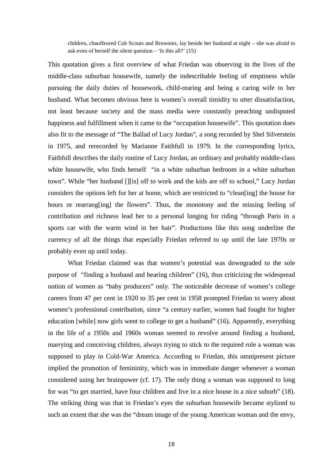children, chauffeured Cub Scouts and Brownies, lay beside her husband at night – she was afraid to ask even of herself the silent question  $-$  'Is this all?' (15)

This quotation gives a first overview of what Friedan was observing in the lives of the middle-class suburban housewife, namely the indescribable feeling of emptiness while pursuing the daily duties of housework, child-rearing and being a caring wife to her husband. What becomes obvious here is women's overall timidity to utter dissatisfaction, not least because society and the mass media were constantly preaching undisputed happiness and fulfillment when it came to the "occupation housewife". This quotation does also fit to the message of "The Ballad of Lucy Jordan", a song recorded by Shel Silverstein in 1975, and rerecorded by Marianne Faithfull in 1979. In the corresponding lyrics, Faithfull describes the daily routine of Lucy Jordan, an ordinary and probably middle-class white housewife, who finds herself "in a white suburban bedroom in a white suburban town". While "her husband [][is] off to work and the kids are off to school," Lucy Jordan considers the options left for her at home, which are restricted to "clean[ing] the house for hours or rearrang[ing] the flowers". Thus, the monotony and the missing feeling of contribution and richness lead her to a personal longing for riding "through Paris in a sports car with the warm wind in her hair". Productions like this song underline the currency of all the things that especially Friedan referred to up until the late 1970s or probably even up until today.

 What Friedan claimed was that women's potential was downgraded to the sole purpose of "finding a husband and bearing children" (16), thus criticizing the widespread notion of women as "baby producers" only. The noticeable decrease of women's college careers from 47 per cent in 1920 to 35 per cent in 1958 prompted Friedan to worry about women's professional contribution, since "a century earlier, women had fought for higher education [while] now girls went to college to get a husband" (16). Apparently, everything in the life of a 1950s and 1960s woman seemed to revolve around finding a husband, marrying and conceiving children, always trying to stick to the required role a woman was supposed to play in Cold-War America. According to Friedan, this omnipresent picture implied the promotion of femininity, which was in immediate danger whenever a woman considered using her brainpower (cf. 17). The only thing a woman was supposed to long for was "to get married, have four children and live in a nice house in a nice suburb" (18). The striking thing was that in Friedan's eyes the suburban housewife became stylized to such an extent that she was the "dream image of the young American woman and the envy,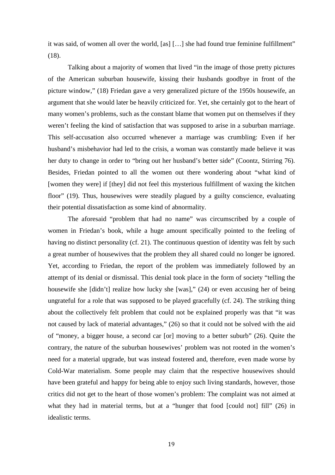it was said, of women all over the world, [as] […] she had found true feminine fulfillment" (18).

 Talking about a majority of women that lived "in the image of those pretty pictures of the American suburban housewife, kissing their husbands goodbye in front of the picture window," (18) Friedan gave a very generalized picture of the 1950s housewife, an argument that she would later be heavily criticized for. Yet, she certainly got to the heart of many women's problems, such as the constant blame that women put on themselves if they weren't feeling the kind of satisfaction that was supposed to arise in a suburban marriage. This self-accusation also occurred whenever a marriage was crumbling: Even if her husband's misbehavior had led to the crisis, a woman was constantly made believe it was her duty to change in order to "bring out her husband's better side" (Coontz, Stirring 76). Besides, Friedan pointed to all the women out there wondering about "what kind of [women they were] if [they] did not feel this mysterious fulfillment of waxing the kitchen floor" (19). Thus, housewives were steadily plagued by a guilty conscience, evaluating their potential dissatisfaction as some kind of abnormality.

 The aforesaid "problem that had no name" was circumscribed by a couple of women in Friedan's book, while a huge amount specifically pointed to the feeling of having no distinct personality (cf. 21). The continuous question of identity was felt by such a great number of housewives that the problem they all shared could no longer be ignored. Yet, according to Friedan, the report of the problem was immediately followed by an attempt of its denial or dismissal. This denial took place in the form of society "telling the housewife she [didn't] realize how lucky she [was]," (24) or even accusing her of being ungrateful for a role that was supposed to be played gracefully (cf. 24). The striking thing about the collectively felt problem that could not be explained properly was that "it was not caused by lack of material advantages," (26) so that it could not be solved with the aid of "money, a bigger house, a second car [or] moving to a better suburb" (26). Quite the contrary, the nature of the suburban housewives' problem was not rooted in the women's need for a material upgrade, but was instead fostered and, therefore, even made worse by Cold-War materialism. Some people may claim that the respective housewives should have been grateful and happy for being able to enjoy such living standards, however, those critics did not get to the heart of those women's problem: The complaint was not aimed at what they had in material terms, but at a "hunger that food [could not] fill" (26) in idealistic terms.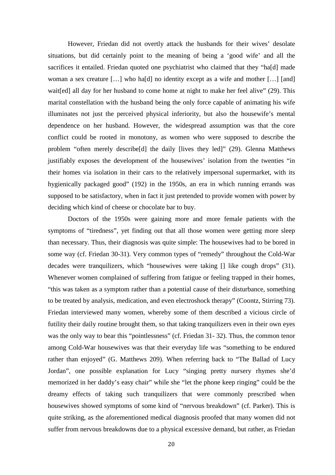However, Friedan did not overtly attack the husbands for their wives' desolate situations, but did certainly point to the meaning of being a 'good wife' and all the sacrifices it entailed. Friedan quoted one psychiatrist who claimed that they "ha[d] made woman a sex creature [...] who has d no identity except as a wife and mother [...] [and] wait[ed] all day for her husband to come home at night to make her feel alive" (29). This marital constellation with the husband being the only force capable of animating his wife illuminates not just the perceived physical inferiority, but also the housewife's mental dependence on her husband. However, the widespread assumption was that the core conflict could be rooted in monotony, as women who were supposed to describe the problem "often merely describe[d] the daily [lives they led]" (29). Glenna Matthews justifiably exposes the development of the housewives' isolation from the twenties "in their homes via isolation in their cars to the relatively impersonal supermarket, with its hygienically packaged good" (192) in the 1950s, an era in which running errands was supposed to be satisfactory, when in fact it just pretended to provide women with power by deciding which kind of cheese or chocolate bar to buy.

 Doctors of the 1950s were gaining more and more female patients with the symptoms of "tiredness", yet finding out that all those women were getting more sleep than necessary. Thus, their diagnosis was quite simple: The housewives had to be bored in some way (cf. Friedan 30-31). Very common types of "remedy" throughout the Cold-War decades were tranquilizers, which "housewives were taking [] like cough drops" (31). Whenever women complained of suffering from fatigue or feeling trapped in their homes, "this was taken as a symptom rather than a potential cause of their disturbance, something to be treated by analysis, medication, and even electroshock therapy" (Coontz, Stirring 73). Friedan interviewed many women, whereby some of them described a vicious circle of futility their daily routine brought them, so that taking tranquilizers even in their own eyes was the only way to bear this "pointlessness" (cf. Friedan 31-32). Thus, the common tenor among Cold-War housewives was that their everyday life was "something to be endured rather than enjoyed" (G. Matthews 209). When referring back to "The Ballad of Lucy Jordan", one possible explanation for Lucy "singing pretty nursery rhymes she'd memorized in her daddy's easy chair" while she "let the phone keep ringing" could be the dreamy effects of taking such tranquilizers that were commonly prescribed when housewives showed symptoms of some kind of "nervous breakdown" (cf. Parker). This is quite striking, as the aforementioned medical diagnosis proofed that many women did not suffer from nervous breakdowns due to a physical excessive demand, but rather, as Friedan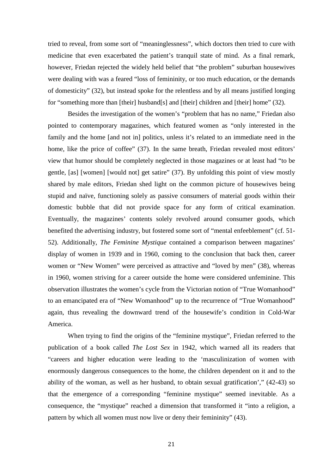tried to reveal, from some sort of "meaninglessness", which doctors then tried to cure with medicine that even exacerbated the patient's tranquil state of mind. As a final remark, however, Friedan rejected the widely held belief that "the problem" suburban housewives were dealing with was a feared "loss of femininity, or too much education, or the demands of domesticity" (32), but instead spoke for the relentless and by all means justified longing for "something more than [their] husband[s] and [their] children and [their] home" (32).

 Besides the investigation of the women's "problem that has no name," Friedan also pointed to contemporary magazines, which featured women as "only interested in the family and the home [and not in] politics, unless it's related to an immediate need in the home, like the price of coffee" (37). In the same breath, Friedan revealed most editors' view that humor should be completely neglected in those magazines or at least had "to be gentle, [as] [women] [would not] get satire" (37). By unfolding this point of view mostly shared by male editors, Friedan shed light on the common picture of housewives being stupid and naïve, functioning solely as passive consumers of material goods within their domestic bubble that did not provide space for any form of critical examination. Eventually, the magazines' contents solely revolved around consumer goods, which benefited the advertising industry, but fostered some sort of "mental enfeeblement" (cf. 51- 52). Additionally, *The Feminine Mystique* contained a comparison between magazines' display of women in 1939 and in 1960, coming to the conclusion that back then, career women or "New Women" were perceived as attractive and "loved by men" (38), whereas in 1960, women striving for a career outside the home were considered unfeminine. This observation illustrates the women's cycle from the Victorian notion of "True Womanhood" to an emancipated era of "New Womanhood" up to the recurrence of "True Womanhood" again, thus revealing the downward trend of the housewife's condition in Cold-War America.

When trying to find the origins of the "feminine mystique", Friedan referred to the publication of a book called *The Lost Sex* in 1942, which warned all its readers that "careers and higher education were leading to the 'masculinization of women with enormously dangerous consequences to the home, the children dependent on it and to the ability of the woman, as well as her husband, to obtain sexual gratification'," (42-43) so that the emergence of a corresponding "feminine mystique" seemed inevitable. As a consequence, the "mystique" reached a dimension that transformed it "into a religion, a pattern by which all women must now live or deny their femininity" (43).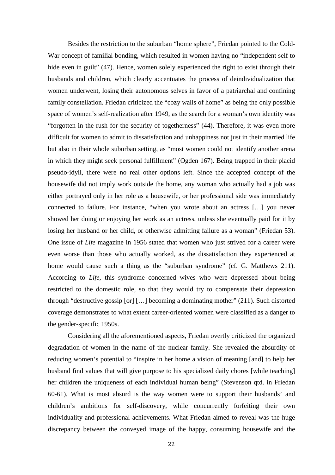Besides the restriction to the suburban "home sphere", Friedan pointed to the Cold-War concept of familial bonding, which resulted in women having no "independent self to hide even in guilt" (47). Hence, women solely experienced the right to exist through their husbands and children, which clearly accentuates the process of deindividualization that women underwent, losing their autonomous selves in favor of a patriarchal and confining family constellation. Friedan criticized the "cozy walls of home" as being the only possible space of women's self-realization after 1949, as the search for a woman's own identity was "forgotten in the rush for the security of togetherness" (44). Therefore, it was even more difficult for women to admit to dissatisfaction and unhappiness not just in their married life but also in their whole suburban setting, as "most women could not identify another arena in which they might seek personal fulfillment" (Ogden 167). Being trapped in their placid pseudo-idyll, there were no real other options left. Since the accepted concept of the housewife did not imply work outside the home, any woman who actually had a job was either portrayed only in her role as a housewife, or her professional side was immediately connected to failure. For instance, "when you wrote about an actress […] you never showed her doing or enjoying her work as an actress, unless she eventually paid for it by losing her husband or her child, or otherwise admitting failure as a woman" (Friedan 53). One issue of *Life* magazine in 1956 stated that women who just strived for a career were even worse than those who actually worked, as the dissatisfaction they experienced at home would cause such a thing as the "suburban syndrome" (cf. G. Matthews 211). According to *Life*, this syndrome concerned wives who were depressed about being restricted to the domestic role, so that they would try to compensate their depression through "destructive gossip [or] […] becoming a dominating mother" (211). Such distorted coverage demonstrates to what extent career-oriented women were classified as a danger to the gender-specific 1950s.

Considering all the aforementioned aspects, Friedan overtly criticized the organized degradation of women in the name of the nuclear family. She revealed the absurdity of reducing women's potential to "inspire in her home a vision of meaning [and] to help her husband find values that will give purpose to his specialized daily chores [while teaching] her children the uniqueness of each individual human being" (Stevenson qtd. in Friedan 60-61). What is most absurd is the way women were to support their husbands' and children's ambitions for self-discovery, while concurrently forfeiting their own individuality and professional achievements. What Friedan aimed to reveal was the huge discrepancy between the conveyed image of the happy, consuming housewife and the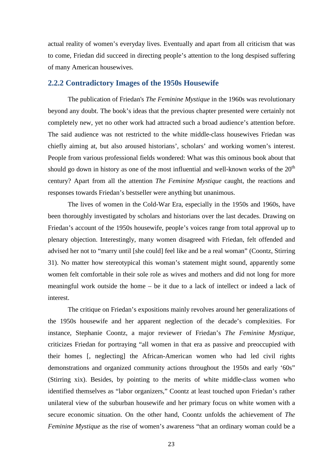actual reality of women's everyday lives. Eventually and apart from all criticism that was to come, Friedan did succeed in directing people's attention to the long despised suffering of many American housewives.

# **2.2.2 Contradictory Images of the 1950s Housewife**

The publication of Friedan's *The Feminine Mystique* in the 1960s was revolutionary beyond any doubt. The book's ideas that the previous chapter presented were certainly not completely new, yet no other work had attracted such a broad audience's attention before. The said audience was not restricted to the white middle-class housewives Friedan was chiefly aiming at, but also aroused historians', scholars' and working women's interest. People from various professional fields wondered: What was this ominous book about that should go down in history as one of the most influential and well-known works of the  $20<sup>th</sup>$ century? Apart from all the attention *The Feminine Mystique* caught, the reactions and responses towards Friedan's bestseller were anything but unanimous.

 The lives of women in the Cold-War Era, especially in the 1950s and 1960s, have been thoroughly investigated by scholars and historians over the last decades. Drawing on Friedan's account of the 1950s housewife, people's voices range from total approval up to plenary objection. Interestingly, many women disagreed with Friedan, felt offended and advised her not to "marry until [she could] feel like and be a real woman" (Coontz, Stirring 31). No matter how stereotypical this woman's statement might sound, apparently some women felt comfortable in their sole role as wives and mothers and did not long for more meaningful work outside the home – be it due to a lack of intellect or indeed a lack of interest.

The critique on Friedan's expositions mainly revolves around her generalizations of the 1950s housewife and her apparent neglection of the decade's complexities. For instance, Stephanie Coontz, a major reviewer of Friedan's *The Feminine Mystique,* criticizes Friedan for portraying "all women in that era as passive and preoccupied with their homes [, neglecting] the African-American women who had led civil rights demonstrations and organized community actions throughout the 1950s and early '60s" (Stirring xix). Besides, by pointing to the merits of white middle-class women who identified themselves as "labor organizers," Coontz at least touched upon Friedan's rather unilateral view of the suburban housewife and her primary focus on white women with a secure economic situation. On the other hand, Coontz unfolds the achievement of *The Feminine Mystique* as the rise of women's awareness "that an ordinary woman could be a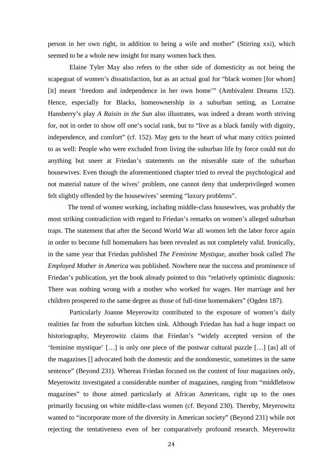person in her own right, in addition to being a wife and mother" (Stirring xxi), which seemed to be a whole new insight for many women back then.

 Elaine Tyler May also refers to the other side of domesticity as not being the scapegoat of women's dissatisfaction, but as an actual goal for "black women [for whom] [it] meant 'freedom and independence in her own home'" (Ambivalent Dreams 152). Hence, especially for Blacks, homeownership in a suburban setting, as Lorraine Hansberry's play *A Raisin in the Sun* also illustrates, was indeed a dream worth striving for, not in order to show off one's social rank, but to "live as a black family with dignity, independence, and comfort" (cf. 152). May gets to the heart of what many critics pointed to as well: People who were excluded from living the suburban life by force could not do anything but sneer at Friedan's statements on the miserable state of the suburban housewives. Even though the aforementioned chapter tried to reveal the psychological and not material nature of the wives' problem, one cannot deny that underprivileged women felt slightly offended by the housewives' seeming "luxury problems".

 The trend of women working, including middle-class housewives, was probably the most striking contradiction with regard to Friedan's remarks on women's alleged suburban traps. The statement that after the Second World War all women left the labor force again in order to become full homemakers has been revealed as not completely valid. Ironically, in the same year that Friedan published *The Feminine Mystique*, another book called *The Employed Mother in America* was published. Nowhere near the success and prominence of Friedan's publication, yet the book already pointed to this "relatively optimistic diagnosis: There was nothing wrong with a mother who worked for wages. Her marriage and her children prospered to the same degree as those of full-time homemakers" (Ogden 187).

 Particularly Joanne Meyerowitz contributed to the exposure of women's daily realities far from the suburban kitchen sink. Although Friedan has had a huge impact on historiography, Meyerowitz claims that Friedan's "widely accepted version of the 'feminine mystique' […] is only one piece of the postwar cultural puzzle […] [as] all of the magazines [] advocated both the domestic and the nondomestic, sometimes in the same sentence" (Beyond 231). Whereas Friedan focused on the content of four magazines only, Meyerowitz investigated a considerable number of magazines, ranging from "middlebrow magazines" to those aimed particularly at African Americans, right up to the ones primarily focusing on white middle-class women (cf. Beyond 230). Thereby, Meyerowitz wanted to "incorporate more of the diversity in American society" (Beyond 231) while not rejecting the tentativeness even of her comparatively profound research. Meyerowitz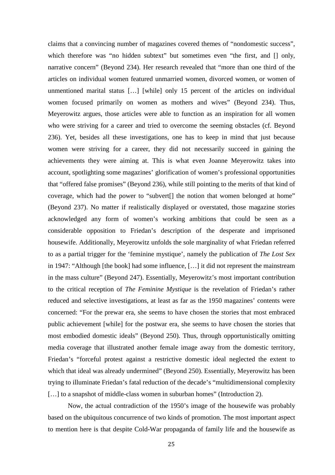claims that a convincing number of magazines covered themes of "nondomestic success", which therefore was "no hidden subtext" but sometimes even "the first, and  $\Box$  only, narrative concern" (Beyond 234). Her research revealed that "more than one third of the articles on individual women featured unmarried women, divorced women, or women of unmentioned marital status […] [while] only 15 percent of the articles on individual women focused primarily on women as mothers and wives" (Beyond 234). Thus, Meyerowitz argues, those articles were able to function as an inspiration for all women who were striving for a career and tried to overcome the seeming obstacles (cf. Beyond 236). Yet, besides all these investigations, one has to keep in mind that just because women were striving for a career, they did not necessarily succeed in gaining the achievements they were aiming at. This is what even Joanne Meyerowitz takes into account, spotlighting some magazines' glorification of women's professional opportunities that "offered false promises" (Beyond 236), while still pointing to the merits of that kind of coverage, which had the power to "subvert[] the notion that women belonged at home" (Beyond 237). No matter if realistically displayed or overstated, those magazine stories acknowledged any form of women's working ambitions that could be seen as a considerable opposition to Friedan's description of the desperate and imprisoned housewife. Additionally, Meyerowitz unfolds the sole marginality of what Friedan referred to as a partial trigger for the 'feminine mystique', namely the publication of *The Lost Sex* in 1947: "Although [the book] had some influence, […] it did not represent the mainstream in the mass culture" (Beyond 247). Essentially, Meyerowitz's most important contribution to the critical reception of *The Feminine Mystique* is the revelation of Friedan's rather reduced and selective investigations, at least as far as the 1950 magazines' contents were concerned: "For the prewar era, she seems to have chosen the stories that most embraced public achievement [while] for the postwar era, she seems to have chosen the stories that most embodied domestic ideals" (Beyond 250). Thus, through opportunistically omitting media coverage that illustrated another female image away from the domestic territory, Friedan's "forceful protest against a restrictive domestic ideal neglected the extent to which that ideal was already undermined" (Beyond 250). Essentially, Meyerowitz has been trying to illuminate Friedan's fatal reduction of the decade's "multidimensional complexity [...] to a snapshot of middle-class women in suburban homes" (Introduction 2).

Now, the actual contradiction of the 1950's image of the housewife was probably based on the ubiquitous concurrence of two kinds of promotion. The most important aspect to mention here is that despite Cold-War propaganda of family life and the housewife as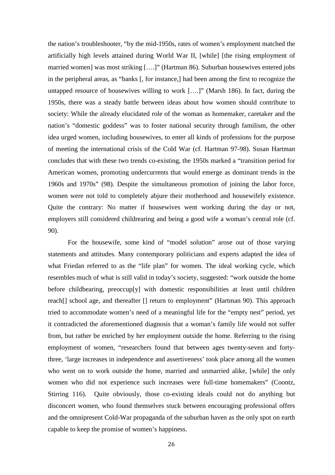the nation's troubleshooter, "by the mid-1950s, rates of women's employment matched the artificially high levels attained during World War II, [while] [the rising employment of married women] was most striking [….]" (Hartman 86). Suburban housewives entered jobs in the peripheral areas, as "banks [, for instance,] had been among the first to recognize the untapped resource of housewives willing to work [….]" (Marsh 186). In fact, during the 1950s, there was a steady battle between ideas about how women should contribute to society: While the already elucidated role of the woman as homemaker, caretaker and the nation's "domestic goddess" was to foster national security through familism, the other idea urged women, including housewives, to enter all kinds of professions for the purpose of meeting the international crisis of the Cold War (cf. Hartman 97-98). Susan Hartman concludes that with these two trends co-existing, the 1950s marked a "transition period for American women, promoting undercurrents that would emerge as dominant trends in the 1960s and 1970s" (98). Despite the simultaneous promotion of joining the labor force, women were not told to completely abjure their motherhood and housewifely existence. Quite the contrary: No matter if housewives went working during the day or not, employers still considered childrearing and being a good wife a woman's central role (cf. 90).

 For the housewife, some kind of "model solution" arose out of those varying statements and attitudes. Many contemporary politicians and experts adapted the idea of what Friedan referred to as the "life plan" for women. The ideal working cycle, which resembles much of what is still valid in today's society, suggested: "work outside the home before childbearing, preoccup[y] with domestic responsibilities at least until children reach[] school age, and thereafter [] return to employment" (Hartman 90). This approach tried to accommodate women's need of a meaningful life for the "empty nest" period, yet it contradicted the aforementioned diagnosis that a woman's family life would not suffer from, but rather be enriched by her employment outside the home. Referring to the rising employment of women, "researchers found that between ages twenty-seven and fortythree, 'large increases in independence and assertiveness' took place among all the women who went on to work outside the home, married and unmarried alike, [while] the only women who did not experience such increases were full-time homemakers" (Coontz, Stirring 116). Quite obviously, those co-existing ideals could not do anything but disconcert women, who found themselves stuck between encouraging professional offers and the omnipresent Cold-War propaganda of the suburban haven as the only spot on earth capable to keep the promise of women's happiness.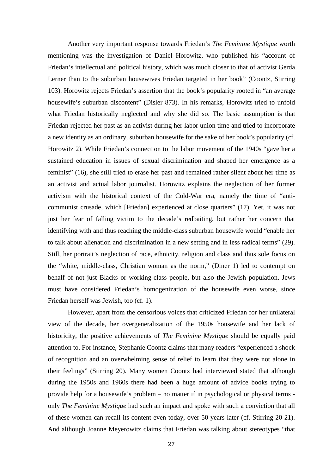Another very important response towards Friedan's *The Feminine Mystique* worth mentioning was the investigation of Daniel Horowitz, who published his "account of Friedan's intellectual and political history, which was much closer to that of activist Gerda Lerner than to the suburban housewives Friedan targeted in her book" (Coontz, Stirring 103). Horowitz rejects Friedan's assertion that the book's popularity rooted in "an average housewife's suburban discontent" (Disler 873). In his remarks, Horowitz tried to unfold what Friedan historically neglected and why she did so. The basic assumption is that Friedan rejected her past as an activist during her labor union time and tried to incorporate a new identity as an ordinary, suburban housewife for the sake of her book's popularity (cf. Horowitz 2). While Friedan's connection to the labor movement of the 1940s "gave her a sustained education in issues of sexual discrimination and shaped her emergence as a feminist" (16), she still tried to erase her past and remained rather silent about her time as an activist and actual labor journalist. Horowitz explains the neglection of her former activism with the historical context of the Cold-War era, namely the time of "anticommunist crusade, which [Friedan] experienced at close quarters" (17). Yet, it was not just her fear of falling victim to the decade's redbaiting, but rather her concern that identifying with and thus reaching the middle-class suburban housewife would "enable her to talk about alienation and discrimination in a new setting and in less radical terms" (29). Still, her portrait's neglection of race, ethnicity, religion and class and thus sole focus on the "white, middle-class, Christian woman as the norm," (Diner 1) led to contempt on behalf of not just Blacks or working-class people, but also the Jewish population. Jews must have considered Friedan's homogenization of the housewife even worse, since Friedan herself was Jewish, too (cf. 1).

 However, apart from the censorious voices that criticized Friedan for her unilateral view of the decade, her overgeneralization of the 1950s housewife and her lack of historicity, the positive achievements of *The Feminine Mystique* should be equally paid attention to. For instance, Stephanie Coontz claims that many readers "experienced a shock of recognition and an overwhelming sense of relief to learn that they were not alone in their feelings" (Stirring 20). Many women Coontz had interviewed stated that although during the 1950s and 1960s there had been a huge amount of advice books trying to provide help for a housewife's problem – no matter if in psychological or physical terms only *The Feminine Mystique* had such an impact and spoke with such a conviction that all of these women can recall its content even today, over 50 years later (cf. Stirring 20-21). And although Joanne Meyerowitz claims that Friedan was talking about stereotypes "that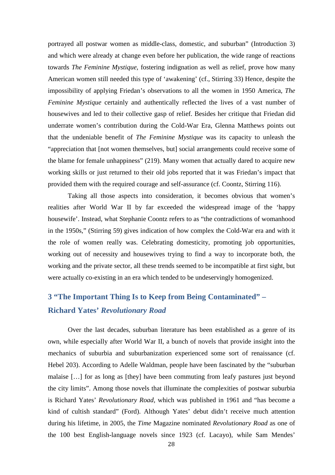portrayed all postwar women as middle-class, domestic, and suburban" (Introduction 3) and which were already at change even before her publication, the wide range of reactions towards *The Feminine Mystique*, fostering indignation as well as relief, prove how many American women still needed this type of 'awakening' (cf., Stirring 33) Hence, despite the impossibility of applying Friedan's observations to all the women in 1950 America, *The Feminine Mystique* certainly and authentically reflected the lives of a vast number of housewives and led to their collective gasp of relief. Besides her critique that Friedan did underrate women's contribution during the Cold-War Era, Glenna Matthews points out that the undeniable benefit of *The Feminine Mystique* was its capacity to unleash the "appreciation that [not women themselves, but] social arrangements could receive some of the blame for female unhappiness" (219). Many women that actually dared to acquire new working skills or just returned to their old jobs reported that it was Friedan's impact that provided them with the required courage and self-assurance (cf. Coontz, Stirring 116).

 Taking all those aspects into consideration, it becomes obvious that women's realities after World War II by far exceeded the widespread image of the 'happy housewife'. Instead, what Stephanie Coontz refers to as "the contradictions of womanhood in the 1950s," (Stirring 59) gives indication of how complex the Cold-War era and with it the role of women really was. Celebrating domesticity, promoting job opportunities, working out of necessity and housewives trying to find a way to incorporate both, the working and the private sector, all these trends seemed to be incompatible at first sight, but were actually co-existing in an era which tended to be undeservingly homogenized.

# **3 "The Important Thing Is to Keep from Being Contaminated" – Richard Yates'** *Revolutionary Road*

Over the last decades, suburban literature has been established as a genre of its own, while especially after World War II, a bunch of novels that provide insight into the mechanics of suburbia and suburbanization experienced some sort of renaissance (cf. Hebel 203). According to Adelle Waldman, people have been fascinated by the "suburban malaise […] for as long as [they] have been commuting from leafy pastures just beyond the city limits". Among those novels that illuminate the complexities of postwar suburbia is Richard Yates' *Revolutionary Road,* which was published in 1961 and "has become a kind of cultish standard" (Ford). Although Yates' debut didn't receive much attention during his lifetime, in 2005, the *Time* Magazine nominated *Revolutionary Road* as one of the 100 best English-language novels since 1923 (cf. Lacayo), while Sam Mendes'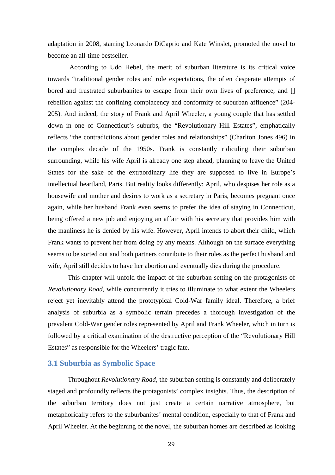adaptation in 2008, starring Leonardo DiCaprio and Kate Winslet, promoted the novel to become an all-time bestseller.

 According to Udo Hebel, the merit of suburban literature is its critical voice towards "traditional gender roles and role expectations, the often desperate attempts of bored and frustrated suburbanites to escape from their own lives of preference, and [] rebellion against the confining complacency and conformity of suburban affluence" (204- 205). And indeed, the story of Frank and April Wheeler, a young couple that has settled down in one of Connecticut's suburbs, the "Revolutionary Hill Estates", emphatically reflects "the contradictions about gender roles and relationships" (Charlton Jones 496) in the complex decade of the 1950s. Frank is constantly ridiculing their suburban surrounding, while his wife April is already one step ahead, planning to leave the United States for the sake of the extraordinary life they are supposed to live in Europe's intellectual heartland, Paris. But reality looks differently: April, who despises her role as a housewife and mother and desires to work as a secretary in Paris, becomes pregnant once again, while her husband Frank even seems to prefer the idea of staying in Connecticut, being offered a new job and enjoying an affair with his secretary that provides him with the manliness he is denied by his wife. However, April intends to abort their child, which Frank wants to prevent her from doing by any means. Although on the surface everything seems to be sorted out and both partners contribute to their roles as the perfect husband and wife, April still decides to have her abortion and eventually dies during the procedure.

 This chapter will unfold the impact of the suburban setting on the protagonists of *Revolutionary Road*, while concurrently it tries to illuminate to what extent the Wheelers reject yet inevitably attend the prototypical Cold-War family ideal. Therefore, a brief analysis of suburbia as a symbolic terrain precedes a thorough investigation of the prevalent Cold-War gender roles represented by April and Frank Wheeler, which in turn is followed by a critical examination of the destructive perception of the "Revolutionary Hill Estates" as responsible for the Wheelers' tragic fate.

#### **3.1 Suburbia as Symbolic Space**

Throughout *Revolutionary Road*, the suburban setting is constantly and deliberately staged and profoundly reflects the protagonists' complex insights. Thus, the description of the suburban territory does not just create a certain narrative atmosphere, but metaphorically refers to the suburbanites' mental condition, especially to that of Frank and April Wheeler. At the beginning of the novel, the suburban homes are described as looking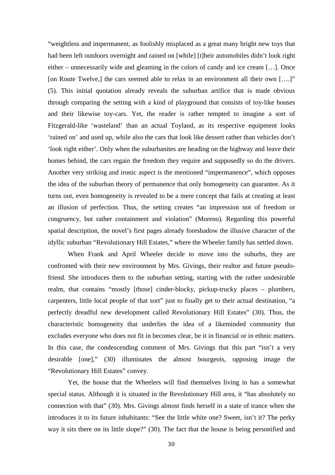"weightless and impermanent, as foolishly misplaced as a great many bright new toys that had been left outdoors overnight and rained on [while] [t]heir automobiles didn't look right either – unnecessarily wide and gleaming in the colors of candy and ice cream […]. Once [on Route Twelve,] the cars seemed able to relax in an environment all their own [....]" (5). This initial quotation already reveals the suburban artifice that is made obvious through comparing the setting with a kind of playground that consists of toy-like houses and their likewise toy-cars. Yet, the reader is rather tempted to imagine a sort of Fitzgerald-like 'wasteland' than an actual Toyland, as its respective equipment looks 'rained on' and used up, while also the cars that look like dessert rather than vehicles don't 'look right either'. Only when the suburbanites are heading on the highway and leave their homes behind, the cars regain the freedom they require and supposedly so do the drivers. Another very striking and ironic aspect is the mentioned "impermanence", which opposes the idea of the suburban theory of permanence that only homogeneity can guarantee. As it turns out, even homogeneity is revealed to be a mere concept that fails at creating at least an illusion of perfection. Thus, the setting creates "an impression not of freedom or congruency, but rather containment and violation" (Moreno). Regarding this powerful spatial description, the novel's first pages already foreshadow the illusive character of the idyllic suburban "Revolutionary Hill Estates," where the Wheeler family has settled down.

When Frank and April Wheeler decide to move into the suburbs, they are confronted with their new environment by Mrs. Givings, their realtor and future pseudofriend. She introduces them to the suburban setting, starting with the rather undesirable realm, that contains "mostly [those] cinder-blocky, pickup-trucky places – plumbers, carpenters, little local people of that sort" just to finally get to their actual destination, "a perfectly dreadful new development called Revolutionary Hill Estates" (30). Thus, the characteristic homogeneity that underlies the idea of a likeminded community that excludes everyone who does not fit in becomes clear, be it in financial or in ethnic matters. In this case, the condescending comment of Mrs. Givings that this part "isn't a very desirable [one]," (30) illuminates the almost bourgeois, opposing image the "Revolutionary Hill Estates" convey.

 Yet, the house that the Wheelers will find themselves living in has a somewhat special status. Although it is situated in the Revolutionary Hill area, it "has absolutely no connection with that" (30). Mrs. Givings almost finds herself in a state of trance when she introduces it to its future inhabitants: "See the little white one? Sweet, isn't it? The perky way it sits there on its little slope?" (30). The fact that the house is being personified and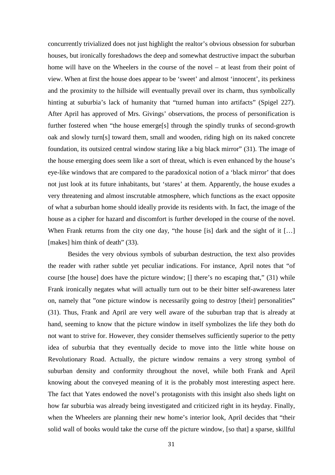concurrently trivialized does not just highlight the realtor's obvious obsession for suburban houses, but ironically foreshadows the deep and somewhat destructive impact the suburban home will have on the Wheelers in the course of the novel – at least from their point of view. When at first the house does appear to be 'sweet' and almost 'innocent', its perkiness and the proximity to the hillside will eventually prevail over its charm, thus symbolically hinting at suburbia's lack of humanity that "turned human into artifacts" (Spigel 227). After April has approved of Mrs. Givings' observations, the process of personification is further fostered when "the house emerge[s] through the spindly trunks of second-growth oak and slowly turn[s] toward them, small and wooden, riding high on its naked concrete foundation, its outsized central window staring like a big black mirror" (31). The image of the house emerging does seem like a sort of threat, which is even enhanced by the house's eye-like windows that are compared to the paradoxical notion of a 'black mirror' that does not just look at its future inhabitants, but 'stares' at them. Apparently, the house exudes a very threatening and almost inscrutable atmosphere, which functions as the exact opposite of what a suburban home should ideally provide its residents with. In fact, the image of the house as a cipher for hazard and discomfort is further developed in the course of the novel. When Frank returns from the city one day, "the house [is] dark and the sight of it [...] [makes] him think of death" (33).

 Besides the very obvious symbols of suburban destruction, the text also provides the reader with rather subtle yet peculiar indications. For instance, April notes that "of course [the house] does have the picture window; [] there's no escaping that," (31) while Frank ironically negates what will actually turn out to be their bitter self-awareness later on, namely that "one picture window is necessarily going to destroy [their] personalities" (31). Thus, Frank and April are very well aware of the suburban trap that is already at hand, seeming to know that the picture window in itself symbolizes the life they both do not want to strive for. However, they consider themselves sufficiently superior to the petty idea of suburbia that they eventually decide to move into the little white house on Revolutionary Road. Actually, the picture window remains a very strong symbol of suburban density and conformity throughout the novel, while both Frank and April knowing about the conveyed meaning of it is the probably most interesting aspect here. The fact that Yates endowed the novel's protagonists with this insight also sheds light on how far suburbia was already being investigated and criticized right in its heyday. Finally, when the Wheelers are planning their new home's interior look, April decides that "their solid wall of books would take the curse off the picture window, [so that] a sparse, skillful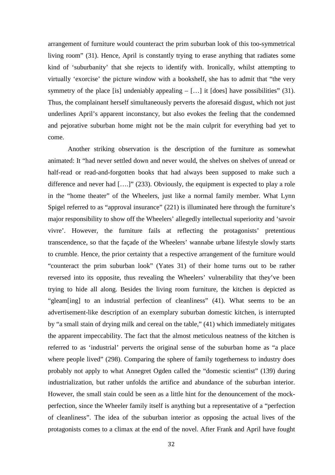arrangement of furniture would counteract the prim suburban look of this too-symmetrical living room" (31). Hence, April is constantly trying to erase anything that radiates some kind of 'suburbanity' that she rejects to identify with. Ironically, whilst attempting to virtually 'exorcise' the picture window with a bookshelf, she has to admit that "the very symmetry of the place [is] undeniably appealing  $-[...]$  it [does] have possibilities" (31). Thus, the complainant herself simultaneously perverts the aforesaid disgust, which not just underlines April's apparent inconstancy, but also evokes the feeling that the condemned and pejorative suburban home might not be the main culprit for everything bad yet to come.

 Another striking observation is the description of the furniture as somewhat animated: It "had never settled down and never would, the shelves on shelves of unread or half-read or read-and-forgotten books that had always been supposed to make such a difference and never had [....]" (233). Obviously, the equipment is expected to play a role in the "home theater" of the Wheelers, just like a normal family member. What Lynn Spigel referred to as "approval insurance" (221) is illuminated here through the furniture's major responsibility to show off the Wheelers' allegedly intellectual superiority and 'savoir vivre'. However, the furniture fails at reflecting the protagonists' pretentious transcendence, so that the façade of the Wheelers' wannabe urbane lifestyle slowly starts to crumble. Hence, the prior certainty that a respective arrangement of the furniture would "counteract the prim suburban look" (Yates 31) of their home turns out to be rather reversed into its opposite, thus revealing the Wheelers' vulnerability that they've been trying to hide all along. Besides the living room furniture, the kitchen is depicted as "gleam[ing] to an industrial perfection of cleanliness" (41). What seems to be an advertisement-like description of an exemplary suburban domestic kitchen, is interrupted by "a small stain of drying milk and cereal on the table," (41) which immediately mitigates the apparent impeccability. The fact that the almost meticulous neatness of the kitchen is referred to as 'industrial' perverts the original sense of the suburban home as "a place where people lived" (298). Comparing the sphere of family togetherness to industry does probably not apply to what Annegret Ogden called the "domestic scientist" (139) during industrialization, but rather unfolds the artifice and abundance of the suburban interior. However, the small stain could be seen as a little hint for the denouncement of the mockperfection, since the Wheeler family itself is anything but a representative of a "perfection of cleanliness". The idea of the suburban interior as opposing the actual lives of the protagonists comes to a climax at the end of the novel. After Frank and April have fought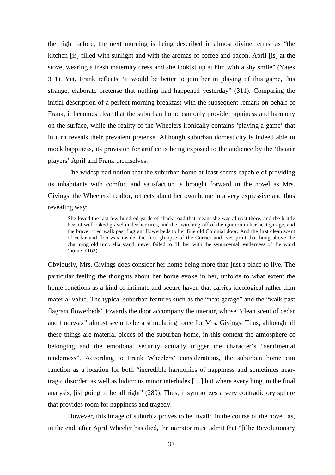the night before, the next morning is being described in almost divine terms, as "the kitchen [is] filled with sunlight and with the aromas of coffee and bacon. April [is] at the stove, wearing a fresh maternity dress and she look[s] up at him with a shy smile" (Yates 311). Yet, Frank reflects "it would be better to join her in playing of this game, this strange, elaborate pretense that nothing had happened yesterday" (311). Comparing the initial description of a perfect morning breakfast with the subsequent remark on behalf of Frank, it becomes clear that the suburban home can only provide happiness and harmony on the surface, while the reality of the Wheelers ironically contains 'playing a game' that in turn reveals their prevalent pretense. Although suburban domesticity is indeed able to mock happiness, its provision for artifice is being exposed to the audience by the 'theater players' April and Frank themselves.

 The widespread notion that the suburban home at least seems capable of providing its inhabitants with comfort and satisfaction is brought forward in the novel as Mrs. Givings, the Wheelers' realtor, reflects about her own home in a very expressive and thus revealing way:

She loved the last few hundred yards of shady road that meant she was almost there, and the brittle hiss of well-raked gravel under her tires, and the switching-off of the ignition in her neat garage, and the brave, tired walk past flagrant flowerbeds to her fine old Colonial door. And the first clean scent of cedar and floorwax inside, the first glimpse of the Currier and Ives print that hung above the charming old umbrella stand, never failed to fill her with the sentimental tenderness of the word 'home' (162).

Obviously, Mrs. Givings does consider her home being more than just a place to live. The particular feeling the thoughts about her home evoke in her, unfolds to what extent the home functions as a kind of intimate and secure haven that carries ideological rather than material value. The typical suburban features such as the "neat garage" and the "walk past flagrant flowerbeds" towards the door accompany the interior, whose "clean scent of cedar and floorwax" almost seem to be a stimulating force for Mrs. Givings. Thus, although all these things are material pieces of the suburban home, in this context the atmosphere of belonging and the emotional security actually trigger the character's "sentimental tenderness". According to Frank Wheelers' considerations, the suburban home can function as a location for both "incredible harmonies of happiness and sometimes neartragic disorder, as well as ludicrous minor interludes […] but where everything, in the final analysis, [is] going to be all right" (289). Thus, it symbolizes a very contradictory sphere that provides room for happiness and tragedy.

However, this image of suburbia proves to be invalid in the course of the novel, as, in the end, after April Wheeler has died, the narrator must admit that "[t]he Revolutionary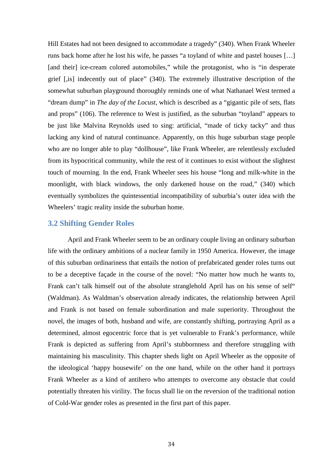Hill Estates had not been designed to accommodate a tragedy" (340). When Frank Wheeler runs back home after he lost his wife, he passes "a toyland of white and pastel houses […] [and their] ice-cream colored automobiles," while the protagonist, who is "in desperate grief [,is] indecently out of place" (340). The extremely illustrative description of the somewhat suburban playground thoroughly reminds one of what Nathanael West termed a "dream dump" in *The day of the Locust,* which is described as a "gigantic pile of sets, flats and props" (106). The reference to West is justified, as the suburban "toyland" appears to be just like Malvina Reynolds used to sing: artificial, "made of ticky tacky" and thus lacking any kind of natural continuance. Apparently, on this huge suburban stage people who are no longer able to play "dollhouse", like Frank Wheeler, are relentlessly excluded from its hypocritical community, while the rest of it continues to exist without the slightest touch of mourning. In the end, Frank Wheeler sees his house "long and milk-white in the moonlight, with black windows, the only darkened house on the road," (340) which eventually symbolizes the quintessential incompatibility of suburbia's outer idea with the Wheelers' tragic reality inside the suburban home.

#### **3.2 Shifting Gender Roles**

April and Frank Wheeler seem to be an ordinary couple living an ordinary suburban life with the ordinary ambitions of a nuclear family in 1950 America. However, the image of this suburban ordinariness that entails the notion of prefabricated gender roles turns out to be a deceptive façade in the course of the novel: "No matter how much he wants to, Frank can't talk himself out of the absolute stranglehold April has on his sense of self" (Waldman). As Waldman's observation already indicates, the relationship between April and Frank is not based on female subordination and male superiority. Throughout the novel, the images of both, husband and wife, are constantly shifting, portraying April as a determined, almost egocentric force that is yet vulnerable to Frank's performance, while Frank is depicted as suffering from April's stubbornness and therefore struggling with maintaining his masculinity. This chapter sheds light on April Wheeler as the opposite of the ideological 'happy housewife' on the one hand, while on the other hand it portrays Frank Wheeler as a kind of antihero who attempts to overcome any obstacle that could potentially threaten his virility. The focus shall lie on the reversion of the traditional notion of Cold-War gender roles as presented in the first part of this paper.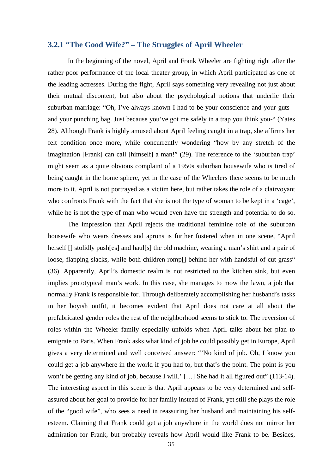# **3.2.1 "The Good Wife?" – The Struggles of April Wheeler**

In the beginning of the novel, April and Frank Wheeler are fighting right after the rather poor performance of the local theater group, in which April participated as one of the leading actresses. During the fight, April says something very revealing not just about their mutual discontent, but also about the psychological notions that underlie their suburban marriage: "Oh, I've always known I had to be your conscience and your guts – and your punching bag. Just because you've got me safely in a trap you think you-" (Yates 28). Although Frank is highly amused about April feeling caught in a trap, she affirms her felt condition once more, while concurrently wondering "how by any stretch of the imagination [Frank] can call [himself] a man!" (29). The reference to the 'suburban trap' might seem as a quite obvious complaint of a 1950s suburban housewife who is tired of being caught in the home sphere, yet in the case of the Wheelers there seems to be much more to it. April is not portrayed as a victim here, but rather takes the role of a clairvoyant who confronts Frank with the fact that she is not the type of woman to be kept in a 'cage', while he is not the type of man who would even have the strength and potential to do so.

 The impression that April rejects the traditional feminine role of the suburban housewife who wears dresses and aprons is further fostered when in one scene, "April herself [] stolidly push[es] and haul[s] the old machine, wearing a man's shirt and a pair of loose, flapping slacks, while both children romp[] behind her with handsful of cut grass" (36). Apparently, April's domestic realm is not restricted to the kitchen sink, but even implies prototypical man's work. In this case, she manages to mow the lawn, a job that normally Frank is responsible for. Through deliberately accomplishing her husband's tasks in her boyish outfit, it becomes evident that April does not care at all about the prefabricated gender roles the rest of the neighborhood seems to stick to. The reversion of roles within the Wheeler family especially unfolds when April talks about her plan to emigrate to Paris. When Frank asks what kind of job he could possibly get in Europe, April gives a very determined and well conceived answer: "'No kind of job. Oh, I know you could get a job anywhere in the world if you had to, but that's the point. The point is you won't be getting any kind of job, because I will.' [...] She had it all figured out" (113-14). The interesting aspect in this scene is that April appears to be very determined and selfassured about her goal to provide for her family instead of Frank, yet still she plays the role of the "good wife", who sees a need in reassuring her husband and maintaining his selfesteem. Claiming that Frank could get a job anywhere in the world does not mirror her admiration for Frank, but probably reveals how April would like Frank to be. Besides,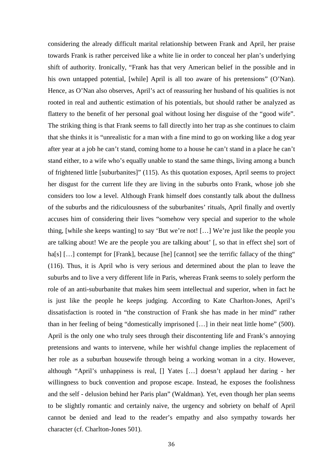considering the already difficult marital relationship between Frank and April, her praise towards Frank is rather perceived like a white lie in order to conceal her plan's underlying shift of authority. Ironically, "Frank has that very American belief in the possible and in his own untapped potential, [while] April is all too aware of his pretensions" (O'Nan). Hence, as O'Nan also observes, April's act of reassuring her husband of his qualities is not rooted in real and authentic estimation of his potentials, but should rather be analyzed as flattery to the benefit of her personal goal without losing her disguise of the "good wife". The striking thing is that Frank seems to fall directly into her trap as she continues to claim that she thinks it is "unrealistic for a man with a fine mind to go on working like a dog year after year at a job he can't stand, coming home to a house he can't stand in a place he can't stand either, to a wife who's equally unable to stand the same things, living among a bunch of frightened little [suburbanites]" (115). As this quotation exposes, April seems to project her disgust for the current life they are living in the suburbs onto Frank, whose job she considers too low a level. Although Frank himself does constantly talk about the dullness of the suburbs and the ridiculousness of the suburbanites' rituals, April finally and overtly accuses him of considering their lives "somehow very special and superior to the whole thing, [while she keeps wanting] to say 'But we're not! […] We're just like the people you are talking about! We are the people you are talking about' [, so that in effect she] sort of ha[s] [...] contempt for [Frank], because [he] [cannot] see the terrific fallacy of the thing" (116). Thus, it is April who is very serious and determined about the plan to leave the suburbs and to live a very different life in Paris, whereas Frank seems to solely perform the role of an anti-suburbanite that makes him seem intellectual and superior, when in fact he is just like the people he keeps judging. According to Kate Charlton-Jones, April's dissatisfaction is rooted in "the construction of Frank she has made in her mind" rather than in her feeling of being "domestically imprisoned […] in their neat little home" (500). April is the only one who truly sees through their discontenting life and Frank's annoying pretensions and wants to intervene, while her wishful change implies the replacement of her role as a suburban housewife through being a working woman in a city. However, although "April's unhappiness is real, [] Yates […] doesn't applaud her daring - her willingness to buck convention and propose escape. Instead, he exposes the foolishness and the self - delusion behind her Paris plan" (Waldman). Yet, even though her plan seems to be slightly romantic and certainly naive, the urgency and sobriety on behalf of April cannot be denied and lead to the reader's empathy and also sympathy towards her character (cf. Charlton-Jones 501).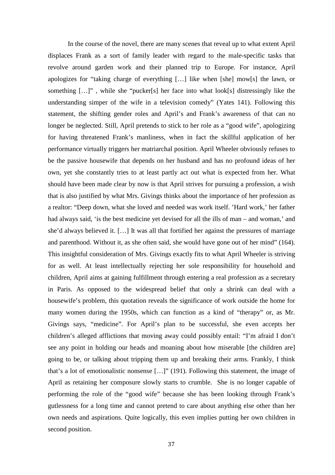In the course of the novel, there are many scenes that reveal up to what extent April displaces Frank as a sort of family leader with regard to the male-specific tasks that revolve around garden work and their planned trip to Europe. For instance, April apologizes for "taking charge of everything […] like when [she] mow[s] the lawn, or something […]" , while she "pucker[s] her face into what look[s] distressingly like the understanding simper of the wife in a television comedy" (Yates 141). Following this statement, the shifting gender roles and April's and Frank's awareness of that can no longer be neglected. Still, April pretends to stick to her role as a "good wife", apologizing for having threatened Frank's manliness, when in fact the skillful application of her performance virtually triggers her matriarchal position. April Wheeler obviously refuses to be the passive housewife that depends on her husband and has no profound ideas of her own, yet she constantly tries to at least partly act out what is expected from her. What should have been made clear by now is that April strives for pursuing a profession, a wish that is also justified by what Mrs. Givings thinks about the importance of her profession as a realtor: "Deep down, what she loved and needed was work itself. 'Hard work,' her father had always said, 'is the best medicine yet devised for all the ills of man – and woman,' and she'd always believed it. […] It was all that fortified her against the pressures of marriage and parenthood. Without it, as she often said, she would have gone out of her mind" (164). This insightful consideration of Mrs. Givings exactly fits to what April Wheeler is striving for as well. At least intellectually rejecting her sole responsibility for household and children, April aims at gaining fulfillment through entering a real profession as a secretary in Paris. As opposed to the widespread belief that only a shrink can deal with a housewife's problem, this quotation reveals the significance of work outside the home for many women during the 1950s, which can function as a kind of "therapy" or, as Mr. Givings says, "medicine". For April's plan to be successful, she even accepts her children's alleged afflictions that moving away could possibly entail: "I'm afraid I don't see any point in holding our heads and moaning about how miserable [the children are] going to be, or talking about tripping them up and breaking their arms. Frankly, I think that's a lot of emotionalistic nonsense […]" (191). Following this statement, the image of April as retaining her composure slowly starts to crumble. She is no longer capable of performing the role of the "good wife" because she has been looking through Frank's gutlessness for a long time and cannot pretend to care about anything else other than her own needs and aspirations. Quite logically, this even implies putting her own children in second position.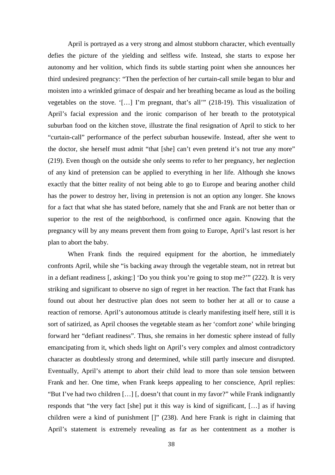April is portrayed as a very strong and almost stubborn character, which eventually defies the picture of the yielding and selfless wife. Instead, she starts to expose her autonomy and her volition, which finds its subtle starting point when she announces her third undesired pregnancy: "Then the perfection of her curtain-call smile began to blur and moisten into a wrinkled grimace of despair and her breathing became as loud as the boiling vegetables on the stove. '[…] I'm pregnant, that's all'" (218-19). This visualization of April's facial expression and the ironic comparison of her breath to the prototypical suburban food on the kitchen stove, illustrate the final resignation of April to stick to her "curtain-call" performance of the perfect suburban housewife. Instead, after she went to the doctor, she herself must admit "that [she] can't even pretend it's not true any more" (219). Even though on the outside she only seems to refer to her pregnancy, her neglection of any kind of pretension can be applied to everything in her life. Although she knows exactly that the bitter reality of not being able to go to Europe and bearing another child has the power to destroy her, living in pretension is not an option any longer. She knows for a fact that what she has stated before, namely that she and Frank are not better than or superior to the rest of the neighborhood, is confirmed once again. Knowing that the pregnancy will by any means prevent them from going to Europe, April's last resort is her plan to abort the baby.

 When Frank finds the required equipment for the abortion, he immediately confronts April, while she "is backing away through the vegetable steam, not in retreat but in a defiant readiness [, asking:] 'Do you think you're going to stop me?'" (222). It is very striking and significant to observe no sign of regret in her reaction. The fact that Frank has found out about her destructive plan does not seem to bother her at all or to cause a reaction of remorse. April's autonomous attitude is clearly manifesting itself here, still it is sort of satirized, as April chooses the vegetable steam as her 'comfort zone' while bringing forward her "defiant readiness". Thus, she remains in her domestic sphere instead of fully emancipating from it, which sheds light on April's very complex and almost contradictory character as doubtlessly strong and determined, while still partly insecure and disrupted. Eventually, April's attempt to abort their child lead to more than sole tension between Frank and her. One time, when Frank keeps appealing to her conscience, April replies: "But I've had two children […] [, doesn't that count in my favor?" while Frank indignantly responds that "the very fact [she] put it this way is kind of significant, […] as if having children were a kind of punishment []" (238). And here Frank is right in claiming that April's statement is extremely revealing as far as her contentment as a mother is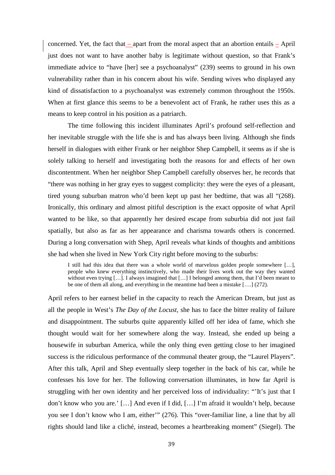concerned. Yet, the fact that – apart from the moral aspect that an abortion entails – April just does not want to have another baby is legitimate without question, so that Frank's immediate advice to "have [her] see a psychoanalyst" (239) seems to ground in his own vulnerability rather than in his concern about his wife. Sending wives who displayed any kind of dissatisfaction to a psychoanalyst was extremely common throughout the 1950s. When at first glance this seems to be a benevolent act of Frank, he rather uses this as a means to keep control in his position as a patriarch.

The time following this incident illuminates April's profound self-reflection and her inevitable struggle with the life she is and has always been living. Although she finds herself in dialogues with either Frank or her neighbor Shep Campbell, it seems as if she is solely talking to herself and investigating both the reasons for and effects of her own discontentment. When her neighbor Shep Campbell carefully observes her, he records that "there was nothing in her gray eyes to suggest complicity: they were the eyes of a pleasant, tired young suburban matron who'd been kept up past her bedtime, that was all "(268). Ironically, this ordinary and almost pitiful description is the exact opposite of what April wanted to be like, so that apparently her desired escape from suburbia did not just fail spatially, but also as far as her appearance and charisma towards others is concerned. During a long conversation with Shep, April reveals what kinds of thoughts and ambitions she had when she lived in New York City right before moving to the suburbs:

I still had this idea that there was a whole world of marvelous golden people somewhere […], people who knew everything instinctively, who made their lives work out the way they wanted without even trying [...]. I always imagined that [...] I belonged among them, that I'd been meant to be one of them all along, and everything in the meantime had been a mistake [….] (272).

April refers to her earnest belief in the capacity to reach the American Dream, but just as all the people in West's *The Day of the Locust,* she has to face the bitter reality of failure and disappointment. The suburbs quite apparently killed off her idea of fame, which she thought would wait for her somewhere along the way. Instead, she ended up being a housewife in suburban America, while the only thing even getting close to her imagined success is the ridiculous performance of the communal theater group, the "Laurel Players". After this talk, April and Shep eventually sleep together in the back of his car, while he confesses his love for her. The following conversation illuminates, in how far April is struggling with her own identity and her perceived loss of individuality: "'It's just that I don't know who you are.' […] And even if I did, […] I'm afraid it wouldn't help, because you see I don't know who I am, either'" (276). This "over-familiar line, a line that by all rights should land like a cliché, instead, becomes a heartbreaking moment" (Siegel). The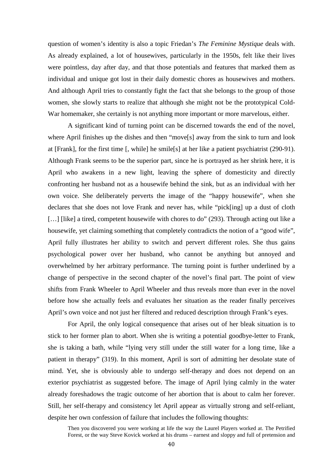question of women's identity is also a topic Friedan's *The Feminine Mystique* deals with. As already explained, a lot of housewives, particularly in the 1950s, felt like their lives were pointless, day after day, and that those potentials and features that marked them as individual and unique got lost in their daily domestic chores as housewives and mothers. And although April tries to constantly fight the fact that she belongs to the group of those women, she slowly starts to realize that although she might not be the prototypical Cold-War homemaker, she certainly is not anything more important or more marvelous, either.

 A significant kind of turning point can be discerned towards the end of the novel, where April finishes up the dishes and then "move[s] away from the sink to turn and look at [Frank], for the first time [, while] he smile[s] at her like a patient psychiatrist (290-91). Although Frank seems to be the superior part, since he is portrayed as her shrink here, it is April who awakens in a new light, leaving the sphere of domesticity and directly confronting her husband not as a housewife behind the sink, but as an individual with her own voice. She deliberately perverts the image of the "happy housewife", when she declares that she does not love Frank and never has, while "pick[ing] up a dust of cloth [...] [like] a tired, competent housewife with chores to do" (293). Through acting out like a housewife, yet claiming something that completely contradicts the notion of a "good wife", April fully illustrates her ability to switch and pervert different roles. She thus gains psychological power over her husband, who cannot be anything but annoyed and overwhelmed by her arbitrary performance. The turning point is further underlined by a change of perspective in the second chapter of the novel's final part. The point of view shifts from Frank Wheeler to April Wheeler and thus reveals more than ever in the novel before how she actually feels and evaluates her situation as the reader finally perceives April's own voice and not just her filtered and reduced description through Frank's eyes.

 For April, the only logical consequence that arises out of her bleak situation is to stick to her former plan to abort. When she is writing a potential goodbye-letter to Frank, she is taking a bath, while "lying very still under the still water for a long time, like a patient in therapy" (319). In this moment, April is sort of admitting her desolate state of mind. Yet, she is obviously able to undergo self-therapy and does not depend on an exterior psychiatrist as suggested before. The image of April lying calmly in the water already foreshadows the tragic outcome of her abortion that is about to calm her forever. Still, her self-therapy and consistency let April appear as virtually strong and self-reliant, despite her own confession of failure that includes the following thoughts:

Then you discovered you were working at life the way the Laurel Players worked at. The Petrified Forest, or the way Steve Kovick worked at his drums – earnest and sloppy and full of pretension and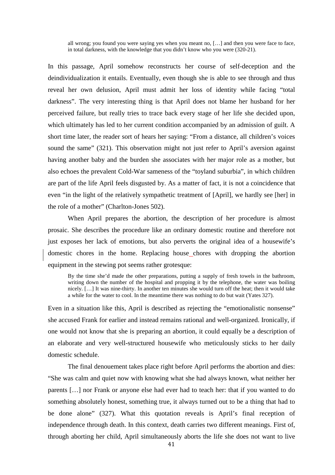all wrong; you found you were saying yes when you meant no, […] and then you were face to face, in total darkness, with the knowledge that you didn't know who you were (320-21).

In this passage, April somehow reconstructs her course of self-deception and the deindividualization it entails. Eventually, even though she is able to see through and thus reveal her own delusion, April must admit her loss of identity while facing "total darkness". The very interesting thing is that April does not blame her husband for her perceived failure, but really tries to trace back every stage of her life she decided upon, which ultimately has led to her current condition accompanied by an admission of guilt. A short time later, the reader sort of hears her saying: "From a distance, all children's voices sound the same" (321). This observation might not just refer to April's aversion against having another baby and the burden she associates with her major role as a mother, but also echoes the prevalent Cold-War sameness of the "toyland suburbia", in which children are part of the life April feels disgusted by. As a matter of fact, it is not a coincidence that even "in the light of the relatively sympathetic treatment of [April], we hardly see [her] in the role of a mother" (Charlton-Jones 502).

 When April prepares the abortion, the description of her procedure is almost prosaic. She describes the procedure like an ordinary domestic routine and therefore not just exposes her lack of emotions, but also perverts the original idea of a housewife's domestic chores in the home. Replacing house chores with dropping the abortion equipment in the stewing pot seems rather grotesque:

By the time she'd made the other preparations, putting a supply of fresh towels in the bathroom, writing down the number of the hospital and propping it by the telephone, the water was boiling nicely. […] It was nine-thirty. In another ten minutes she would turn off the heat; then it would take a while for the water to cool. In the meantime there was nothing to do but wait (Yates 327).

Even in a situation like this, April is described as rejecting the "emotionalistic nonsense" she accused Frank for earlier and instead remains rational and well-organized. Ironically, if one would not know that she is preparing an abortion, it could equally be a description of an elaborate and very well-structured housewife who meticulously sticks to her daily domestic schedule.

 The final denouement takes place right before April performs the abortion and dies: "She was calm and quiet now with knowing what she had always known, what neither her parents […] nor Frank or anyone else had ever had to teach her: that if you wanted to do something absolutely honest, something true, it always turned out to be a thing that had to be done alone" (327). What this quotation reveals is April's final reception of independence through death. In this context, death carries two different meanings. First of, through aborting her child, April simultaneously aborts the life she does not want to live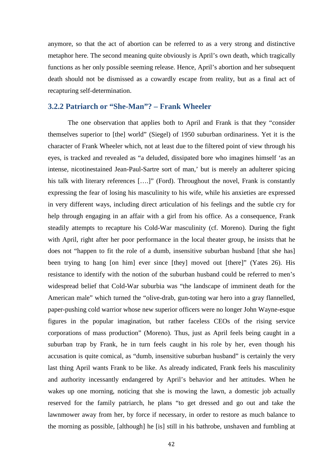anymore, so that the act of abortion can be referred to as a very strong and distinctive metaphor here. The second meaning quite obviously is April's own death, which tragically functions as her only possible seeming release. Hence, April's abortion and her subsequent death should not be dismissed as a cowardly escape from reality, but as a final act of recapturing self-determination.

### **3.2.2 Patriarch or "She-Man"? – Frank Wheeler**

 The one observation that applies both to April and Frank is that they "consider themselves superior to [the] world" (Siegel) of 1950 suburban ordinariness. Yet it is the character of Frank Wheeler which, not at least due to the filtered point of view through his eyes, is tracked and revealed as "a deluded, dissipated bore who imagines himself 'as an intense, nicotinestained Jean-Paul-Sartre sort of man,' but is merely an adulterer spicing his talk with literary references [....]" (Ford). Throughout the novel, Frank is constantly expressing the fear of losing his masculinity to his wife, while his anxieties are expressed in very different ways, including direct articulation of his feelings and the subtle cry for help through engaging in an affair with a girl from his office. As a consequence, Frank steadily attempts to recapture his Cold-War masculinity (cf. Moreno). During the fight with April, right after her poor performance in the local theater group, he insists that he does not "happen to fit the role of a dumb, insensitive suburban husband [that she has] been trying to hang [on him] ever since [they] moved out [there]" (Yates 26). His resistance to identify with the notion of the suburban husband could be referred to men's widespread belief that Cold-War suburbia was "the landscape of imminent death for the American male" which turned the "olive-drab, gun-toting war hero into a gray flannelled, paper-pushing cold warrior whose new superior officers were no longer John Wayne-esque figures in the popular imagination, but rather faceless CEOs of the rising service corporations of mass production" (Moreno). Thus, just as April feels being caught in a suburban trap by Frank, he in turn feels caught in his role by her, even though his accusation is quite comical, as "dumb, insensitive suburban husband" is certainly the very last thing April wants Frank to be like. As already indicated, Frank feels his masculinity and authority incessantly endangered by April's behavior and her attitudes. When he wakes up one morning, noticing that she is mowing the lawn, a domestic job actually reserved for the family patriarch, he plans "to get dressed and go out and take the lawnmower away from her, by force if necessary, in order to restore as much balance to the morning as possible, [although] he [is] still in his bathrobe, unshaven and fumbling at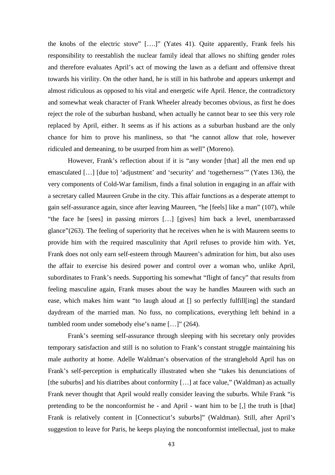the knobs of the electric stove" [….]" (Yates 41). Quite apparently, Frank feels his responsibility to reestablish the nuclear family ideal that allows no shifting gender roles and therefore evaluates April's act of mowing the lawn as a defiant and offensive threat towards his virility. On the other hand, he is still in his bathrobe and appears unkempt and almost ridiculous as opposed to his vital and energetic wife April. Hence, the contradictory and somewhat weak character of Frank Wheeler already becomes obvious, as first he does reject the role of the suburban husband, when actually he cannot bear to see this very role replaced by April, either. It seems as if his actions as a suburban husband are the only chance for him to prove his manliness, so that "he cannot allow that role, however ridiculed and demeaning, to be usurped from him as well" (Moreno).

 However, Frank's reflection about if it is "any wonder [that] all the men end up emasculated […] [due to] 'adjustment' and 'security' and 'togetherness'" (Yates 136), the very components of Cold-War familism, finds a final solution in engaging in an affair with a secretary called Maureen Grube in the city. This affair functions as a desperate attempt to gain self-assurance again, since after leaving Maureen, "he [feels] like a man" (107), while "the face he [sees] in passing mirrors […] [gives] him back a level, unembarrassed glance"(263). The feeling of superiority that he receives when he is with Maureen seems to provide him with the required masculinity that April refuses to provide him with. Yet, Frank does not only earn self-esteem through Maureen's admiration for him, but also uses the affair to exercise his desired power and control over a woman who, unlike April, subordinates to Frank's needs. Supporting his somewhat "flight of fancy" that results from feeling masculine again, Frank muses about the way he handles Maureen with such an ease, which makes him want "to laugh aloud at [] so perfectly fulfill[ing] the standard daydream of the married man. No fuss, no complications, everything left behind in a tumbled room under somebody else's name […]" (264).

 Frank's seeming self-assurance through sleeping with his secretary only provides temporary satisfaction and still is no solution to Frank's constant struggle maintaining his male authority at home. Adelle Waldman's observation of the stranglehold April has on Frank's self-perception is emphatically illustrated when she "takes his denunciations of [the suburbs] and his diatribes about conformity [...] at face value," (Waldman) as actually Frank never thought that April would really consider leaving the suburbs. While Frank "is pretending to be the nonconformist he - and April - want him to be [,] the truth is [that] Frank is relatively content in [Connecticut's suburbs]" (Waldman). Still, after April's suggestion to leave for Paris, he keeps playing the nonconformist intellectual, just to make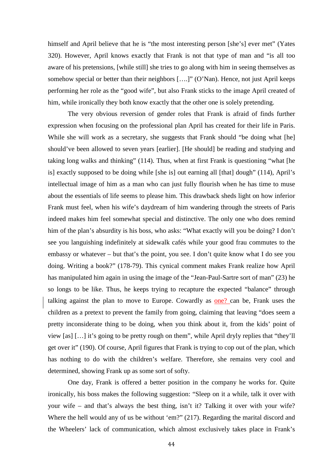himself and April believe that he is "the most interesting person [she's] ever met" (Yates 320). However, April knows exactly that Frank is not that type of man and "is all too aware of his pretensions, [while still] she tries to go along with him in seeing themselves as somehow special or better than their neighbors [....]" (O'Nan). Hence, not just April keeps performing her role as the "good wife", but also Frank sticks to the image April created of him, while ironically they both know exactly that the other one is solely pretending.

 The very obvious reversion of gender roles that Frank is afraid of finds further expression when focusing on the professional plan April has created for their life in Paris. While she will work as a secretary, she suggests that Frank should "be doing what [he] should've been allowed to seven years [earlier]. [He should] be reading and studying and taking long walks and thinking" (114). Thus, when at first Frank is questioning "what [he is] exactly supposed to be doing while [she is] out earning all [that] dough" (114), April's intellectual image of him as a man who can just fully flourish when he has time to muse about the essentials of life seems to please him. This drawback sheds light on how inferior Frank must feel, when his wife's daydream of him wandering through the streets of Paris indeed makes him feel somewhat special and distinctive. The only one who does remind him of the plan's absurdity is his boss, who asks: "What exactly will you be doing? I don't see you languishing indefinitely at sidewalk cafés while your good frau commutes to the embassy or whatever – but that's the point, you see. I don't quite know what I do see you doing. Writing a book?" (178-79). This cynical comment makes Frank realize how April has manipulated him again in using the image of the "Jean-Paul-Sartre sort of man" (23) he so longs to be like. Thus, he keeps trying to recapture the expected "balance" through talking against the plan to move to Europe. Cowardly as one? can be, Frank uses the children as a pretext to prevent the family from going, claiming that leaving "does seem a pretty inconsiderate thing to be doing, when you think about it, from the kids' point of view [as] […] it's going to be pretty rough on them", while April dryly replies that "they'll get over it" (190). Of course, April figures that Frank is trying to cop out of the plan, which has nothing to do with the children's welfare. Therefore, she remains very cool and determined, showing Frank up as some sort of softy.

 One day, Frank is offered a better position in the company he works for. Quite ironically, his boss makes the following suggestion: "Sleep on it a while, talk it over with your wife – and that's always the best thing, isn't it? Talking it over with your wife? Where the hell would any of us be without 'em?" (217). Regarding the marital discord and the Wheelers' lack of communication, which almost exclusively takes place in Frank's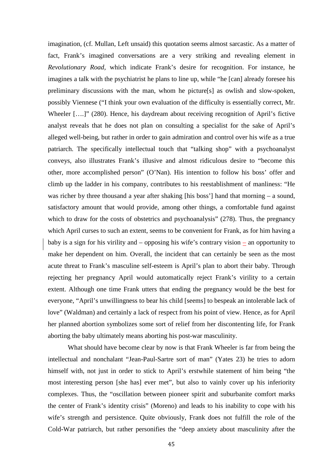imagination, (cf. Mullan, Left unsaid) this quotation seems almost sarcastic. As a matter of fact, Frank's imagined conversations are a very striking and revealing element in *Revolutionary Road,* which indicate Frank's desire for recognition. For instance, he imagines a talk with the psychiatrist he plans to line up, while "he [can] already foresee his preliminary discussions with the man, whom he picture[s] as owlish and slow-spoken, possibly Viennese ("I think your own evaluation of the difficulty is essentially correct, Mr. Wheeler [....]" (280). Hence, his daydream about receiving recognition of April's fictive analyst reveals that he does not plan on consulting a specialist for the sake of April's alleged well-being, but rather in order to gain admiration and control over his wife as a true patriarch. The specifically intellectual touch that "talking shop" with a psychoanalyst conveys, also illustrates Frank's illusive and almost ridiculous desire to "become this other, more accomplished person" (O'Nan). His intention to follow his boss' offer and climb up the ladder in his company, contributes to his reestablishment of manliness: "He was richer by three thousand a year after shaking [his boss'] hand that morning – a sound, satisfactory amount that would provide, among other things, a comfortable fund against which to draw for the costs of obstetrics and psychoanalysis" (278). Thus, the pregnancy which April curses to such an extent, seems to be convenient for Frank, as for him having a baby is a sign for his virility and – opposing his wife's contrary vision  $\equiv$  an opportunity to make her dependent on him. Overall, the incident that can certainly be seen as the most acute threat to Frank's masculine self-esteem is April's plan to abort their baby. Through rejecting her pregnancy April would automatically reject Frank's virility to a certain extent. Although one time Frank utters that ending the pregnancy would be the best for everyone, "April's unwillingness to bear his child [seems] to bespeak an intolerable lack of love" (Waldman) and certainly a lack of respect from his point of view. Hence, as for April her planned abortion symbolizes some sort of relief from her discontenting life, for Frank aborting the baby ultimately means aborting his post-war masculinity.

 What should have become clear by now is that Frank Wheeler is far from being the intellectual and nonchalant "Jean-Paul-Sartre sort of man" (Yates 23) he tries to adorn himself with, not just in order to stick to April's erstwhile statement of him being "the most interesting person [she has] ever met", but also to vainly cover up his inferiority complexes. Thus, the "oscillation between pioneer spirit and suburbanite comfort marks the center of Frank's identity crisis" (Moreno) and leads to his inability to cope with his wife's strength and persistence. Quite obviously, Frank does not fulfill the role of the Cold-War patriarch, but rather personifies the "deep anxiety about masculinity after the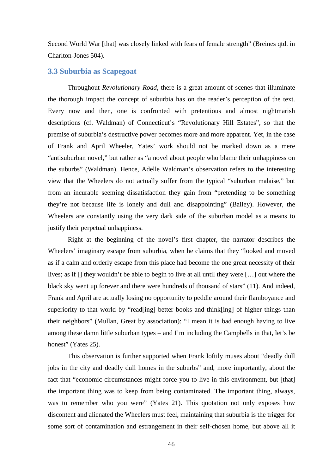Second World War [that] was closely linked with fears of female strength" (Breines qtd. in Charlton-Jones 504).

### **3.3 Suburbia as Scapegoat**

Throughout *Revolutionary Road*, there is a great amount of scenes that illuminate the thorough impact the concept of suburbia has on the reader's perception of the text. Every now and then, one is confronted with pretentious and almost nightmarish descriptions (cf. Waldman) of Connecticut's "Revolutionary Hill Estates", so that the premise of suburbia's destructive power becomes more and more apparent. Yet, in the case of Frank and April Wheeler, Yates' work should not be marked down as a mere "antisuburban novel," but rather as "a novel about people who blame their unhappiness on the suburbs" (Waldman). Hence, Adelle Waldman's observation refers to the interesting view that the Wheelers do not actually suffer from the typical "suburban malaise," but from an incurable seeming dissatisfaction they gain from "pretending to be something they're not because life is lonely and dull and disappointing" (Bailey). However, the Wheelers are constantly using the very dark side of the suburban model as a means to justify their perpetual unhappiness.

 Right at the beginning of the novel's first chapter, the narrator describes the Wheelers' imaginary escape from suburbia, when he claims that they "looked and moved as if a calm and orderly escape from this place had become the one great necessity of their lives; as if [] they wouldn't be able to begin to live at all until they were […] out where the black sky went up forever and there were hundreds of thousand of stars" (11). And indeed, Frank and April are actually losing no opportunity to peddle around their flamboyance and superiority to that world by "read[ing] better books and think[ing] of higher things than their neighbors" (Mullan, Great by association): "I mean it is bad enough having to live among these damn little suburban types – and I'm including the Campbells in that, let's be honest" (Yates 25).

This observation is further supported when Frank loftily muses about "deadly dull jobs in the city and deadly dull homes in the suburbs" and, more importantly, about the fact that "economic circumstances might force you to live in this environment, but [that] the important thing was to keep from being contaminated. The important thing, always, was to remember who you were" (Yates 21). This quotation not only exposes how discontent and alienated the Wheelers must feel, maintaining that suburbia is the trigger for some sort of contamination and estrangement in their self-chosen home, but above all it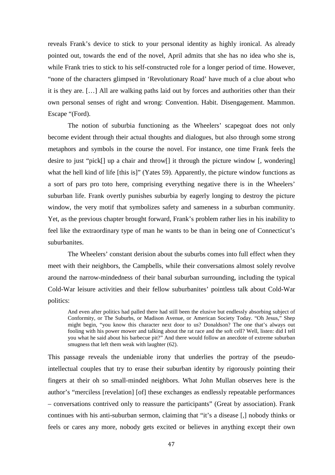reveals Frank's device to stick to your personal identity as highly ironical. As already pointed out, towards the end of the novel, April admits that she has no idea who she is, while Frank tries to stick to his self-constructed role for a longer period of time. However, "none of the characters glimpsed in 'Revolutionary Road' have much of a clue about who it is they are. […] All are walking paths laid out by forces and authorities other than their own personal senses of right and wrong: Convention. Habit. Disengagement. Mammon. Escape "(Ford).

 The notion of suburbia functioning as the Wheelers' scapegoat does not only become evident through their actual thoughts and dialogues, but also through some strong metaphors and symbols in the course the novel. For instance, one time Frank feels the desire to just "pick[] up a chair and throw[] it through the picture window [, wondering] what the hell kind of life [this is]" (Yates 59). Apparently, the picture window functions as a sort of pars pro toto here, comprising everything negative there is in the Wheelers' suburban life. Frank overtly punishes suburbia by eagerly longing to destroy the picture window, the very motif that symbolizes safety and sameness in a suburban community. Yet, as the previous chapter brought forward, Frank's problem rather lies in his inability to feel like the extraordinary type of man he wants to be than in being one of Connecticut's suburbanites.

 The Wheelers' constant derision about the suburbs comes into full effect when they meet with their neighbors, the Campbells, while their conversations almost solely revolve around the narrow-mindedness of their banal suburban surrounding, including the typical Cold-War leisure activities and their fellow suburbanites' pointless talk about Cold-War politics:

And even after politics had palled there had still been the elusive but endlessly absorbing subject of Conformity, or The Suburbs, or Madison Avenue, or American Society Today. "Oh Jesus," Shep might begin, "you know this character next door to us? Donaldson? The one that's always out fooling with his power mower and talking about the rat race and the soft cell? Well, listen: did I tell you what he said about his barbecue pit?" And there would follow an anecdote of extreme suburban smugness that left them weak with laughter (62).

This passage reveals the undeniable irony that underlies the portray of the pseudointellectual couples that try to erase their suburban identity by rigorously pointing their fingers at their oh so small-minded neighbors. What John Mullan observes here is the author's "merciless [revelation] [of] these exchanges as endlessly repeatable performances – conversations contrived only to reassure the participants" (Great by association). Frank continues with his anti-suburban sermon, claiming that "it's a disease [,] nobody thinks or feels or cares any more, nobody gets excited or believes in anything except their own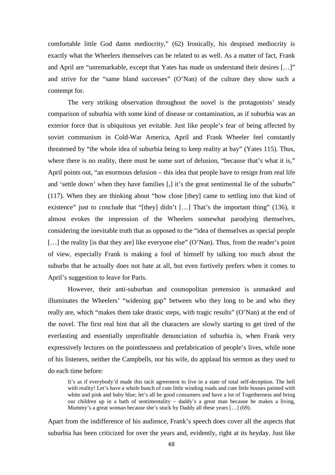comfortable little God damn mediocrity," (62) Ironically, his despised mediocrity is exactly what the Wheelers themselves can be related to as well. As a matter of fact, Frank and April are "unremarkable, except that Yates has made us understand their desires […]" and strive for the "same bland successes" (O'Nan) of the culture they show such a contempt for.

The very striking observation throughout the novel is the protagonists' steady comparison of suburbia with some kind of disease or contamination, as if suburbia was an exterior force that is ubiquitous yet evitable. Just like people's fear of being affected by soviet communism in Cold-War America, April and Frank Wheeler feel constantly threatened by "the whole idea of suburbia being to keep reality at bay" (Yates 115). Thus, where there is no reality, there must be some sort of delusion, "because that's what it is," April points out, "an enormous delusion – this idea that people have to resign from real life and 'settle down' when they have families [,] it's the great sentimental lie of the suburbs" (117). When they are thinking about "how close [they] came to settling into that kind of existence" just to conclude that "[they] didn't [...] That's the important thing" (136), it almost evokes the impression of the Wheelers somewhat parodying themselves, considering the inevitable truth that as opposed to the "idea of themselves as special people [...] the reality [is that they are] like everyone else" (O'Nan). Thus, from the reader's point of view, especially Frank is making a fool of himself by talking too much about the suburbs that he actually does not hate at all, but even furtively prefers when it comes to April's suggestion to leave for Paris.

However, their anti-suburban and cosmopolitan pretension is unmasked and illuminates the Wheelers' "widening gap" between who they long to be and who they really are, which "makes them take drastic steps, with tragic results" (O'Nan) at the end of the novel. The first real hint that all the characters are slowly starting to get tired of the everlasting and essentially unprofitable denunciation of suburbia is, when Frank very expressively lectures on the pointlessness and prefabrication of people's lives, while none of his listeners, neither the Campbells, nor his wife, do applaud his sermon as they used to do each time before:

It's as if everybody'd made this tacit agreement to live in a state of total self-deception. The hell with reality! Let's have a whole bunch of cute little winding roads and cute little houses painted with white and pink and baby blue; let's all be good consumers and have a lot of Togetherness and bring our children up in a bath of sentimentality – daddy's a great man because he makes a living, Mummy's a great woman because she's stuck by Daddy all these years [...] (69).

Apart from the indifference of his audience, Frank's speech does cover all the aspects that suburbia has been criticized for over the years and, evidently, right at its heyday. Just like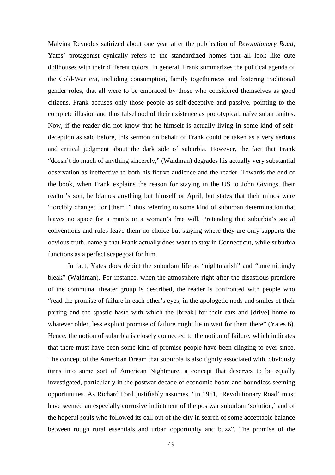Malvina Reynolds satirized about one year after the publication of *Revolutionary Road*, Yates' protagonist cynically refers to the standardized homes that all look like cute dollhouses with their different colors. In general, Frank summarizes the political agenda of the Cold-War era, including consumption, family togetherness and fostering traditional gender roles, that all were to be embraced by those who considered themselves as good citizens. Frank accuses only those people as self-deceptive and passive, pointing to the complete illusion and thus falsehood of their existence as prototypical, naïve suburbanites. Now, if the reader did not know that he himself is actually living in some kind of selfdeception as said before, this sermon on behalf of Frank could be taken as a very serious and critical judgment about the dark side of suburbia. However, the fact that Frank "doesn't do much of anything sincerely," (Waldman) degrades his actually very substantial observation as ineffective to both his fictive audience and the reader. Towards the end of the book, when Frank explains the reason for staying in the US to John Givings, their realtor's son, he blames anything but himself or April, but states that their minds were "forcibly changed for [them]," thus referring to some kind of suburban determination that leaves no space for a man's or a woman's free will. Pretending that suburbia's social conventions and rules leave them no choice but staying where they are only supports the obvious truth, namely that Frank actually does want to stay in Connecticut, while suburbia functions as a perfect scapegoat for him.

 In fact, Yates does depict the suburban life as "nightmarish" and "unremittingly bleak" (Waldman). For instance, when the atmosphere right after the disastrous premiere of the communal theater group is described, the reader is confronted with people who "read the promise of failure in each other's eyes, in the apologetic nods and smiles of their parting and the spastic haste with which the [break] for their cars and [drive] home to whatever older, less explicit promise of failure might lie in wait for them there" (Yates 6). Hence, the notion of suburbia is closely connected to the notion of failure, which indicates that there must have been some kind of promise people have been clinging to ever since. The concept of the American Dream that suburbia is also tightly associated with, obviously turns into some sort of American Nightmare, a concept that deserves to be equally investigated, particularly in the postwar decade of economic boom and boundless seeming opportunities. As Richard Ford justifiably assumes, "in 1961, 'Revolutionary Road' must have seemed an especially corrosive indictment of the postwar suburban 'solution,' and of the hopeful souls who followed its call out of the city in search of some acceptable balance between rough rural essentials and urban opportunity and buzz". The promise of the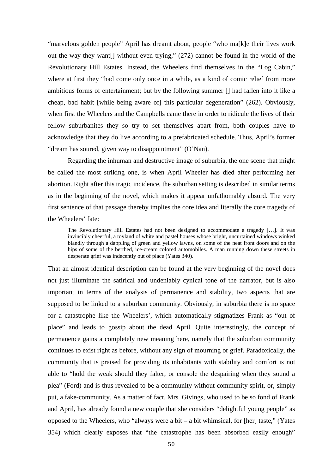"marvelous golden people" April has dreamt about, people "who ma[k]e their lives work out the way they want[] without even trying," (272) cannot be found in the world of the Revolutionary Hill Estates. Instead, the Wheelers find themselves in the "Log Cabin," where at first they "had come only once in a while, as a kind of comic relief from more ambitious forms of entertainment; but by the following summer [] had fallen into it like a cheap, bad habit [while being aware of] this particular degeneration" (262). Obviously, when first the Wheelers and the Campbells came there in order to ridicule the lives of their fellow suburbanites they so try to set themselves apart from, both couples have to acknowledge that they do live according to a prefabricated schedule. Thus, April's former "dream has soured, given way to disappointment" (O'Nan).

 Regarding the inhuman and destructive image of suburbia, the one scene that might be called the most striking one, is when April Wheeler has died after performing her abortion. Right after this tragic incidence, the suburban setting is described in similar terms as in the beginning of the novel, which makes it appear unfathomably absurd. The very first sentence of that passage thereby implies the core idea and literally the core tragedy of the Wheelers' fate:

The Revolutionary Hill Estates had not been designed to accommodate a tragedy […]. It was invincibly cheerful, a toyland of white and pastel houses whose bright, uncurtained windows winked blandly through a dappling of green and yellow lawns, on some of the neat front doors and on the hips of some of the berthed, ice-cream colored automobiles. A man running down these streets in desperate grief was indecently out of place (Yates 340).

That an almost identical description can be found at the very beginning of the novel does not just illuminate the satirical and undeniably cynical tone of the narrator, but is also important in terms of the analysis of permanence and stability, two aspects that are supposed to be linked to a suburban community. Obviously, in suburbia there is no space for a catastrophe like the Wheelers', which automatically stigmatizes Frank as "out of place" and leads to gossip about the dead April. Quite interestingly, the concept of permanence gains a completely new meaning here, namely that the suburban community continues to exist right as before, without any sign of mourning or grief. Paradoxically, the community that is praised for providing its inhabitants with stability and comfort is not able to "hold the weak should they falter, or console the despairing when they sound a plea" (Ford) and is thus revealed to be a community without community spirit, or, simply put, a fake-community. As a matter of fact, Mrs. Givings, who used to be so fond of Frank and April, has already found a new couple that she considers "delightful young people" as opposed to the Wheelers, who "always were a bit – a bit whimsical, for [her] taste," (Yates 354) which clearly exposes that "the catastrophe has been absorbed easily enough"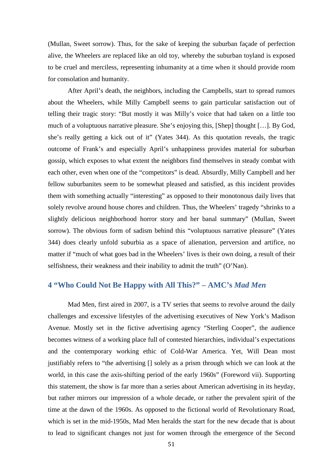(Mullan, Sweet sorrow). Thus, for the sake of keeping the suburban façade of perfection alive, the Wheelers are replaced like an old toy, whereby the suburban toyland is exposed to be cruel and merciless, representing inhumanity at a time when it should provide room for consolation and humanity.

After April's death, the neighbors, including the Campbells, start to spread rumors about the Wheelers, while Milly Campbell seems to gain particular satisfaction out of telling their tragic story: "But mostly it was Milly's voice that had taken on a little too much of a voluptuous narrative pleasure. She's enjoying this, [Shep] thought […]. By God, she's really getting a kick out of it" (Yates 344). As this quotation reveals, the tragic outcome of Frank's and especially April's unhappiness provides material for suburban gossip, which exposes to what extent the neighbors find themselves in steady combat with each other, even when one of the "competitors" is dead. Absurdly, Milly Campbell and her fellow suburbanites seem to be somewhat pleased and satisfied, as this incident provides them with something actually "interesting" as opposed to their monotonous daily lives that solely revolve around house chores and children. Thus, the Wheelers' tragedy "shrinks to a slightly delicious neighborhood horror story and her banal summary" (Mullan, Sweet sorrow). The obvious form of sadism behind this "voluptuous narrative pleasure" (Yates 344) does clearly unfold suburbia as a space of alienation, perversion and artifice, no matter if "much of what goes bad in the Wheelers' lives is their own doing, a result of their selfishness, their weakness and their inability to admit the truth" (O'Nan).

# **4 "Who Could Not Be Happy with All This?" – AMC's** *Mad Men*

 Mad Men, first aired in 2007, is a TV series that seems to revolve around the daily challenges and excessive lifestyles of the advertising executives of New York's Madison Avenue. Mostly set in the fictive advertising agency "Sterling Cooper", the audience becomes witness of a working place full of contested hierarchies, individual's expectations and the contemporary working ethic of Cold-War America. Yet, Will Dean most justifiably refers to "the advertising [] solely as a prism through which we can look at the world, in this case the axis-shifting period of the early 1960s" (Foreword vii). Supporting this statement, the show is far more than a series about American advertising in its heyday, but rather mirrors our impression of a whole decade, or rather the prevalent spirit of the time at the dawn of the 1960s. As opposed to the fictional world of Revolutionary Road, which is set in the mid-1950s, Mad Men heralds the start for the new decade that is about to lead to significant changes not just for women through the emergence of the Second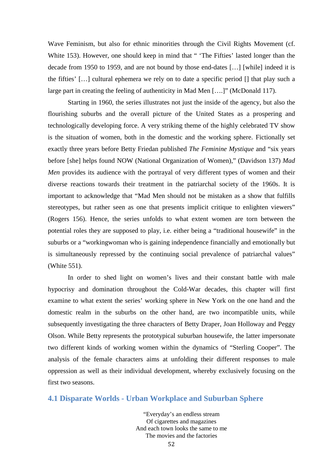Wave Feminism, but also for ethnic minorities through the Civil Rights Movement (cf. White 153). However, one should keep in mind that "The Fifties' lasted longer than the decade from 1950 to 1959, and are not bound by those end-dates […] [while] indeed it is the fifties' […] cultural ephemera we rely on to date a specific period [] that play such a large part in creating the feeling of authenticity in Mad Men [….]" (McDonald 117).

Starting in 1960, the series illustrates not just the inside of the agency, but also the flourishing suburbs and the overall picture of the United States as a prospering and technologically developing force. A very striking theme of the highly celebrated TV show is the situation of women, both in the domestic and the working sphere. Fictionally set exactly three years before Betty Friedan published *The Feminine Mystique* and "six years before [she] helps found NOW (National Organization of Women)," (Davidson 137) *Mad Men* provides its audience with the portrayal of very different types of women and their diverse reactions towards their treatment in the patriarchal society of the 1960s. It is important to acknowledge that "Mad Men should not be mistaken as a show that fulfills stereotypes, but rather seen as one that presents implicit critique to enlighten viewers" (Rogers 156). Hence, the series unfolds to what extent women are torn between the potential roles they are supposed to play, i.e. either being a "traditional housewife" in the suburbs or a "workingwoman who is gaining independence financially and emotionally but is simultaneously repressed by the continuing social prevalence of patriarchal values" (White 551).

 In order to shed light on women's lives and their constant battle with male hypocrisy and domination throughout the Cold-War decades, this chapter will first examine to what extent the series' working sphere in New York on the one hand and the domestic realm in the suburbs on the other hand, are two incompatible units, while subsequently investigating the three characters of Betty Draper, Joan Holloway and Peggy Olson. While Betty represents the prototypical suburban housewife, the latter impersonate two different kinds of working women within the dynamics of "Sterling Cooper". The analysis of the female characters aims at unfolding their different responses to male oppression as well as their individual development, whereby exclusively focusing on the first two seasons.

## **4.1 Disparate Worlds - Urban Workplace and Suburban Sphere**

"Everyday's an endless stream Of cigarettes and magazines And each town looks the same to me The movies and the factories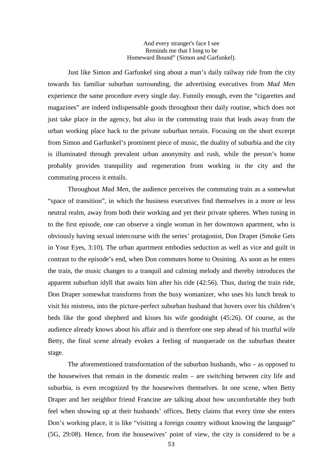#### And every stranger's face I see Reminds me that I long to be Homeward Bound" (Simon and Garfunkel).

Just like Simon and Garfunkel sing about a man's daily railway ride from the city towards his familiar suburban surrounding, the advertising executives from *Mad Men* experience the same procedure every single day. Funnily enough, even the "cigarettes and magazines" are indeed indispensable goods throughout their daily routine, which does not just take place in the agency, but also in the commuting train that leads away from the urban working place back to the private suburban terrain. Focusing on the short excerpt from Simon and Garfunkel's prominent piece of music, the duality of suburbia and the city is illuminated through prevalent urban anonymity and rush, while the person's home probably provides tranquility and regeneration from working in the city and the commuting process it entails.

Throughout *Mad Men*, the audience perceives the commuting train as a somewhat "space of transition", in which the business executives find themselves in a more or less neutral realm, away from both their working and yet their private spheres. When tuning in to the first episode, one can observe a single woman in her downtown apartment, who is obviously having sexual intercourse with the series' protagonist, Don Draper (Smoke Gets in Your Eyes, 3:10). The urban apartment embodies seduction as well as vice and guilt in contrast to the episode's end, when Don commutes home to Ossining. As soon as he enters the train, the music changes to a tranquil and calming melody and thereby introduces the apparent suburban idyll that awaits him after his ride (42:56). Thus, during the train ride, Don Draper somewhat transforms from the busy womanizer, who uses his lunch break to visit his mistress, into the picture-perfect suburban husband that hovers over his children's beds like the good shepherd and kisses his wife goodnight (45:26). Of course, as the audience already knows about his affair and is therefore one step ahead of his trustful wife Betty, the final scene already evokes a feeling of masquerade on the suburban theater stage.

The aforementioned transformation of the suburban husbands, who – as opposed to the housewives that remain in the domestic realm – are switching between city life and suburbia, is even recognized by the housewives themselves. In one scene, when Betty Draper and her neighbor friend Francine are talking about how uncomfortable they both feel when showing up at their husbands' offices, Betty claims that every time she enters Don's working place, it is like "visiting a foreign country without knowing the language" (5G, 29:08). Hence, from the housewives' point of view, the city is considered to be a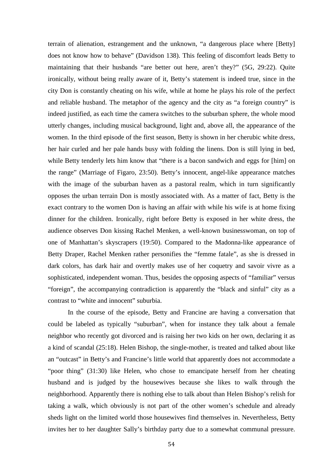terrain of alienation, estrangement and the unknown, "a dangerous place where [Betty] does not know how to behave" (Davidson 138). This feeling of discomfort leads Betty to maintaining that their husbands "are better out here, aren't they?" (5G, 29:22). Quite ironically, without being really aware of it, Betty's statement is indeed true, since in the city Don is constantly cheating on his wife, while at home he plays his role of the perfect and reliable husband. The metaphor of the agency and the city as "a foreign country" is indeed justified, as each time the camera switches to the suburban sphere, the whole mood utterly changes, including musical background, light and, above all, the appearance of the women. In the third episode of the first season, Betty is shown in her cherubic white dress, her hair curled and her pale hands busy with folding the linens. Don is still lying in bed, while Betty tenderly lets him know that "there is a bacon sandwich and eggs for [him] on the range" (Marriage of Figaro, 23:50). Betty's innocent, angel-like appearance matches with the image of the suburban haven as a pastoral realm, which in turn significantly opposes the urban terrain Don is mostly associated with. As a matter of fact, Betty is the exact contrary to the women Don is having an affair with while his wife is at home fixing dinner for the children. Ironically, right before Betty is exposed in her white dress, the audience observes Don kissing Rachel Menken, a well-known businesswoman, on top of one of Manhattan's skyscrapers (19:50). Compared to the Madonna-like appearance of Betty Draper, Rachel Menken rather personifies the "femme fatale", as she is dressed in dark colors, has dark hair and overtly makes use of her coquetry and savoir vivre as a sophisticated, independent woman. Thus, besides the opposing aspects of "familiar" versus "foreign", the accompanying contradiction is apparently the "black and sinful" city as a contrast to "white and innocent" suburbia.

In the course of the episode, Betty and Francine are having a conversation that could be labeled as typically "suburban", when for instance they talk about a female neighbor who recently got divorced and is raising her two kids on her own, declaring it as a kind of scandal (25:18). Helen Bishop, the single-mother, is treated and talked about like an "outcast" in Betty's and Francine's little world that apparently does not accommodate a "poor thing" (31:30) like Helen, who chose to emancipate herself from her cheating husband and is judged by the housewives because she likes to walk through the neighborhood. Apparently there is nothing else to talk about than Helen Bishop's relish for taking a walk, which obviously is not part of the other women's schedule and already sheds light on the limited world those housewives find themselves in. Nevertheless, Betty invites her to her daughter Sally's birthday party due to a somewhat communal pressure.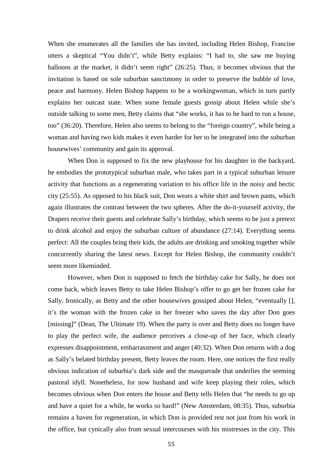When she enumerates all the families she has invited, including Helen Bishop, Francine utters a skeptical "You didn't", while Betty explains: "I had to, she saw me buying balloons at the market, it didn't seem right" (26:25). Thus, it becomes obvious that the invitation is based on sole suburban sanctimony in order to preserve the bubble of love, peace and harmony. Helen Bishop happens to be a workingwoman, which in turn partly explains her outcast state. When some female guests gossip about Helen while she's outside talking to some men, Betty claims that "she works, it has to be hard to run a house, too" (36:20). Therefore, Helen also seems to belong to the "foreign country", while being a woman and having two kids makes it even harder for her to be integrated into the suburban housewives' community and gain its approval.

When Don is supposed to fix the new playhouse for his daughter in the backyard, he embodies the prototypical suburban male, who takes part in a typical suburban leisure activity that functions as a regenerating variation to his office life in the noisy and hectic city (25:55). As opposed to his black suit, Don wears a white shirt and brown pants, which again illustrates the contrast between the two spheres. After the do-it-yourself activity, the Drapers receive their guests and celebrate Sally's birthday, which seems to be just a pretext to drink alcohol and enjoy the suburban culture of abundance (27:14). Everything seems perfect: All the couples bring their kids, the adults are drinking and smoking together while concurrently sharing the latest news. Except for Helen Bishop, the community couldn't seem more likeminded.

However, when Don is supposed to fetch the birthday cake for Sally, he does not come back, which leaves Betty to take Helen Bishop's offer to go get her frozen cake for Sally. Ironically, as Betty and the other housewives gossiped about Helen, "eventually [], it's the woman with the frozen cake in her freezer who saves the day after Don goes [missing]" (Dean, The Ultimate 19). When the party is over and Betty does no longer have to play the perfect wife, the audience perceives a close-up of her face, which clearly expresses disappointment, embarrassment and anger (40:32). When Don returns with a dog as Sally's belated birthday present, Betty leaves the room. Here, one notices the first really obvious indication of suburbia's dark side and the masquerade that underlies the seeming pastoral idyll. Nonetheless, for now husband and wife keep playing their roles, which becomes obvious when Don enters the house and Betty tells Helen that "he needs to go up and have a quiet for a while, he works so hard!" (New Amsterdam, 08:35). Thus, suburbia remains a haven for regeneration, in which Don is provided rest not just from his work in the office, but cynically also from sexual intercourses with his mistresses in the city. This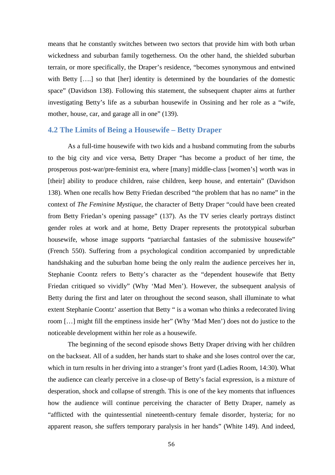means that he constantly switches between two sectors that provide him with both urban wickedness and suburban family togetherness. On the other hand, the shielded suburban terrain, or more specifically, the Draper's residence, "becomes synonymous and entwined with Betty [....] so that [her] identity is determined by the boundaries of the domestic space" (Davidson 138). Following this statement, the subsequent chapter aims at further investigating Betty's life as a suburban housewife in Ossining and her role as a "wife, mother, house, car, and garage all in one" (139).

# **4.2 The Limits of Being a Housewife – Betty Draper**

As a full-time housewife with two kids and a husband commuting from the suburbs to the big city and vice versa, Betty Draper "has become a product of her time, the prosperous post-war/pre-feminist era, where [many] middle-class [women's] worth was in [their] ability to produce children, raise children, keep house, and entertain" (Davidson 138). When one recalls how Betty Friedan described "the problem that has no name" in the context of *The Feminine Mystique*, the character of Betty Draper "could have been created from Betty Friedan's opening passage" (137). As the TV series clearly portrays distinct gender roles at work and at home, Betty Draper represents the prototypical suburban housewife, whose image supports "patriarchal fantasies of the submissive housewife" (French 550). Suffering from a psychological condition accompanied by unpredictable handshaking and the suburban home being the only realm the audience perceives her in, Stephanie Coontz refers to Betty's character as the "dependent housewife that Betty Friedan critiqued so vividly" (Why 'Mad Men'). However, the subsequent analysis of Betty during the first and later on throughout the second season, shall illuminate to what extent Stephanie Coontz' assertion that Betty " is a woman who thinks a redecorated living room […] might fill the emptiness inside her" (Why 'Mad Men') does not do justice to the noticeable development within her role as a housewife.

 The beginning of the second episode shows Betty Draper driving with her children on the backseat. All of a sudden, her hands start to shake and she loses control over the car, which in turn results in her driving into a stranger's front yard (Ladies Room, 14:30). What the audience can clearly perceive in a close-up of Betty's facial expression, is a mixture of desperation, shock and collapse of strength. This is one of the key moments that influences how the audience will continue perceiving the character of Betty Draper, namely as "afflicted with the quintessential nineteenth-century female disorder, hysteria; for no apparent reason, she suffers temporary paralysis in her hands" (White 149). And indeed,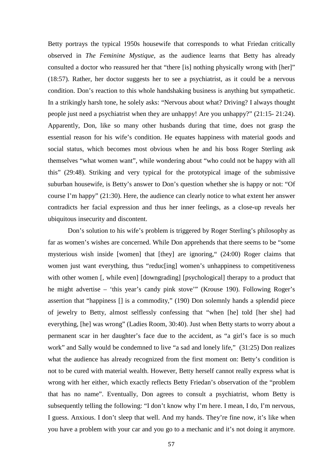Betty portrays the typical 1950s housewife that corresponds to what Friedan critically observed in *The Feminine Mystique*, as the audience learns that Betty has already consulted a doctor who reassured her that "there [is] nothing physically wrong with [her]" (18:57). Rather, her doctor suggests her to see a psychiatrist, as it could be a nervous condition. Don's reaction to this whole handshaking business is anything but sympathetic. In a strikingly harsh tone, he solely asks: "Nervous about what? Driving? I always thought people just need a psychiatrist when they are unhappy! Are you unhappy?" (21:15- 21:24). Apparently, Don, like so many other husbands during that time, does not grasp the essential reason for his wife's condition. He equates happiness with material goods and social status, which becomes most obvious when he and his boss Roger Sterling ask themselves "what women want", while wondering about "who could not be happy with all this" (29:48). Striking and very typical for the prototypical image of the submissive suburban housewife, is Betty's answer to Don's question whether she is happy or not: "Of course I'm happy" (21:30). Here, the audience can clearly notice to what extent her answer contradicts her facial expression and thus her inner feelings, as a close-up reveals her ubiquitous insecurity and discontent.

Don's solution to his wife's problem is triggered by Roger Sterling's philosophy as far as women's wishes are concerned. While Don apprehends that there seems to be "some mysterious wish inside [women] that [they] are ignoring," (24:00) Roger claims that women just want everything, thus "reduc[ing] women's unhappiness to competitiveness with other women [, while even] [downgrading] [psychological] therapy to a product that he might advertise – 'this year's candy pink stove'" (Krouse 190). Following Roger's assertion that "happiness [] is a commodity," (190) Don solemnly hands a splendid piece of jewelry to Betty, almost selflessly confessing that "when [he] told [her she] had everything, [he] was wrong" (Ladies Room, 30:40). Just when Betty starts to worry about a permanent scar in her daughter's face due to the accident, as "a girl's face is so much work" and Sally would be condemned to live "a sad and lonely life," (31:25) Don realizes what the audience has already recognized from the first moment on: Betty's condition is not to be cured with material wealth. However, Betty herself cannot really express what is wrong with her either, which exactly reflects Betty Friedan's observation of the "problem that has no name". Eventually, Don agrees to consult a psychiatrist, whom Betty is subsequently telling the following: "I don't know why I'm here. I mean, I do, I'm nervous, I guess. Anxious. I don't sleep that well. And my hands. They're fine now, it's like when you have a problem with your car and you go to a mechanic and it's not doing it anymore.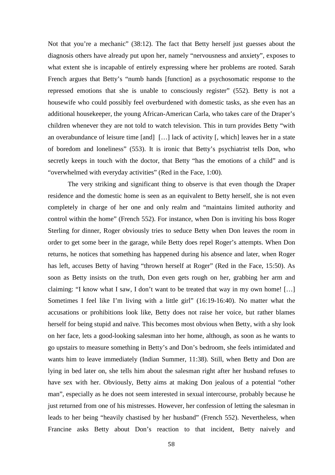Not that you're a mechanic" (38:12). The fact that Betty herself just guesses about the diagnosis others have already put upon her, namely "nervousness and anxiety", exposes to what extent she is incapable of entirely expressing where her problems are rooted. Sarah French argues that Betty's "numb hands [function] as a psychosomatic response to the repressed emotions that she is unable to consciously register" (552). Betty is not a housewife who could possibly feel overburdened with domestic tasks, as she even has an additional housekeeper, the young African-American Carla, who takes care of the Draper's children whenever they are not told to watch television. This in turn provides Betty "with an overabundance of leisure time [and] […] lack of activity [, which] leaves her in a state of boredom and loneliness" (553). It is ironic that Betty's psychiatrist tells Don, who secretly keeps in touch with the doctor, that Betty "has the emotions of a child" and is "overwhelmed with everyday activities" (Red in the Face, 1:00).

The very striking and significant thing to observe is that even though the Draper residence and the domestic home is seen as an equivalent to Betty herself, she is not even completely in charge of her one and only realm and "maintains limited authority and control within the home" (French 552). For instance, when Don is inviting his boss Roger Sterling for dinner, Roger obviously tries to seduce Betty when Don leaves the room in order to get some beer in the garage, while Betty does repel Roger's attempts. When Don returns, he notices that something has happened during his absence and later, when Roger has left, accuses Betty of having "thrown herself at Roger" (Red in the Face, 15:50). As soon as Betty insists on the truth, Don even gets rough on her, grabbing her arm and claiming: "I know what I saw, I don't want to be treated that way in my own home! […] Sometimes I feel like I'm living with a little girl" (16:19-16:40). No matter what the accusations or prohibitions look like, Betty does not raise her voice, but rather blames herself for being stupid and naïve. This becomes most obvious when Betty, with a shy look on her face, lets a good-looking salesman into her home, although, as soon as he wants to go upstairs to measure something in Betty's and Don's bedroom, she feels intimidated and wants him to leave immediately (Indian Summer, 11:38). Still, when Betty and Don are lying in bed later on, she tells him about the salesman right after her husband refuses to have sex with her. Obviously, Betty aims at making Don jealous of a potential "other man", especially as he does not seem interested in sexual intercourse, probably because he just returned from one of his mistresses. However, her confession of letting the salesman in leads to her being "heavily chastised by her husband" (French 552). Nevertheless, when Francine asks Betty about Don's reaction to that incident, Betty naively and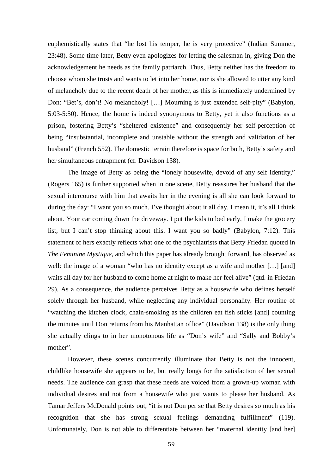euphemistically states that "he lost his temper, he is very protective" (Indian Summer, 23:48). Some time later, Betty even apologizes for letting the salesman in, giving Don the acknowledgement he needs as the family patriarch. Thus, Betty neither has the freedom to choose whom she trusts and wants to let into her home, nor is she allowed to utter any kind of melancholy due to the recent death of her mother, as this is immediately undermined by Don: "Bet's, don't! No melancholy! […] Mourning is just extended self-pity" (Babylon, 5:03-5:50). Hence, the home is indeed synonymous to Betty, yet it also functions as a prison, fostering Betty's "sheltered existence" and consequently her self-perception of being "insubstantial, incomplete and unstable without the strength and validation of her husband" (French 552). The domestic terrain therefore is space for both, Betty's safety and her simultaneous entrapment (cf. Davidson 138).

The image of Betty as being the "lonely housewife, devoid of any self identity," (Rogers 165) is further supported when in one scene, Betty reassures her husband that the sexual intercourse with him that awaits her in the evening is all she can look forward to during the day: "I want you so much. I've thought about it all day. I mean it, it's all I think about. Your car coming down the driveway. I put the kids to bed early, I make the grocery list, but I can't stop thinking about this. I want you so badly" (Babylon, 7:12). This statement of hers exactly reflects what one of the psychiatrists that Betty Friedan quoted in *The Feminine Mystique,* and which this paper has already brought forward, has observed as well: the image of a woman "who has no identity except as a wife and mother [...] [and] waits all day for her husband to come home at night to make her feel alive" (qtd. in Friedan 29). As a consequence, the audience perceives Betty as a housewife who defines herself solely through her husband, while neglecting any individual personality. Her routine of "watching the kitchen clock, chain-smoking as the children eat fish sticks [and] counting the minutes until Don returns from his Manhattan office" (Davidson 138) is the only thing she actually clings to in her monotonous life as "Don's wife" and "Sally and Bobby's mother".

However, these scenes concurrently illuminate that Betty is not the innocent, childlike housewife she appears to be, but really longs for the satisfaction of her sexual needs. The audience can grasp that these needs are voiced from a grown-up woman with individual desires and not from a housewife who just wants to please her husband. As Tamar Jeffers McDonald points out, "it is not Don per se that Betty desires so much as his recognition that she has strong sexual feelings demanding fulfillment" (119). Unfortunately, Don is not able to differentiate between her "maternal identity [and her]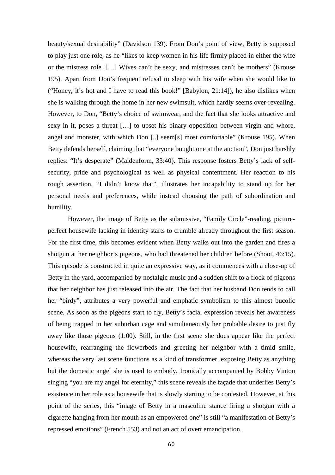beauty/sexual desirability" (Davidson 139). From Don's point of view, Betty is supposed to play just one role, as he "likes to keep women in his life firmly placed in either the wife or the mistress role. […] Wives can't be sexy, and mistresses can't be mothers" (Krouse 195). Apart from Don's frequent refusal to sleep with his wife when she would like to ("Honey, it's hot and I have to read this book!" [Babylon, 21:14]), he also dislikes when she is walking through the home in her new swimsuit, which hardly seems over-revealing. However, to Don, "Betty's choice of swimwear, and the fact that she looks attractive and sexy in it, poses a threat […] to upset his binary opposition between virgin and whore, angel and monster, with which Don [..] seem[s] most comfortable" (Krouse 195). When Betty defends herself, claiming that "everyone bought one at the auction", Don just harshly replies: "It's desperate" (Maidenform, 33:40). This response fosters Betty's lack of selfsecurity, pride and psychological as well as physical contentment. Her reaction to his rough assertion, "I didn't know that", illustrates her incapability to stand up for her personal needs and preferences, while instead choosing the path of subordination and humility.

However, the image of Betty as the submissive, "Family Circle"-reading, pictureperfect housewife lacking in identity starts to crumble already throughout the first season. For the first time, this becomes evident when Betty walks out into the garden and fires a shotgun at her neighbor's pigeons, who had threatened her children before (Shoot, 46:15). This episode is constructed in quite an expressive way, as it commences with a close-up of Betty in the yard, accompanied by nostalgic music and a sudden shift to a flock of pigeons that her neighbor has just released into the air. The fact that her husband Don tends to call her "birdy", attributes a very powerful and emphatic symbolism to this almost bucolic scene. As soon as the pigeons start to fly, Betty's facial expression reveals her awareness of being trapped in her suburban cage and simultaneously her probable desire to just fly away like those pigeons (1:00). Still, in the first scene she does appear like the perfect housewife, rearranging the flowerbeds and greeting her neighbor with a timid smile, whereas the very last scene functions as a kind of transformer, exposing Betty as anything but the domestic angel she is used to embody. Ironically accompanied by Bobby Vinton singing "you are my angel for eternity," this scene reveals the façade that underlies Betty's existence in her role as a housewife that is slowly starting to be contested. However, at this point of the series, this "image of Betty in a masculine stance firing a shotgun with a cigarette hanging from her mouth as an empowered one" is still "a manifestation of Betty's repressed emotions" (French 553) and not an act of overt emancipation.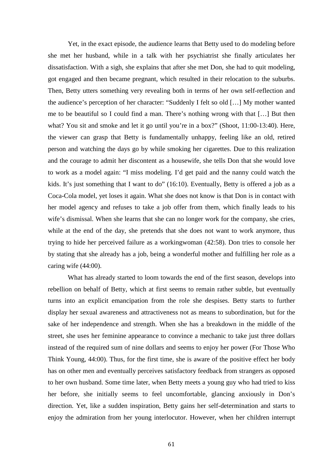Yet, in the exact episode, the audience learns that Betty used to do modeling before she met her husband, while in a talk with her psychiatrist she finally articulates her dissatisfaction. With a sigh, she explains that after she met Don, she had to quit modeling, got engaged and then became pregnant, which resulted in their relocation to the suburbs. Then, Betty utters something very revealing both in terms of her own self-reflection and the audience's perception of her character: "Suddenly I felt so old […] My mother wanted me to be beautiful so I could find a man. There's nothing wrong with that […] But then what? You sit and smoke and let it go until you're in a box?" (Shoot, 11:00-13:40). Here, the viewer can grasp that Betty is fundamentally unhappy, feeling like an old, retired person and watching the days go by while smoking her cigarettes. Due to this realization and the courage to admit her discontent as a housewife, she tells Don that she would love to work as a model again: "I miss modeling. I'd get paid and the nanny could watch the kids. It's just something that I want to do" (16:10). Eventually, Betty is offered a job as a Coca-Cola model, yet loses it again. What she does not know is that Don is in contact with her model agency and refuses to take a job offer from them, which finally leads to his wife's dismissal. When she learns that she can no longer work for the company, she cries, while at the end of the day, she pretends that she does not want to work anymore, thus trying to hide her perceived failure as a workingwoman (42:58). Don tries to console her by stating that she already has a job, being a wonderful mother and fulfilling her role as a caring wife (44:00).

 What has already started to loom towards the end of the first season, develops into rebellion on behalf of Betty, which at first seems to remain rather subtle, but eventually turns into an explicit emancipation from the role she despises. Betty starts to further display her sexual awareness and attractiveness not as means to subordination, but for the sake of her independence and strength. When she has a breakdown in the middle of the street, she uses her feminine appearance to convince a mechanic to take just three dollars instead of the required sum of nine dollars and seems to enjoy her power (For Those Who Think Young, 44:00). Thus, for the first time, she is aware of the positive effect her body has on other men and eventually perceives satisfactory feedback from strangers as opposed to her own husband. Some time later, when Betty meets a young guy who had tried to kiss her before, she initially seems to feel uncomfortable, glancing anxiously in Don's direction. Yet, like a sudden inspiration, Betty gains her self-determination and starts to enjoy the admiration from her young interlocutor. However, when her children interrupt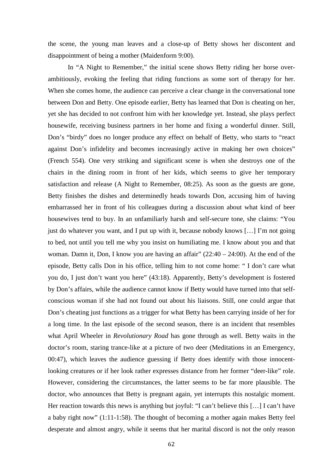the scene, the young man leaves and a close-up of Betty shows her discontent and disappointment of being a mother (Maidenform 9:00).

 In "A Night to Remember," the initial scene shows Betty riding her horse overambitiously, evoking the feeling that riding functions as some sort of therapy for her. When she comes home, the audience can perceive a clear change in the conversational tone between Don and Betty. One episode earlier, Betty has learned that Don is cheating on her, yet she has decided to not confront him with her knowledge yet. Instead, she plays perfect housewife, receiving business partners in her home and fixing a wonderful dinner. Still, Don's "birdy" does no longer produce any effect on behalf of Betty, who starts to "react against Don's infidelity and becomes increasingly active in making her own choices" (French 554). One very striking and significant scene is when she destroys one of the chairs in the dining room in front of her kids, which seems to give her temporary satisfaction and release (A Night to Remember, 08:25). As soon as the guests are gone, Betty finishes the dishes and determinedly heads towards Don, accusing him of having embarrassed her in front of his colleagues during a discussion about what kind of beer housewives tend to buy. In an unfamiliarly harsh and self-secure tone, she claims: "You just do whatever you want, and I put up with it, because nobody knows […] I'm not going to bed, not until you tell me why you insist on humiliating me. I know about you and that woman. Damn it, Don, I know you are having an affair" (22:40 – 24:00). At the end of the episode, Betty calls Don in his office, telling him to not come home: " I don't care what you do, I just don't want you here" (43:18). Apparently, Betty's development is fostered by Don's affairs, while the audience cannot know if Betty would have turned into that selfconscious woman if she had not found out about his liaisons. Still, one could argue that Don's cheating just functions as a trigger for what Betty has been carrying inside of her for a long time. In the last episode of the second season, there is an incident that resembles what April Wheeler in *Revolutionary Road* has gone through as well. Betty waits in the doctor's room, staring trance-like at a picture of two deer (Meditations in an Emergency, 00:47), which leaves the audience guessing if Betty does identify with those innocentlooking creatures or if her look rather expresses distance from her former "deer-like" role. However, considering the circumstances, the latter seems to be far more plausible. The doctor, who announces that Betty is pregnant again, yet interrupts this nostalgic moment. Her reaction towards this news is anything but joyful: "I can't believe this [...] I can't have a baby right now" (1:11-1:58). The thought of becoming a mother again makes Betty feel desperate and almost angry, while it seems that her marital discord is not the only reason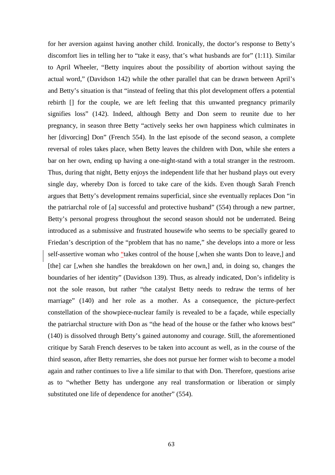for her aversion against having another child. Ironically, the doctor's response to Betty's discomfort lies in telling her to "take it easy, that's what husbands are for" (1:11). Similar to April Wheeler, "Betty inquires about the possibility of abortion without saying the actual word," (Davidson 142) while the other parallel that can be drawn between April's and Betty's situation is that "instead of feeling that this plot development offers a potential rebirth [] for the couple, we are left feeling that this unwanted pregnancy primarily signifies loss" (142). Indeed, although Betty and Don seem to reunite due to her pregnancy, in season three Betty "actively seeks her own happiness which culminates in her [divorcing] Don" (French 554). In the last episode of the second season, a complete reversal of roles takes place, when Betty leaves the children with Don, while she enters a bar on her own, ending up having a one-night-stand with a total stranger in the restroom. Thus, during that night, Betty enjoys the independent life that her husband plays out every single day, whereby Don is forced to take care of the kids. Even though Sarah French argues that Betty's development remains superficial, since she eventually replaces Don "in the patriarchal role of [a] successful and protective husband" (554) through a new partner, Betty's personal progress throughout the second season should not be underrated. Being introduced as a submissive and frustrated housewife who seems to be specially geared to Friedan's description of the "problem that has no name," she develops into a more or less self-assertive woman who "takes control of the house [,when she wants Don to leave,] and [the] car [,when she handles the breakdown on her own,] and, in doing so, changes the boundaries of her identity" (Davidson 139). Thus, as already indicated, Don's infidelity is not the sole reason, but rather "the catalyst Betty needs to redraw the terms of her marriage" (140) and her role as a mother. As a consequence, the picture-perfect constellation of the showpiece-nuclear family is revealed to be a façade, while especially the patriarchal structure with Don as "the head of the house or the father who knows best" (140) is dissolved through Betty's gained autonomy and courage. Still, the aforementioned critique by Sarah French deserves to be taken into account as well, as in the course of the third season, after Betty remarries, she does not pursue her former wish to become a model again and rather continues to live a life similar to that with Don. Therefore, questions arise as to "whether Betty has undergone any real transformation or liberation or simply substituted one life of dependence for another" (554).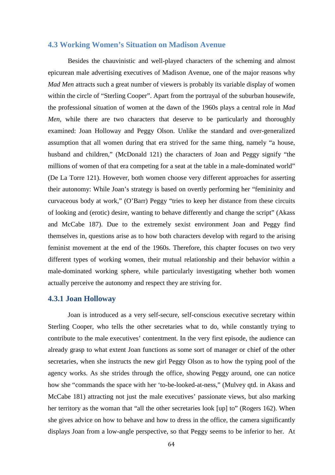## **4.3 Working Women's Situation on Madison Avenue**

 Besides the chauvinistic and well-played characters of the scheming and almost epicurean male advertising executives of Madison Avenue, one of the major reasons why *Mad Men* attracts such a great number of viewers is probably its variable display of women within the circle of "Sterling Cooper". Apart from the portrayal of the suburban housewife, the professional situation of women at the dawn of the 1960s plays a central role in *Mad Men*, while there are two characters that deserve to be particularly and thoroughly examined: Joan Holloway and Peggy Olson. Unlike the standard and over-generalized assumption that all women during that era strived for the same thing, namely "a house, husband and children," (McDonald 121) the characters of Joan and Peggy signify "the millions of women of that era competing for a seat at the table in a male-dominated world" (De La Torre 121). However, both women choose very different approaches for asserting their autonomy: While Joan's strategy is based on overtly performing her "femininity and curvaceous body at work," (O'Barr) Peggy "tries to keep her distance from these circuits of looking and (erotic) desire, wanting to behave differently and change the script" (Akass and McCabe 187). Due to the extremely sexist environment Joan and Peggy find themselves in, questions arise as to how both characters develop with regard to the arising feminist movement at the end of the 1960s. Therefore, this chapter focuses on two very different types of working women, their mutual relationship and their behavior within a male-dominated working sphere, while particularly investigating whether both women actually perceive the autonomy and respect they are striving for.

### **4.3.1 Joan Holloway**

 Joan is introduced as a very self-secure, self-conscious executive secretary within Sterling Cooper, who tells the other secretaries what to do, while constantly trying to contribute to the male executives' contentment. In the very first episode, the audience can already grasp to what extent Joan functions as some sort of manager or chief of the other secretaries, when she instructs the new girl Peggy Olson as to how the typing pool of the agency works. As she strides through the office, showing Peggy around, one can notice how she "commands the space with her 'to-be-looked-at-ness," (Mulvey qtd. in Akass and McCabe 181) attracting not just the male executives' passionate views, but also marking her territory as the woman that "all the other secretaries look [up] to" (Rogers 162). When she gives advice on how to behave and how to dress in the office, the camera significantly displays Joan from a low-angle perspective, so that Peggy seems to be inferior to her. At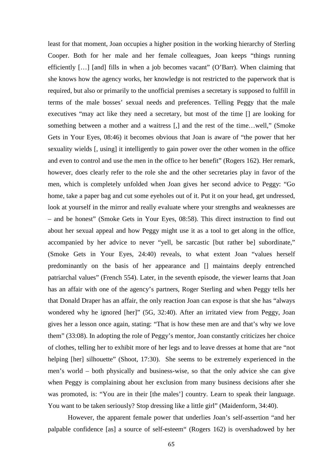least for that moment, Joan occupies a higher position in the working hierarchy of Sterling Cooper. Both for her male and her female colleagues, Joan keeps "things running efficiently […] [and] fills in when a job becomes vacant" (O'Barr). When claiming that she knows how the agency works, her knowledge is not restricted to the paperwork that is required, but also or primarily to the unofficial premises a secretary is supposed to fulfill in terms of the male bosses' sexual needs and preferences. Telling Peggy that the male executives "may act like they need a secretary, but most of the time [] are looking for something between a mother and a waitress [,] and the rest of the time…well," (Smoke Gets in Your Eyes, 08:46) it becomes obvious that Joan is aware of "the power that her sexuality wields [, using] it intelligently to gain power over the other women in the office and even to control and use the men in the office to her benefit" (Rogers 162). Her remark, however, does clearly refer to the role she and the other secretaries play in favor of the men, which is completely unfolded when Joan gives her second advice to Peggy: "Go home, take a paper bag and cut some eyeholes out of it. Put it on your head, get undressed, look at yourself in the mirror and really evaluate where your strengths and weaknesses are – and be honest" (Smoke Gets in Your Eyes, 08:58). This direct instruction to find out about her sexual appeal and how Peggy might use it as a tool to get along in the office, accompanied by her advice to never "yell, be sarcastic [but rather be] subordinate," (Smoke Gets in Your Eyes, 24:40) reveals, to what extent Joan "values herself predominantly on the basis of her appearance and [] maintains deeply entrenched patriarchal values" (French 554). Later, in the seventh episode, the viewer learns that Joan has an affair with one of the agency's partners, Roger Sterling and when Peggy tells her that Donald Draper has an affair, the only reaction Joan can expose is that she has "always wondered why he ignored [her]" (5G, 32:40). After an irritated view from Peggy, Joan gives her a lesson once again, stating: "That is how these men are and that's why we love them" (33:08). In adopting the role of Peggy's mentor, Joan constantly criticizes her choice of clothes, telling her to exhibit more of her legs and to leave dresses at home that are "not helping [her] silhouette" (Shoot, 17:30). She seems to be extremely experienced in the men's world – both physically and business-wise, so that the only advice she can give when Peggy is complaining about her exclusion from many business decisions after she was promoted, is: "You are in their [the males'] country. Learn to speak their language. You want to be taken seriously? Stop dressing like a little girl" (Maidenform, 34:40).

 However, the apparent female power that underlies Joan's self-assertion "and her palpable confidence [as] a source of self-esteem" (Rogers 162) is overshadowed by her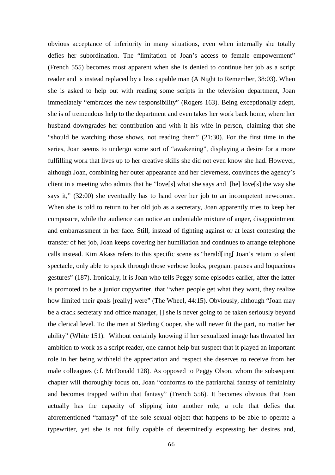obvious acceptance of inferiority in many situations, even when internally she totally defies her subordination. The "limitation of Joan's access to female empowerment" (French 555) becomes most apparent when she is denied to continue her job as a script reader and is instead replaced by a less capable man (A Night to Remember, 38:03). When she is asked to help out with reading some scripts in the television department, Joan immediately "embraces the new responsibility" (Rogers 163). Being exceptionally adept, she is of tremendous help to the department and even takes her work back home, where her husband downgrades her contribution and with it his wife in person, claiming that she "should be watching those shows, not reading them" (21:30). For the first time in the series, Joan seems to undergo some sort of "awakening", displaying a desire for a more fulfilling work that lives up to her creative skills she did not even know she had. However, although Joan, combining her outer appearance and her cleverness, convinces the agency's client in a meeting who admits that he "love[s] what she says and [he] love[s] the way she says it," (32:00) she eventually has to hand over her job to an incompetent newcomer. When she is told to return to her old job as a secretary, Joan apparently tries to keep her composure, while the audience can notice an undeniable mixture of anger, disappointment and embarrassment in her face. Still, instead of fighting against or at least contesting the transfer of her job, Joan keeps covering her humiliation and continues to arrange telephone calls instead. Kim Akass refers to this specific scene as "herald[ing[ Joan's return to silent spectacle, only able to speak through those verbose looks, pregnant pauses and loquacious gestures" (187). Ironically, it is Joan who tells Peggy some episodes earlier, after the latter is promoted to be a junior copywriter, that "when people get what they want, they realize how limited their goals [really] were" (The Wheel, 44:15). Obviously, although "Joan may be a crack secretary and office manager, [] she is never going to be taken seriously beyond the clerical level. To the men at Sterling Cooper, she will never fit the part, no matter her ability" (White 151). Without certainly knowing if her sexualized image has thwarted her ambition to work as a script reader, one cannot help but suspect that it played an important role in her being withheld the appreciation and respect she deserves to receive from her male colleagues (cf. McDonald 128). As opposed to Peggy Olson, whom the subsequent chapter will thoroughly focus on, Joan "conforms to the patriarchal fantasy of femininity and becomes trapped within that fantasy" (French 556). It becomes obvious that Joan actually has the capacity of slipping into another role, a role that defies that aforementioned "fantasy" of the sole sexual object that happens to be able to operate a typewriter, yet she is not fully capable of determinedly expressing her desires and,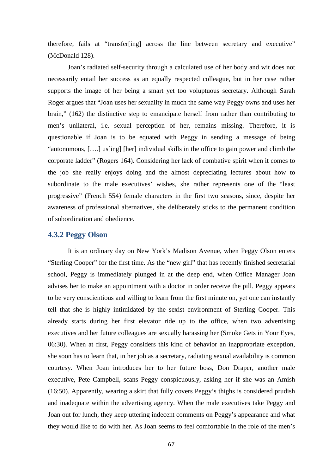therefore, fails at "transfer[ing] across the line between secretary and executive" (McDonald 128).

Joan's radiated self-security through a calculated use of her body and wit does not necessarily entail her success as an equally respected colleague, but in her case rather supports the image of her being a smart yet too voluptuous secretary. Although Sarah Roger argues that "Joan uses her sexuality in much the same way Peggy owns and uses her brain," (162) the distinctive step to emancipate herself from rather than contributing to men's unilateral, i.e. sexual perception of her, remains missing. Therefore, it is questionable if Joan is to be equated with Peggy in sending a message of being "autonomous, [….] us[ing] [her] individual skills in the office to gain power and climb the corporate ladder" (Rogers 164). Considering her lack of combative spirit when it comes to the job she really enjoys doing and the almost depreciating lectures about how to subordinate to the male executives' wishes, she rather represents one of the "least progressive" (French 554) female characters in the first two seasons, since, despite her awareness of professional alternatives, she deliberately sticks to the permanent condition of subordination and obedience.

### **4.3.2 Peggy Olson**

 It is an ordinary day on New York's Madison Avenue, when Peggy Olson enters "Sterling Cooper" for the first time. As the "new girl" that has recently finished secretarial school, Peggy is immediately plunged in at the deep end, when Office Manager Joan advises her to make an appointment with a doctor in order receive the pill. Peggy appears to be very conscientious and willing to learn from the first minute on, yet one can instantly tell that she is highly intimidated by the sexist environment of Sterling Cooper. This already starts during her first elevator ride up to the office, when two advertising executives and her future colleagues are sexually harassing her (Smoke Gets in Your Eyes, 06:30). When at first, Peggy considers this kind of behavior an inappropriate exception, she soon has to learn that, in her job as a secretary, radiating sexual availability is common courtesy. When Joan introduces her to her future boss, Don Draper, another male executive, Pete Campbell, scans Peggy conspicuously, asking her if she was an Amish (16:50). Apparently, wearing a skirt that fully covers Peggy's thighs is considered prudish and inadequate within the advertising agency. When the male executives take Peggy and Joan out for lunch, they keep uttering indecent comments on Peggy's appearance and what they would like to do with her. As Joan seems to feel comfortable in the role of the men's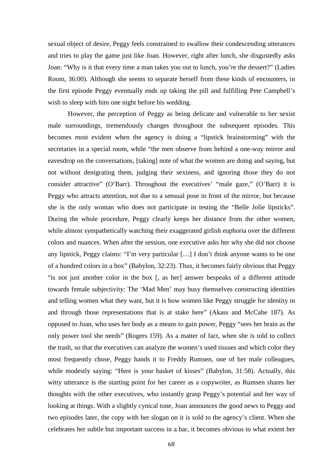sexual object of desire, Peggy feels constrained to swallow their condescending utterances and tries to play the game just like Joan. However, right after lunch, she disgustedly asks Joan: "Why is it that every time a man takes you out to lunch, you're the dessert?" (Ladies Room, 36:00). Although she seems to separate herself from these kinds of encounters, in the first episode Peggy eventually ends up taking the pill and fulfilling Pete Campbell's wish to sleep with him one night before his wedding.

 However, the perception of Peggy as being delicate and vulnerable to her sexist male surroundings, tremendously changes throughout the subsequent episodes. This becomes most evident when the agency is doing a "lipstick brainstorming" with the secretaries in a special room, while "the men observe from behind a one-way mirror and eavesdrop on the conversations, [taking] note of what the women are doing and saying, but not without denigrating them, judging their sexiness, and ignoring those they do not consider attractive" (O'Barr). Throughout the executives' "male gaze," (O'Barr) it is Peggy who attracts attention, not due to a sensual pose in front of the mirror, but because she is the only woman who does not participate in testing the "Belle Jolie lipsticks". During the whole procedure, Peggy clearly keeps her distance from the other women, while almost sympathetically watching their exaggerated girlish euphoria over the different colors and nuances. When after the session, one executive asks her why she did not choose any lipstick, Peggy claims: "I'm very particular […] I don't think anyone wants to be one of a hundred colors in a box" (Babylon, 32:23). Thus, it becomes fairly obvious that Peggy "is not just another color in the box [, as her] answer bespeaks of a different attitude towards female subjectivity: The 'Mad Men' may busy themselves constructing identities and telling women what they want, but it is how women like Peggy struggle for identity in and through those representations that is at stake here" (Akass and McCabe 187). As opposed to Joan, who uses her body as a means to gain power, Peggy "sees her brain as the only power tool she needs" (Rogers 159). As a matter of fact, when she is told to collect the trash, so that the executives can analyze the women's used tissues and which color they most frequently chose, Peggy hands it to Freddy Rumsen, one of her male colleagues, while modestly saying: "Here is your basket of kisses" (Babylon, 31:58). Actually, this witty utterance is the starting point for her career as a copywriter, as Rumsen shares her thoughts with the other executives, who instantly grasp Peggy's potential and her way of looking at things. With a slightly cynical tone, Joan announces the good news to Peggy and two episodes later, the copy with her slogan on it is sold to the agency's client. When she celebrates her subtle but important success in a bar, it becomes obvious to what extent her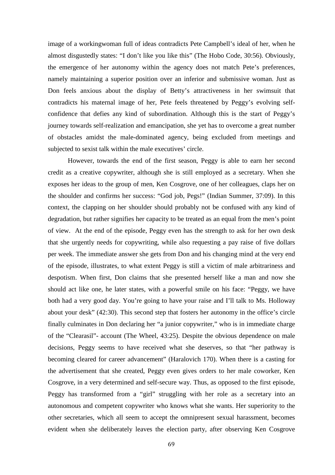image of a workingwoman full of ideas contradicts Pete Campbell's ideal of her, when he almost disgustedly states: "I don't like you like this" (The Hobo Code, 30:56). Obviously, the emergence of her autonomy within the agency does not match Pete's preferences, namely maintaining a superior position over an inferior and submissive woman. Just as Don feels anxious about the display of Betty's attractiveness in her swimsuit that contradicts his maternal image of her, Pete feels threatened by Peggy's evolving selfconfidence that defies any kind of subordination. Although this is the start of Peggy's journey towards self-realization and emancipation, she yet has to overcome a great number of obstacles amidst the male-dominated agency, being excluded from meetings and subjected to sexist talk within the male executives' circle.

 However, towards the end of the first season, Peggy is able to earn her second credit as a creative copywriter, although she is still employed as a secretary. When she exposes her ideas to the group of men, Ken Cosgrove, one of her colleagues, claps her on the shoulder and confirms her success: "God job, Pegs!" (Indian Summer, 37:09). In this context, the clapping on her shoulder should probably not be confused with any kind of degradation, but rather signifies her capacity to be treated as an equal from the men's point of view. At the end of the episode, Peggy even has the strength to ask for her own desk that she urgently needs for copywriting, while also requesting a pay raise of five dollars per week. The immediate answer she gets from Don and his changing mind at the very end of the episode, illustrates, to what extent Peggy is still a victim of male arbitrariness and despotism. When first, Don claims that she presented herself like a man and now she should act like one, he later states, with a powerful smile on his face: "Peggy, we have both had a very good day. You're going to have your raise and I'll talk to Ms. Holloway about your desk" (42:30). This second step that fosters her autonomy in the office's circle finally culminates in Don declaring her "a junior copywriter," who is in immediate charge of the "Clearasil"- account (The Wheel, 43:25). Despite the obvious dependence on male decisions, Peggy seems to have received what she deserves, so that "her pathway is becoming cleared for career advancement" (Haralovich 170). When there is a casting for the advertisement that she created, Peggy even gives orders to her male coworker, Ken Cosgrove, in a very determined and self-secure way. Thus, as opposed to the first episode, Peggy has transformed from a "girl" struggling with her role as a secretary into an autonomous and competent copywriter who knows what she wants. Her superiority to the other secretaries, which all seem to accept the omnipresent sexual harassment, becomes evident when she deliberately leaves the election party, after observing Ken Cosgrove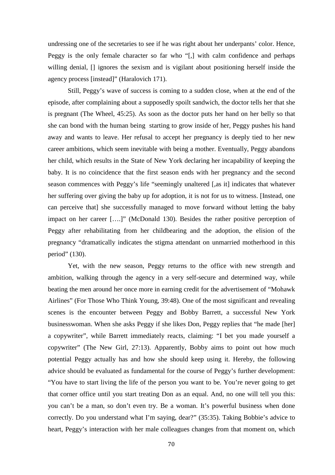undressing one of the secretaries to see if he was right about her underpants' color. Hence, Peggy is the only female character so far who "[,] with calm confidence and perhaps willing denial, [] ignores the sexism and is vigilant about positioning herself inside the agency process [instead]" (Haralovich 171).

 Still, Peggy's wave of success is coming to a sudden close, when at the end of the episode, after complaining about a supposedly spoilt sandwich, the doctor tells her that she is pregnant (The Wheel, 45:25). As soon as the doctor puts her hand on her belly so that she can bond with the human being starting to grow inside of her, Peggy pushes his hand away and wants to leave. Her refusal to accept her pregnancy is deeply tied to her new career ambitions, which seem inevitable with being a mother. Eventually, Peggy abandons her child, which results in the State of New York declaring her incapability of keeping the baby. It is no coincidence that the first season ends with her pregnancy and the second season commences with Peggy's life "seemingly unaltered [,as it] indicates that whatever her suffering over giving the baby up for adoption, it is not for us to witness. [Instead, one can perceive that] she successfully managed to move forward without letting the baby impact on her career [….]" (McDonald 130). Besides the rather positive perception of Peggy after rehabilitating from her childbearing and the adoption, the elision of the pregnancy "dramatically indicates the stigma attendant on unmarried motherhood in this period" (130).

Yet, with the new season, Peggy returns to the office with new strength and ambition, walking through the agency in a very self-secure and determined way, while beating the men around her once more in earning credit for the advertisement of "Mohawk Airlines" (For Those Who Think Young, 39:48). One of the most significant and revealing scenes is the encounter between Peggy and Bobby Barrett, a successful New York businesswoman. When she asks Peggy if she likes Don, Peggy replies that "he made [her] a copywriter", while Barrett immediately reacts, claiming: "I bet you made yourself a copywriter" (The New Girl, 27:13). Apparently, Bobby aims to point out how much potential Peggy actually has and how she should keep using it. Hereby, the following advice should be evaluated as fundamental for the course of Peggy's further development: "You have to start living the life of the person you want to be. You're never going to get that corner office until you start treating Don as an equal. And, no one will tell you this: you can't be a man, so don't even try. Be a woman. It's powerful business when done correctly. Do you understand what I'm saying, dear?" (35:35). Taking Bobbie's advice to heart, Peggy's interaction with her male colleagues changes from that moment on, which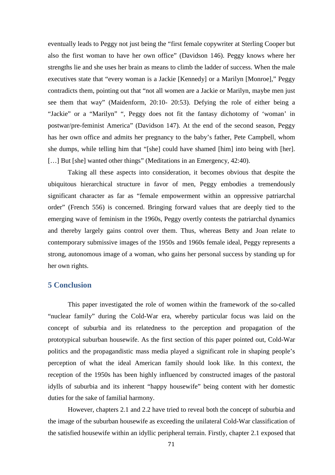eventually leads to Peggy not just being the "first female copywriter at Sterling Cooper but also the first woman to have her own office" (Davidson 146). Peggy knows where her strengths lie and she uses her brain as means to climb the ladder of success. When the male executives state that "every woman is a Jackie [Kennedy] or a Marilyn [Monroe]," Peggy contradicts them, pointing out that "not all women are a Jackie or Marilyn, maybe men just see them that way" (Maidenform, 20:10- 20:53). Defying the role of either being a "Jackie" or a "Marilyn" ", Peggy does not fit the fantasy dichotomy of 'woman' in postwar/pre-feminist America" (Davidson 147). At the end of the second season, Peggy has her own office and admits her pregnancy to the baby's father, Pete Campbell, whom she dumps, while telling him that "[she] could have shamed [him] into being with [her]. [...] But [she] wanted other things" (Meditations in an Emergency, 42:40).

Taking all these aspects into consideration, it becomes obvious that despite the ubiquitous hierarchical structure in favor of men, Peggy embodies a tremendously significant character as far as "female empowerment within an oppressive patriarchal order" (French 556) is concerned. Bringing forward values that are deeply tied to the emerging wave of feminism in the 1960s, Peggy overtly contests the patriarchal dynamics and thereby largely gains control over them. Thus, whereas Betty and Joan relate to contemporary submissive images of the 1950s and 1960s female ideal, Peggy represents a strong, autonomous image of a woman, who gains her personal success by standing up for her own rights.

### **5 Conclusion**

 This paper investigated the role of women within the framework of the so-called "nuclear family" during the Cold-War era, whereby particular focus was laid on the concept of suburbia and its relatedness to the perception and propagation of the prototypical suburban housewife. As the first section of this paper pointed out, Cold-War politics and the propagandistic mass media played a significant role in shaping people's perception of what the ideal American family should look like. In this context, the reception of the 1950s has been highly influenced by constructed images of the pastoral idylls of suburbia and its inherent "happy housewife" being content with her domestic duties for the sake of familial harmony.

 However, chapters 2.1 and 2.2 have tried to reveal both the concept of suburbia and the image of the suburban housewife as exceeding the unilateral Cold-War classification of the satisfied housewife within an idyllic peripheral terrain. Firstly, chapter 2.1 exposed that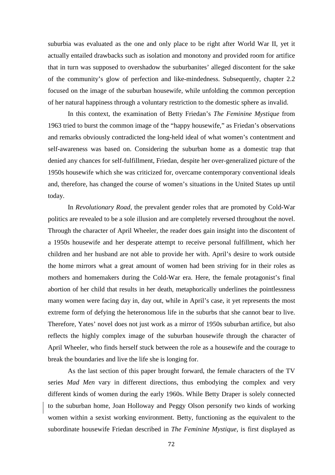suburbia was evaluated as the one and only place to be right after World War II, yet it actually entailed drawbacks such as isolation and monotony and provided room for artifice that in turn was supposed to overshadow the suburbanites' alleged discontent for the sake of the community's glow of perfection and like-mindedness. Subsequently, chapter 2.2 focused on the image of the suburban housewife, while unfolding the common perception of her natural happiness through a voluntary restriction to the domestic sphere as invalid.

 In this context, the examination of Betty Friedan's *The Feminine Mystique* from 1963 tried to burst the common image of the "happy housewife," as Friedan's observations and remarks obviously contradicted the long-held ideal of what women's contentment and self-awareness was based on. Considering the suburban home as a domestic trap that denied any chances for self-fulfillment, Friedan, despite her over-generalized picture of the 1950s housewife which she was criticized for, overcame contemporary conventional ideals and, therefore, has changed the course of women's situations in the United States up until today.

 In *Revolutionary Road*, the prevalent gender roles that are promoted by Cold-War politics are revealed to be a sole illusion and are completely reversed throughout the novel. Through the character of April Wheeler, the reader does gain insight into the discontent of a 1950s housewife and her desperate attempt to receive personal fulfillment, which her children and her husband are not able to provide her with. April's desire to work outside the home mirrors what a great amount of women had been striving for in their roles as mothers and homemakers during the Cold-War era. Here, the female protagonist's final abortion of her child that results in her death, metaphorically underlines the pointlessness many women were facing day in, day out, while in April's case, it yet represents the most extreme form of defying the heteronomous life in the suburbs that she cannot bear to live. Therefore, Yates' novel does not just work as a mirror of 1950s suburban artifice, but also reflects the highly complex image of the suburban housewife through the character of April Wheeler, who finds herself stuck between the role as a housewife and the courage to break the boundaries and live the life she is longing for.

 As the last section of this paper brought forward, the female characters of the TV series *Mad Men* vary in different directions, thus embodying the complex and very different kinds of women during the early 1960s. While Betty Draper is solely connected to the suburban home, Joan Holloway and Peggy Olson personify two kinds of working women within a sexist working environment. Betty, functioning as the equivalent to the subordinate housewife Friedan described in *The Feminine Mystique,* is first displayed as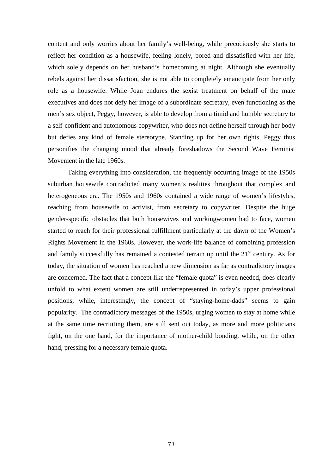content and only worries about her family's well-being, while precociously she starts to reflect her condition as a housewife, feeling lonely, bored and dissatisfied with her life, which solely depends on her husband's homecoming at night. Although she eventually rebels against her dissatisfaction, she is not able to completely emancipate from her only role as a housewife. While Joan endures the sexist treatment on behalf of the male executives and does not defy her image of a subordinate secretary, even functioning as the men's sex object, Peggy, however, is able to develop from a timid and humble secretary to a self-confident and autonomous copywriter, who does not define herself through her body but defies any kind of female stereotype. Standing up for her own rights, Peggy thus personifies the changing mood that already foreshadows the Second Wave Feminist Movement in the late 1960s.

 Taking everything into consideration, the frequently occurring image of the 1950s suburban housewife contradicted many women's realities throughout that complex and heterogeneous era. The 1950s and 1960s contained a wide range of women's lifestyles, reaching from housewife to activist, from secretary to copywriter. Despite the huge gender-specific obstacles that both housewives and workingwomen had to face, women started to reach for their professional fulfillment particularly at the dawn of the Women's Rights Movement in the 1960s. However, the work-life balance of combining profession and family successfully has remained a contested terrain up until the  $21<sup>st</sup>$  century. As for today, the situation of women has reached a new dimension as far as contradictory images are concerned. The fact that a concept like the "female quota" is even needed, does clearly unfold to what extent women are still underrepresented in today's upper professional positions, while, interestingly, the concept of "staying-home-dads" seems to gain popularity. The contradictory messages of the 1950s, urging women to stay at home while at the same time recruiting them, are still sent out today, as more and more politicians fight, on the one hand, for the importance of mother-child bonding, while, on the other hand, pressing for a necessary female quota.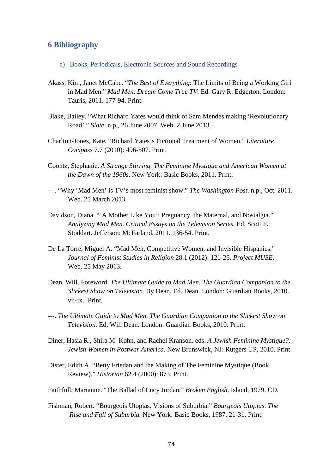## **6 Bibliography**

- a) Books, Periodicals, Electronic Sources and Sound Recordings
- Akass, Kim, Janet McCabe. "*The Best of Everything*: The Limits of Being a Working Girl in Mad Men." *Mad Men. Dream Come True TV*. Ed. Gary R. Edgerton. London: Tauris, 2011. 177-94. Print.
- Blake, Bailey. "What Richard Yates would think of Sam Mendes making 'Revolutionary Road'." *Slate*. n.p., 26 June 2007. Web. 2 June 2013.
- Charlton-Jones, Kate. "Richard Yates's Fictional Treatment of Women." *Literature Compass* 7.7 (2010): 496-507. Print.
- Coontz, Stephanie. *A Strange Stirring. The Feminine Mystique and American Women at the Dawn of the 1960s*. New York: Basic Books, 2011. Print.
- ---. "Why 'Mad Men' is TV's most feminist show." *The Washington Post*. n.p., Oct. 2011. Web. 25 March 2013.
- Davidson, Diana. "'A Mother Like You': Pregnancy, the Maternal, and Nostalgia." *Analyzing Mad Men. Critical Essays on the Television Series*. Ed. Scott F. Stoddart. Jefferson: McFarland, 2011. 136-54. Print.
- De La Torre, Miguel A. "Mad Men, Competitive Women, and Invisible Hispanics." *Journal of Feminist Studies in Religion* 28.1 (2012): 121-26. *Project MUSE*. Web. 25 May 2013.
- Dean, Will. Foreword. *The Ultimate Guide to Mad Men. The Guardian Companion to the Slickest Show on Television.* By Dean. Ed. Dean. London: Guardian Books, 2010. vii-ix. Print.
- ---. *The Ultimate Guide to Mad Men. The Guardian Companion to the Slickest Show on Television.* Ed. Will Dean. London: Guardian Books, 2010. Print.
- Diner, Hasia R., Shira M. Kohn, and Rachel Kranson. eds. *A Jewish Feminine Mystique?: Jewish Women in Postwar America*. New Brunswick, NJ: Rutgers UP, 2010. Print.
- Dister, Edith A. "Betty Friedan and the Making of The Feminine Mystique (Book Review)." *Historian* 62.4 (2000): 873. Print.
- Faithfull, Marianne. "The Ballad of Lucy Jordan." *Broken English*. Island, 1979. CD.
- Fishman, Robert. "Bourgeois Utopias. Visions of Suburbia." *Bourgeois Utopias. The Rise and Fall of Suburbia.* New York: Basic Books, 1987. 21-31. Print.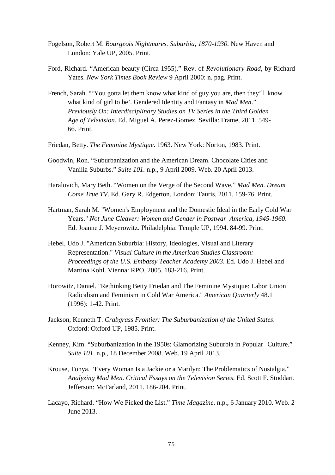- Fogelson, Robert M. *Bourgeois Nightmares. Suburbia, 1870-1930.* New Haven and London: Yale UP, 2005. Print.
- Ford, Richard. "American beauty (Circa 1955)." Rev. of *Revolutionary Road,* by Richard Yates. *New York Times Book Review* 9 April 2000: n. pag. Print.
- French, Sarah. "'You gotta let them know what kind of guy you are, then they'll know what kind of girl to be'. Gendered Identity and Fantasy in *Mad Men*." *Previously On: Interdisciplinary Studies on TV Series in the Third Golden Age of Television.* Ed. Miguel A. Perez-Gomez. Sevilla: Frame, 2011. 549- 66. Print.
- Friedan, Betty. *The Feminine Mystique*. 1963. New York: Norton, 1983. Print.
- Goodwin, Ron. "Suburbanization and the American Dream. Chocolate Cities and Vanilla Suburbs." *Suite 101.* n.p., 9 April 2009. Web. 20 April 2013.
- Haralovich, Mary Beth. "Women on the Verge of the Second Wave." *Mad Men. Dream Come True TV*. Ed. Gary R. Edgerton. London: Tauris, 2011. 159-76. Print.
- Hartman, Sarah M. "Women's Employment and the Domestic Ideal in the Early Cold War Years." *Not June Cleaver: Women and Gender in Postwar America, 1945-1960*. Ed. Joanne J. Meyerowitz. Philadelphia: Temple UP, 1994. 84-99. Print.
- Hebel, Udo J. "American Suburbia: History, Ideologies, Visual and Literary Representation." *Visual Culture in the American Studies Classroom: Proceedings of the U.S. Embassy Teacher Academy 2003*. Ed. Udo J. Hebel and Martina Kohl. Vienna: RPO, 2005. 183-216. Print.
- Horowitz, Daniel. "Rethinking Betty Friedan and The Feminine Mystique: Labor Union Radicalism and Feminism in Cold War America." *American Quarterly* 48.1 (1996): 1-42. Print.
- Jackson, Kenneth T. *Crabgrass Frontier: The Suburbanization of the United States*. Oxford: Oxford UP, 1985. Print.
- Kenney, Kim. "Suburbanization in the 1950s: Glamorizing Suburbia in Popular Culture." *Suite 101*. n.p., 18 December 2008. Web. 19 April 2013.
- Krouse, Tonya. "Every Woman Is a Jackie or a Marilyn: The Problematics of Nostalgia." *Analyzing Mad Men. Critical Essays on the Television Series*. Ed. Scott F. Stoddart. Jefferson: McFarland, 2011. 186-204. Print.
- Lacayo, Richard. "How We Picked the List." *Time Magazine*. n.p., 6 January 2010. Web. 2 June 2013.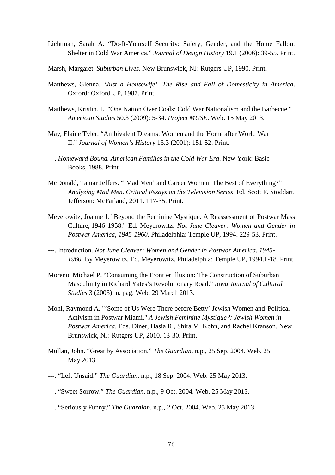- Lichtman, Sarah A. "Do-It-Yourself Security: Safety, Gender, and the Home Fallout Shelter in Cold War America." *Journal of Design History* 19.1 (2006): 39-55. Print.
- Marsh, Margaret. *Suburban Lives*. New Brunswick, NJ: Rutgers UP, 1990. Print.
- Matthews, Glenna. *'Just a Housewife'. The Rise and Fall of Domesticity in America*. Oxford: Oxford UP, 1987. Print.
- Matthews, Kristin. L. "One Nation Over Coals: Cold War Nationalism and the Barbecue." *American Studies* 50.3 (2009): 5-34. *Project MUSE*. Web. 15 May 2013.
- May, Elaine Tyler. "Ambivalent Dreams: Women and the Home after World War II." *Journal of Women's History* 13.3 (2001): 151-52. Print.
- ---. *Homeward Bound. American Families in the Cold War Era*. New York: Basic Books, 1988. Print.
- McDonald, Tamar Jeffers. "'Mad Men' and Career Women: The Best of Everything?" *Analyzing Mad Men. Critical Essays on the Television Series*. Ed. Scott F. Stoddart. Jefferson: McFarland, 2011. 117-35. Print.
- Meyerowitz, Joanne J. "Beyond the Feminine Mystique. A Reassessment of Postwar Mass Culture, 1946- 1958." Ed. Meyerowitz. *Not June Cleaver: Women and Gender in Postwar America, 1945-1960*. Philadelphia: Temple UP, 1994. 229-53. Print.
- ---. Introduction. *Not June Cleaver: Women and Gender in Postwar America, 1945- 1960*. By Meyerowitz. Ed. Meyerowitz. Philadelphia: Temple UP, 1994.1-18. Print.
- Moreno, Michael P. "Consuming the Frontier Illusion: The Construction of Suburban Masculinity in Richard Yates's Revolutionary Road." *Iowa Journal of Cultural Studies* 3 (2003): n. pag. Web. 29 March 2013.
- Mohl, Raymond A. "'Some of Us Were There before Betty' Jewish Women and Political Activism in Postwar Miami." *A Jewish Feminine Mystique?: Jewish Women in Postwar America*. Eds. Diner, Hasia R., Shira M. Kohn, and Rachel Kranson. New Brunswick, NJ: Rutgers UP, 2010. 13-30. Print.
- Mullan, John. "Great by Association." *The Guardian*. n.p., 25 Sep. 2004. Web. 25 May 2013.
- ---. "Left Unsaid." *The Guardian*. n.p., 18 Sep. 2004. Web. 25 May 2013.
- ---. "Sweet Sorrow." *The Guardian*. n.p., 9 Oct. 2004. Web. 25 May 2013.
- ---. "Seriously Funny." *The Guardian*. n.p., 2 Oct. 2004. Web. 25 May 2013.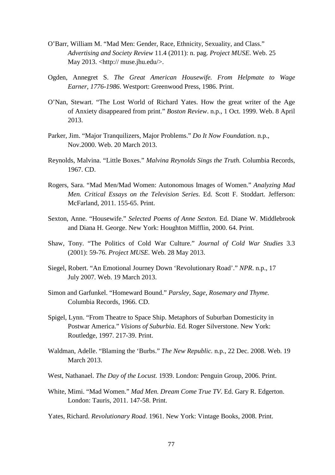- O'Barr, William M. "Mad Men: Gender, Race, Ethnicity, Sexuality, and Class." *Advertising and Society Review* 11.4 (2011): n. pag. *Project MUSE*. Web. 25 May 2013. <http:// muse.jhu.edu/>.
- Ogden, Annegret S. *The Great American Housewife. From Helpmate to Wage Earner*, *1776-1986*. Westport: Greenwood Press, 1986. Print.
- O'Nan, Stewart. "The Lost World of Richard Yates. How the great writer of the Age of Anxiety disappeared from print." *Boston Review*. n.p., 1 Oct. 1999. Web. 8 April 2013.
- Parker, Jim. "Major Tranquilizers, Major Problems." *Do It Now Foundation*. n.p., Nov.2000. Web. 20 March 2013.
- Reynolds, Malvina. "Little Boxes." *Malvina Reynolds Sings the Truth.* Columbia Records, 1967. CD.
- Rogers, Sara. "Mad Men/Mad Women: Autonomous Images of Women." *Analyzing Mad Men. Critical Essays on the Television Series*. Ed. Scott F. Stoddart. Jefferson: McFarland, 2011. 155-65. Print.
- Sexton, Anne. "Housewife." *Selected Poems of Anne Sexton.* Ed. Diane W. Middlebrook and Diana H. George. New York: Houghton Mifflin, 2000. 64. Print.
- Shaw, Tony. "The Politics of Cold War Culture." *Journal of Cold War Studies* 3.3 (2001): 59-76. *Project MUSE*. Web. 28 May 2013.
- Siegel, Robert. "An Emotional Journey Down 'Revolutionary Road'." *NPR*. n.p., 17 July 2007. Web. 19 March 2013.
- Simon and Garfunkel. "Homeward Bound." *Parsley, Sage, Rosemary and Thyme.*  Columbia Records, 1966. CD.
- Spigel, Lynn. "From Theatre to Space Ship. Metaphors of Suburban Domesticity in Postwar America." *Visions of Suburbia*. Ed. Roger Silverstone. New York: Routledge, 1997. 217-39. Print.
- Waldman, Adelle. "Blaming the 'Burbs." *The New Republic.* n.p., 22 Dec. 2008. Web. 19 March 2013.
- West, Nathanael. *The Day of the Locust.* 1939. London: Penguin Group, 2006. Print.
- White, Mimi. "Mad Women." *Mad Men. Dream Come True TV*. Ed. Gary R. Edgerton. London: Tauris, 2011. 147-58. Print.

Yates, Richard. *Revolutionary Road*. 1961. New York: Vintage Books, 2008. Print.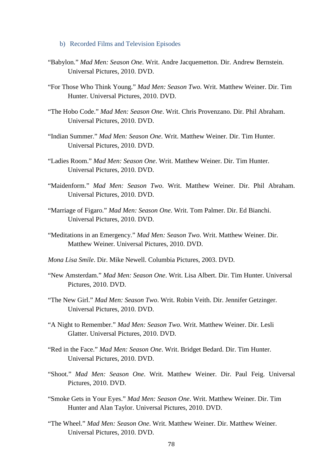- b) Recorded Films and Television Episodes
- "Babylon." *Mad Men: Season One*. Writ. Andre Jacquemetton. Dir. Andrew Bernstein. Universal Pictures, 2010. DVD.
- "For Those Who Think Young." *Mad Men: Season Two*. Writ. Matthew Weiner. Dir. Tim Hunter. Universal Pictures, 2010. DVD.
- "The Hobo Code." *Mad Men: Season One*. Writ. Chris Provenzano. Dir. Phil Abraham. Universal Pictures, 2010. DVD.
- "Indian Summer." *Mad Men: Season One*. Writ. Matthew Weiner. Dir. Tim Hunter. Universal Pictures, 2010. DVD.
- "Ladies Room." *Mad Men: Season One*. Writ. Matthew Weiner. Dir. Tim Hunter. Universal Pictures, 2010. DVD.
- "Maidenform." *Mad Men: Season Two*. Writ. Matthew Weiner. Dir. Phil Abraham. Universal Pictures, 2010. DVD.
- "Marriage of Figaro." *Mad Men: Season One*. Writ. Tom Palmer. Dir. Ed Bianchi. Universal Pictures, 2010. DVD.
- "Meditations in an Emergency." *Mad Men: Season Two*. Writ. Matthew Weiner. Dir. Matthew Weiner. Universal Pictures, 2010. DVD.
- *Mona Lisa Smile*. Dir. Mike Newell. Columbia Pictures, 2003. DVD.
- "New Amsterdam." *Mad Men: Season One*. Writ. Lisa Albert. Dir. Tim Hunter. Universal Pictures, 2010. DVD.
- "The New Girl." *Mad Men: Season Two*. Writ. Robin Veith. Dir. Jennifer Getzinger. Universal Pictures, 2010. DVD.
- "A Night to Remember." *Mad Men: Season Two*. Writ. Matthew Weiner. Dir. Lesli Glatter. Universal Pictures, 2010. DVD.
- "Red in the Face." *Mad Men: Season One*. Writ. Bridget Bedard. Dir. Tim Hunter. Universal Pictures, 2010. DVD.
- "Shoot." *Mad Men: Season One*. Writ. Matthew Weiner. Dir. Paul Feig. Universal Pictures, 2010. DVD.
- "Smoke Gets in Your Eyes." *Mad Men: Season One*. Writ. Matthew Weiner. Dir. Tim Hunter and Alan Taylor. Universal Pictures, 2010. DVD.
- "The Wheel." *Mad Men: Season One*. Writ. Matthew Weiner. Dir. Matthew Weiner. Universal Pictures, 2010. DVD.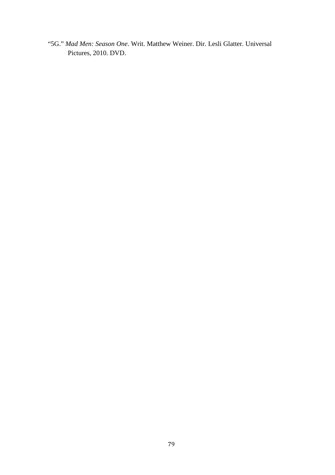"5G." *Mad Men: Season One*. Writ. Matthew Weiner. Dir. Lesli Glatter. Universal Pictures, 2010. DVD.